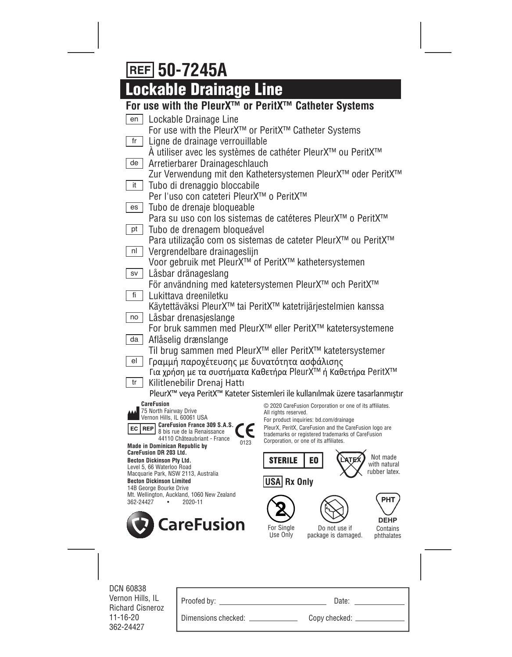# **50-7245A**

# **Lockable Drainage Line**

## **For use with the PleurX™ or PeritX™ Catheter Systems**

| Lockable Drainage Line<br>en                                             |                                                                                                  |  |  |  |
|--------------------------------------------------------------------------|--------------------------------------------------------------------------------------------------|--|--|--|
|                                                                          | For use with the PleurX™ or PeritX™ Catheter Systems                                             |  |  |  |
| fr                                                                       | Ligne de drainage verrouillable                                                                  |  |  |  |
|                                                                          | A utiliser avec les systèmes de cathéter PleurX™ ou PeritX™                                      |  |  |  |
| Arretierbarer Drainageschlauch<br>de                                     |                                                                                                  |  |  |  |
| it                                                                       | Zur Verwendung mit den Kathetersystemen PleurX™ oder PeritX™                                     |  |  |  |
| Tubo di drenaggio bloccabile<br>Per l'uso con cateteri PleurX™ o PeritX™ |                                                                                                  |  |  |  |
| Tubo de drenaje bloqueable<br>es                                         |                                                                                                  |  |  |  |
|                                                                          | Para su uso con los sistemas de catéteres PleurX™ o PeritX™                                      |  |  |  |
| Tubo de drenagem bloqueável<br>pt                                        |                                                                                                  |  |  |  |
|                                                                          | Para utilização com os sistemas de cateter PleurX™ ou PeritX™                                    |  |  |  |
| Vergrendelbare drainageslijn<br>nl                                       |                                                                                                  |  |  |  |
|                                                                          | Voor gebruik met PleurX <sup>™</sup> of PeritX <sup>™</sup> kathetersystemen                     |  |  |  |
| Låsbar dränageslang<br>SV                                                |                                                                                                  |  |  |  |
|                                                                          | För användning med katetersystemen PleurX™ och PeritX™                                           |  |  |  |
| fi<br>Lukittava dreeniletku                                              |                                                                                                  |  |  |  |
|                                                                          | Käytettäväksi PleurX™ tai PeritX™ katetrijärjestelmien kanssa                                    |  |  |  |
| Låsbar drenasjeslange<br>no                                              |                                                                                                  |  |  |  |
|                                                                          | For bruk sammen med PleurX <sup>™</sup> eller PeritX™ katetersystemene                           |  |  |  |
| Aflåselig drænslange<br>da                                               |                                                                                                  |  |  |  |
|                                                                          | Til brug sammen med PleurX <sup>™</sup> eller PeritX™ katetersystemer                            |  |  |  |
| Γραμμή παροχέτευσης με δυνατότητα ασφάλισης<br>el                        | Για χρήση με τα συστήματα Καθετήρα PleurX™ ή Καθετήρα PeritX™                                    |  |  |  |
| Kilitlenebilir Drenaj Hattı<br>tr                                        |                                                                                                  |  |  |  |
|                                                                          | PleurX <sup>™</sup> veya PeritX™ Kateter Sistemleri ile kullanılmak üzere tasarlanmıştır         |  |  |  |
| <b>CareFusion</b>                                                        | © 2020 CareFusion Corporation or one of its affiliates.                                          |  |  |  |
| 75 North Fairway Drive<br>Vernon Hills, IL 60061 USA                     | All rights reserved.                                                                             |  |  |  |
| CareFusion France 309 S.A.S.<br><b>EC REP</b>                            | For product inquiries: bd.com/drainage<br>PleurX, PeritX, CareFusion and the CareFusion logo are |  |  |  |
| 8 bis rue de la Renaissance<br>44110 Châteaubriant - France<br>0123      | trademarks or registered trademarks of CareFusion<br>Corporation, or one of its affiliates.      |  |  |  |
| <b>Made in Dominican Republic by</b><br><b>CareFusion DR 203 Ltd.</b>    |                                                                                                  |  |  |  |
| <b>Becton Dickinson Pty Ltd.</b>                                         | Not made<br><b>STERILE</b><br>E0<br>with natural                                                 |  |  |  |
| Level 5, 66 Waterloo Road<br>Macquarie Park, NSW 2113, Australia         | rubber latex.                                                                                    |  |  |  |
| <b>Becton Dickinson Limited</b><br>14B George Bourke Drive               | USA Rx Only                                                                                      |  |  |  |
| Mt. Wellington, Auckland, 1060 New Zealand<br>362-24427<br>2020-11       | <b>PHT</b>                                                                                       |  |  |  |
|                                                                          |                                                                                                  |  |  |  |
| <b>CareFusion</b>                                                        | <b>DEHP</b>                                                                                      |  |  |  |
|                                                                          | For Single<br>Do not use if<br>Contains<br>Use Only<br>package is damaged.<br>phthalates         |  |  |  |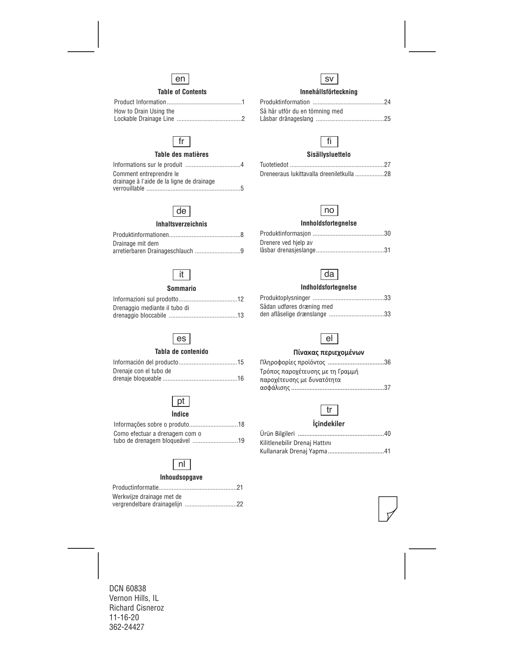

## **Table of Contents**

| How to Drain Using the |  |
|------------------------|--|
|                        |  |

## fr

## **Table des matières**

| Comment entreprendre le                   |
|-------------------------------------------|
| drainage à l'aide de la ligne de drainage |
|                                           |

## de

#### **Inhaltsverzeichnis**

| Drainage mit dem |
|------------------|
|                  |

## it

## **Sommario**

| Drenaggio mediante il tubo di |  |
|-------------------------------|--|
|                               |  |

## es

## **Tabla de contenido**

| Drenaje con el tubo de |  |
|------------------------|--|
|                        |  |

## pt

#### **Índice**

| Como efectuar a drenagem com o |  |
|--------------------------------|--|
| tubo de drenagem bloqueável 19 |  |

## nl

## **Inhoudsopgave**

| Werkwijze drainage met de |  |
|---------------------------|--|
|                           |  |

## sv

## **Innehållsförteckning**

| Så här utför du en tömning med |
|--------------------------------|
|                                |



## **Sisällysluettelo**

| Dreneeraus lukittavalla dreeniletkulla 28 |  |  |
|-------------------------------------------|--|--|



## **Innholdsfortegnelse**

| Drenere ved hielp av |  |
|----------------------|--|
|                      |  |



## **Indholdsfortegnelse**

| Sådan udføres dræning med |  |
|---------------------------|--|
|                           |  |



## **Πίνακας περιεχομένων**

| Τρόπος παροχέτευσης με τη Γραμμή |  |
|----------------------------------|--|
| παροχέτευσης με δυνατότητα       |  |
|                                  |  |

## tr

## **İçindekiler**

| Kilitlenebilir Drenaj Hattını |  |
|-------------------------------|--|
|                               |  |

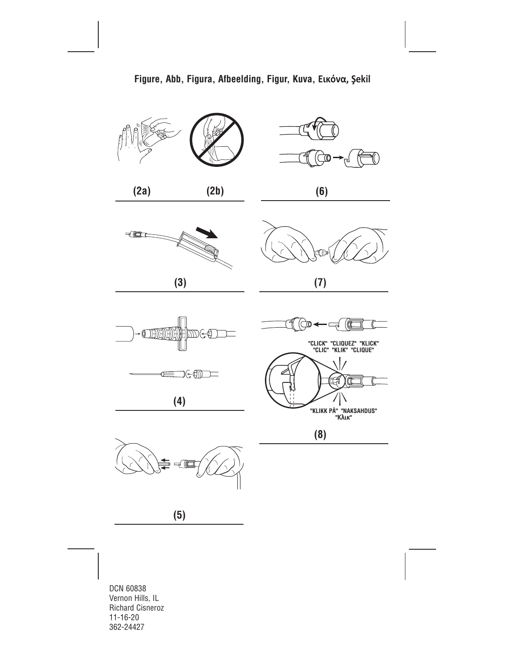

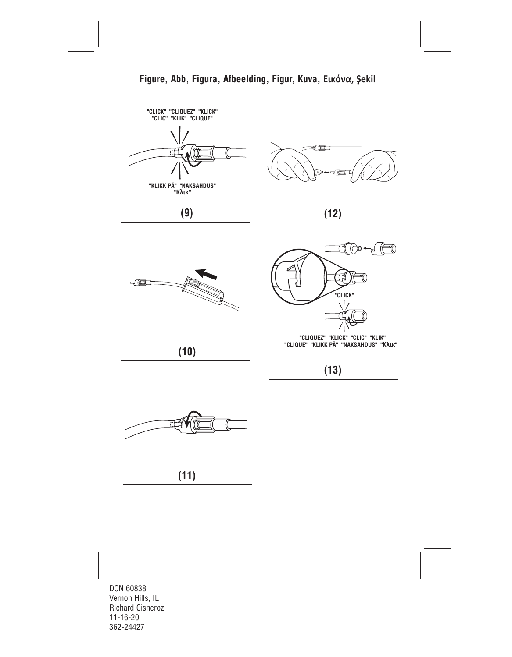

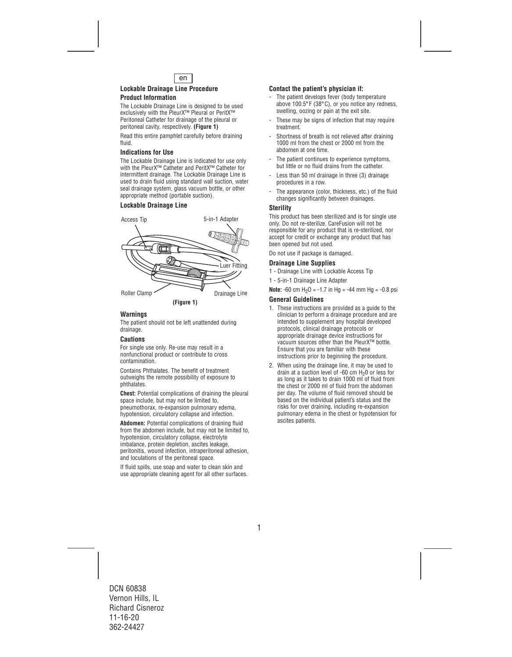

#### **Lockable Drainage Line Procedure Product Information**

The Lockable Drainage Line is designed to be used exclusively with the PleurX™ Pleural or PeritX™ Peritoneal Catheter for drainage of the pleural or peritoneal cavity, respectively. **(Figure 1)** 

Read this entire pamphlet carefully before draining fluid.

## **Indications for Use**

The Lockable Drainage Line is indicated for use only with the PleurX™ Catheter and PeritX™ Catheter for intermittent drainage. The Lockable Drainage Line is used to drain fluid using standard wall suction, water seal drainage system, glass vacuum bottle, or other appropriate method (portable suction).

## **Lockable Drainage Line**



## **Warnings**

The patient should not be left unattended during drainage.

## **Cautions**

For single use only. Re-use may result in a nonfunctional product or contribute to cross contamination.

Contains Phthalates. The benefit of treatment outweighs the remote possibility of exposure to phthalates.

**Chest:** Potential complications of draining the pleural space include, but may not be limited to, pneumothorax, re-expansion pulmonary edema, hypotension, circulatory collapse and infection.

**Abdomen:** Potential complications of draining fluid from the abdomen include, but may not be limited to, hypotension, circulatory collapse, electrolyte imbalance, protein depletion, ascites leakage, peritonitis, wound infection, intraperitoneal adhesion, and loculations of the peritoneal space.

If fluid spills, use soap and water to clean skin and use appropriate cleaning agent for all other surfaces.

## **Contact the patient's physician if:**

- The patient develops fever (body temperature above 100.5°F (38°C), or you notice any redness, swelling, oozing or pain at the exit site.
- These may be signs of infection that may require treatment.
- Shortness of breath is not relieved after draining 1000 ml from the chest or 2000 ml from the abdomen at one time.
- The patient continues to experience symptoms. but little or no fluid drains from the catheter.
- Less than 50 ml drainage in three (3) drainage procedures in a row.
- The appearance (color, thickness, etc.) of the fluid changes significantly between drainages.

#### **Sterility**

This product has been sterilized and is for single use only. Do not re-sterilize. CareFusion will not be responsible for any product that is re-sterilized, nor accept for credit or exchange any product that has been opened but not used.

Do not use if package is damaged.

## **Drainage Line Supplies**

- 1 Drainage Line with Lockable Access Tip
- 1 5-in-1 Drainage Line Adapter

**Note:**  $-60$  cm  $H_2O = -1.7$  in Hg =  $-44$  mm Hg =  $-0.8$  psi

### **General Guidelines**

- 1. These instructions are provided as a guide to the clinician to perform a drainage procedure and are intended to supplement any hospital developed protocols, clinical drainage protocols or appropriate drainage device instructions for vacuum sources other than the PleurX™ bottle. Ensure that you are familiar with these instructions prior to beginning the procedure.
- 2. When using the drainage line, it may be used to drain at a suction level of -60 cm  $H_2$ 0 or less for as long as it takes to drain 1000 ml of fluid from the chest or 2000 ml of fluid from the abdomen per day. The volume of fluid removed should be based on the individual patient's status and the risks for over draining, including re-expansion pulmonary edema in the chest or hypotension for ascites patients.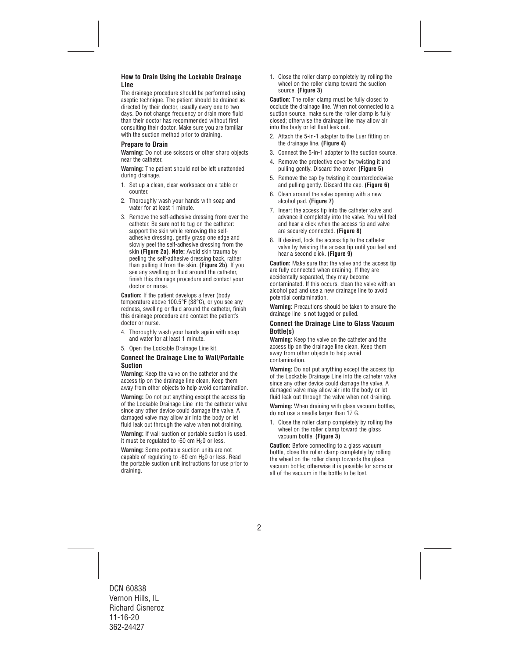## **How to Drain Using the Lockable Drainage Line**

The drainage procedure should be performed using aseptic technique. The patient should be drained as directed by their doctor, usually every one to two days. Do not change frequency or drain more fluid than their doctor has recommended without first consulting their doctor. Make sure you are familiar with the suction method prior to draining.

## **Prepare to Drain**

**Warning:** Do not use scissors or other sharp objects near the catheter.

**Warning:** The patient should not be left unattended during drainage.

- 1. Set up a clean, clear workspace on a table or counter.
- 2. Thoroughly wash your hands with soap and water for at least 1 minute.
- 3. Remove the self-adhesive dressing from over the catheter. Be sure not to tug on the catheter: support the skin while removing the selfadhesive dressing, gently grasp one edge and slowly peel the self-adhesive dressing from the skin **(Figure 2a)**. **Note:** Avoid skin trauma by peeling the self-adhesive dressing back, rather than pulling it from the skin. **(Figure 2b)**. If you see any swelling or fluid around the catheter, finish this drainage procedure and contact your doctor or nurse.

**Caution:** If the patient develops a fever (body temperature above 100.5°F (38°C), or you see any redness, swelling or fluid around the catheter, finish this drainage procedure and contact the patient's doctor or nurse.

- 4. Thoroughly wash your hands again with soap and water for at least 1 minute.
- 5. Open the Lockable Drainage Line kit.

#### **Connect the Drainage Line to Wall/Portable Suction**

**Warning:** Keep the valve on the catheter and the access tip on the drainage line clean. Keep them away from other objects to help avoid contamination.

**Warning:** Do not put anything except the access tip of the Lockable Drainage Line into the catheter valve since any other device could damage the valve. A damaged valve may allow air into the body or let fluid leak out through the valve when not draining.

**Warning:** If wall suction or portable suction is used, it must be regulated to  $-60$  cm  $H<sub>2</sub>0$  or less.

**Warning:** Some portable suction units are not capable of regulating to  $-60$  cm  $H<sub>2</sub>0$  or less. Read the portable suction unit instructions for use prior to draining.

1. Close the roller clamp completely by rolling the wheel on the roller clamp toward the suction source. **(Figure 3)** 

**Caution:** The roller clamp must be fully closed to occlude the drainage line. When not connected to a suction source, make sure the roller clamp is fully closed; otherwise the drainage line may allow air into the body or let fluid leak out.

- 2. Attach the 5-in-1 adapter to the Luer fitting on the drainage line. **(Figure 4)**
- 3. Connect the 5-in-1 adapter to the suction source.
- 4. Remove the protective cover by twisting it and pulling gently. Discard the cover. **(Figure 5)**
- 5. Remove the cap by twisting it counterclockwise and pulling gently. Discard the cap. **(Figure 6)**
- 6. Clean around the valve opening with a new alcohol pad. **(Figure 7)**
- 7. Insert the access tip into the catheter valve and advance it completely into the valve. You will feel and hear a click when the access tip and valve are securely connected. **(Figure 8)**
- 8. If desired, lock the access tip to the catheter valve by twisting the access tip until you feel and hear a second click. **(Figure 9)**

**Caution:** Make sure that the valve and the access tip are fully connected when draining. If they are accidentally separated, they may become contaminated. If this occurs, clean the valve with an alcohol pad and use a new drainage line to avoid potential contamination.

**Warning:** Precautions should be taken to ensure the drainage line is not tugged or pulled.

#### **Connect the Drainage Line to Glass Vacuum Bottle(s)**

**Warning:** Keep the valve on the catheter and the access tip on the drainage line clean. Keep them away from other objects to help avoid contamination.

**Warning:** Do not put anything except the access tip of the Lockable Drainage Line into the catheter valve since any other device could damage the valve. A damaged valve may allow air into the body or let fluid leak out through the valve when not draining.

**Warning:** When draining with glass vacuum bottles, do not use a needle larger than 17 G.

1. Close the roller clamp completely by rolling the wheel on the roller clamp toward the glass vacuum bottle. **(Figure 3)** 

**Caution:** Before connecting to a glass vacuum bottle, close the roller clamp completely by rolling the wheel on the roller clamp towards the glass vacuum bottle; otherwise it is possible for some or all of the vacuum in the bottle to be lost.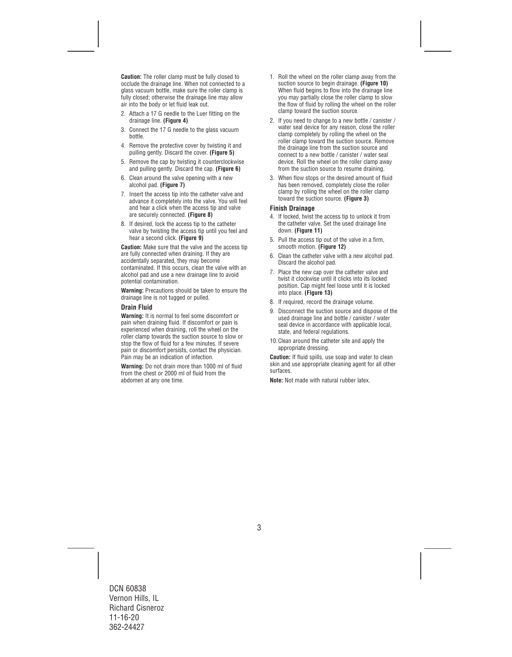**Caution:** The roller clamp must be fully closed to occlude the drainage line. When not connected to a glass vacuum bottle, make sure the roller clamp is fully closed; otherwise the drainage line may allow air into the body or let fluid leak out.

- 2. Attach a 17 G needle to the Luer fitting on the drainage line. **(Figure 4)**
- 3. Connect the 17 G needle to the glass vacuum bottle.
- 4. Remove the protective cover by twisting it and pulling gently. Discard the cover. **(Figure 5)**
- 5. Remove the cap by twisting it counterclockwise and pulling gently. Discard the cap. **(Figure 6)**
- 6. Clean around the valve opening with a new alcohol pad. **(Figure 7)**
- 7. Insert the access tip into the catheter valve and advance it completely into the valve. You will feel and hear a click when the access tip and valve are securely connected. **(Figure 8)**
- 8. If desired, lock the access tip to the catheter valve by twisting the access tip until you feel and hear a second click. **(Figure 9)**

**Caution:** Make sure that the valve and the access tip are fully connected when draining. If they are accidentally separated, they may become contaminated. If this occurs, clean the valve with an alcohol pad and use a new drainage line to avoid potential contamination.

**Warning:** Precautions should be taken to ensure the drainage line is not tugged or pulled.

## **Drain Fluid**

**Warning:** It is normal to feel some discomfort or pain when draining fluid. If discomfort or pain is experienced when draining, roll the wheel on the roller clamp towards the suction source to slow or stop the flow of fluid for a few minutes. If severe pain or discomfort persists, contact the physician. Pain may be an indication of infection.

**Warning:** Do not drain more than 1000 ml of fluid from the chest or 2000 ml of fluid from the abdomen at any one time.

- 1. Roll the wheel on the roller clamp away from the suction source to begin drainage. **(Figure 10)**  When fluid begins to flow into the drainage line you may partially close the roller clamp to slow the flow of fluid by rolling the wheel on the roller clamp toward the suction source.
- 2. If you need to change to a new bottle / canister / water seal device for any reason, close the roller clamp completely by rolling the wheel on the roller clamp toward the suction source. Remove the drainage line from the suction source and connect to a new bottle / canister / water seal device. Roll the wheel on the roller clamp away from the suction source to resume draining.
- 3. When flow stops or the desired amount of fluid has been removed, completely close the roller clamp by rolling the wheel on the roller clamp toward the suction source. **(Figure 3)**

#### **Finish Drainage**

- 4. If locked, twist the access tip to unlock it from the catheter valve. Set the used drainage line down. **(Figure 11)**
- 5. Pull the access tip out of the valve in a firm, smooth motion. **(Figure 12)**
- 6. Clean the catheter valve with a new alcohol pad. Discard the alcohol pad.
- 7. Place the new cap over the catheter valve and twist it clockwise until it clicks into its locked position. Cap might feel loose until it is locked into place. **(Figure 13)**
- 8. If required, record the drainage volume.
- 9. Disconnect the suction source and dispose of the used drainage line and bottle / canister / water seal device in accordance with applicable local, state, and federal regulations.
- 10.Clean around the catheter site and apply the appropriate dressing.

**Caution:** If fluid spills, use soap and water to clean skin and use appropriate cleaning agent for all other surfaces.

**Note:** Not made with natural rubber latex.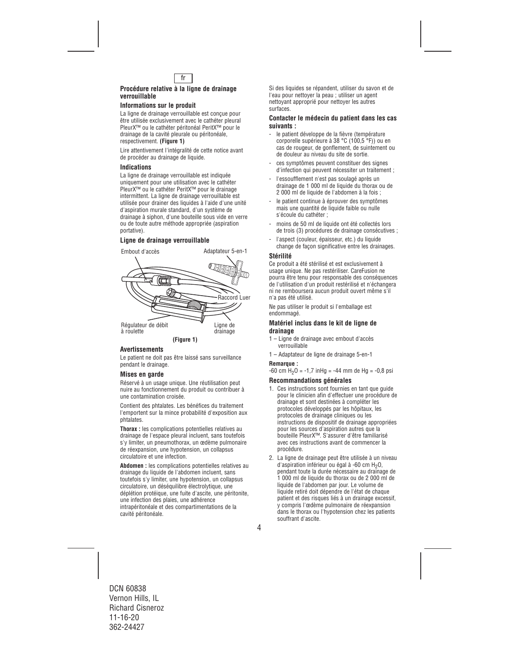

### **Procédure relative à la ligne de drainage verrouillable**

## **Informations sur le produit**

La ligne de drainage verrouillable est conçue pour être utilisée exclusivement avec le cathéter pleural PleurX™ ou le cathéter péritonéal PeritX™ pour le drainage de la cavité pleurale ou péritonéale, respectivement. **(Figure 1)**

Lire attentivement l'intégralité de cette notice avant de procéder au drainage de liquide.

#### **Indications**

La ligne de drainage verrouillable est indiquée uniquement pour une utilisation avec le cathéter PleurX™ ou le cathéter PeritX™ pour le drainage intermittent. La ligne de drainage verrouillable est utilisée pour drainer des liquides à l'aide d'une unité d'aspiration murale standard, d'un système de drainage à siphon, d'une bouteille sous vide en verre ou de toute autre méthode appropriée (aspiration portative).

## **Ligne de drainage verrouillable**



#### **Avertissements**

Le patient ne doit pas être laissé sans surveillance pendant le drainage.

#### **Mises en garde**

Réservé à un usage unique. Une réutilisation peut nuire au fonctionnement du produit ou contribuer à une contamination croisée.

Contient des phtalates. Les bénéfices du traitement l'emportent sur la mince probabilité d'exposition aux phtalates.

**Thorax :** les complications potentielles relatives au drainage de l'espace pleural incluent, sans toutefois s'y limiter, un pneumothorax, un œdème pulmonaire de réexpansion, une hypotension, un collapsus circulatoire et une infection.

**Abdomen :** les complications potentielles relatives au drainage du liquide de l'abdomen incluent, sans toutefois s'y limiter, une hypotension, un collapsus circulatoire, un déséquilibre électrolytique, une déplétion protéique, une fuite d'ascite, une péritonite, une infection des plaies, une adhérence intrapéritonéale et des compartimentations de la cavité péritonéale.

Si des liquides se répandent, utiliser du savon et de l'eau pour nettoyer la peau ; utiliser un agent nettoyant approprié pour nettoyer les autres surfaces.

#### **Contacter le médecin du patient dans les cas suivants :**

- le patient développe de la fièvre (température corporelle supérieure à 38 °C (100,5 °F)) ou en cas de rougeur, de gonflement, de suintement ou de douleur au niveau du site de sortie.
- ces symptômes peuvent constituer des signes d'infection qui peuvent nécessiter un traitement ;
- l'essoufflement n'est pas soulagé après un drainage de 1 000 ml de liquide du thorax ou de 2 000 ml de liquide de l'abdomen à la fois ;
- le patient continue à éprouver des symptômes mais une quantité de liquide faible ou nulle s'écoule du cathéter ;
- moins de 50 ml de liquide ont été collectés lors de trois (3) procédures de drainage consécutives ;
- l'aspect (couleur, épaisseur, etc.) du liquide change de façon significative entre les drainages.

#### **Stérilité**

Ce produit a été stérilisé et est exclusivement à usage unique. Ne pas restériliser. CareFusion ne pourra être tenu pour responsable des conséquences de l'utilisation d'un produit restérilisé et n'échangera ni ne remboursera aucun produit ouvert même s'il n'a pas été utilisé.

Ne pas utiliser le produit si l'emballage est endommagé.

#### **Matériel inclus dans le kit de ligne de drainage**

- 1 Ligne de drainage avec embout d'accès verrouillable
- 1 Adaptateur de ligne de drainage 5-en-1

## **Remarque :**

 $-60$  cm  $H_2O = -1.7$  in Hg =  $-44$  mm de Hg =  $-0.8$  psi

## **Recommandations générales**

- 1. Ces instructions sont fournies en tant que guide pour le clinicien afin d'effectuer une procédure de drainage et sont destinées à compléter les protocoles développés par les hôpitaux, les protocoles de drainage cliniques ou les instructions de dispositif de drainage appropriées pour les sources d'aspiration autres que la bouteille PleurX™. S'assurer d'être familiarisé avec ces instructions avant de commencer la procédure.
- 2. La ligne de drainage peut être utilisée à un niveau d'aspiration inférieur ou égal à -60 cm H<sub>2</sub>O. pendant toute la durée nécessaire au drainage de 1 000 ml de liquide du thorax ou de 2 000 ml de liquide de l'abdomen par jour. Le volume de liquide retiré doit dépendre de l'état de chaque patient et des risques liés à un drainage excessif, y compris l'œdème pulmonaire de réexpansion dans le thorax ou l'hypotension chez les patients souffrant d'ascite.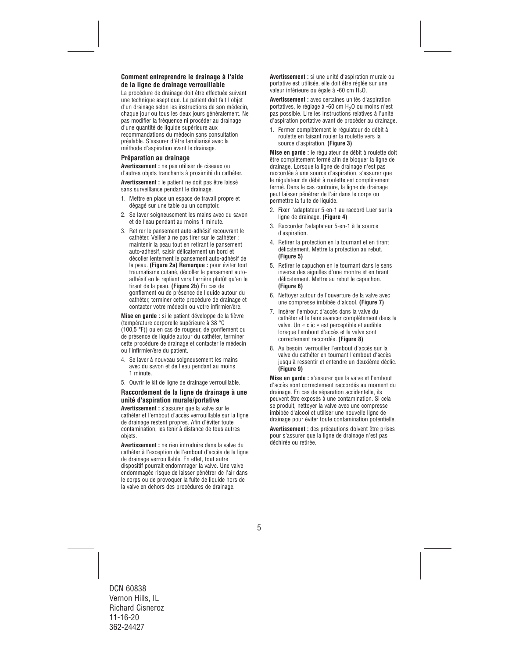## **Comment entreprendre le drainage à l'aide de la ligne de drainage verrouillable**

La procédure de drainage doit être effectuée suivant une technique aseptique. Le patient doit fait l'objet d'un drainage selon les instructions de son médecin, chaque jour ou tous les deux jours généralement. Ne pas modifier la fréquence ni procéder au drainage d'une quantité de liquide supérieure aux recommandations du médecin sans consultation préalable. S'assurer d'être familiarisé avec la méthode d'aspiration avant le drainage.

## **Préparation au drainage**

**Avertissement :** ne pas utiliser de ciseaux ou d'autres objets tranchants à proximité du cathéter.

**Avertissement :** le patient ne doit pas être laissé sans surveillance pendant le drainage.

- 1. Mettre en place un espace de travail propre et dégagé sur une table ou un comptoir.
- 2. Se laver soigneusement les mains avec du savon et de l'eau pendant au moins 1 minute.
- 3. Retirer le pansement auto-adhésif recouvrant le cathéter. Veiller à ne pas tirer sur le cathéter : maintenir la peau tout en retirant le pansement auto-adhésif, saisir délicatement un bord et décoller lentement le pansement auto-adhésif de la peau. **(Figure 2a) Remarque :** pour éviter tout traumatisme cutané, décoller le pansement autoadhésif en le repliant vers l'arrière plutôt qu'en le tirant de la peau. **(Figure 2b)** En cas de gonflement ou de présence de liquide autour du cathéter, terminer cette procédure de drainage et contacter votre médecin ou votre infirmier/ère.

**Mise en garde :** si le patient développe de la fièvre (température corporelle supérieure à 38 °C (100,5 °F)) ou en cas de rougeur, de gonflement ou de présence de liquide autour du cathéter, terminer cette procédure de drainage et contacter le médecin ou l'infirmier/ère du patient.

- 4. Se laver à nouveau soigneusement les mains avec du savon et de l'eau pendant au moins 1 minute.
- 5. Ouvrir le kit de ligne de drainage verrouillable.

#### **Raccordement de la ligne de drainage à une unité d'aspiration murale/portative**

**Avertissement :** s'assurer que la valve sur le cathéter et l'embout d'accès verrouillable sur la ligne de drainage restent propres. Afin d'éviter toute contamination, les tenir à distance de tous autres objets.

**Avertissement :** ne rien introduire dans la valve du cathéter à l'exception de l'embout d'accès de la ligne de drainage verrouillable. En effet, tout autre dispositif pourrait endommager la valve. Une valve endommagée risque de laisser pénétrer de l'air dans le corps ou de provoquer la fuite de liquide hors de la valve en dehors des procédures de drainage.

**Avertissement :** si une unité d'aspiration murale ou portative est utilisée, elle doit être réglée sur une valeur inférieure ou égale à -60 cm H<sub>2</sub>O.

**Avertissement :** avec certaines unités d'aspiration portatives, le réglage à -60 cm H<sub>2</sub>O ou moins n'est pas possible. Lire les instructions relatives à l'unité d'aspiration portative avant de procéder au drainage.

1. Fermer complètement le régulateur de débit à roulette en faisant rouler la roulette vers la source d'aspiration. **(Figure 3)** 

**Mise en garde :** le régulateur de débit à roulette doit être complètement fermé afin de bloquer la ligne de drainage. Lorsque la ligne de drainage n'est pas raccordée à une source d'aspiration, s'assurer que le régulateur de débit à roulette est complètement fermé. Dans le cas contraire, la ligne de drainage peut laisser pénétrer de l'air dans le corps ou permettre la fuite de liquide.

- 2. Fixer l'adaptateur 5-en-1 au raccord Luer sur la ligne de drainage. **(Figure 4)**
- 3. Raccorder l'adaptateur 5-en-1 à la source d'aspiration.
- 4. Retirer la protection en la tournant et en tirant délicatement. Mettre la protection au rebut. **(Figure 5)**
- 5. Retirer le capuchon en le tournant dans le sens inverse des aiguilles d'une montre et en tirant délicatement. Mettre au rebut le capuchon. **(Figure 6)**
- 6. Nettoyer autour de l'ouverture de la valve avec une compresse imbibée d'alcool. **(Figure 7)**
- 7. Insérer l'embout d'accès dans la valve du cathéter et le faire avancer complètement dans la valve. Un « clic » est perceptible et audible lorsque l'embout d'accès et la valve sont correctement raccordés. **(Figure 8)**
- 8. Au besoin, verrouiller l'embout d'accès sur la valve du cathéter en tournant l'embout d'accès jusqu'à ressentir et entendre un deuxième déclic. **(Figure 9)**

**Mise en garde :** s'assurer que la valve et l'embout d'accès sont correctement raccordés au moment du drainage. En cas de séparation accidentelle, ils peuvent être exposés à une contamination. Si cela se produit, nettoyer la valve avec une compresse imbibée d'alcool et utiliser une nouvelle ligne de drainage pour éviter toute contamination potentielle.

**Avertissement :** des précautions doivent être prises pour s'assurer que la ligne de drainage n'est pas déchirée ou retirée.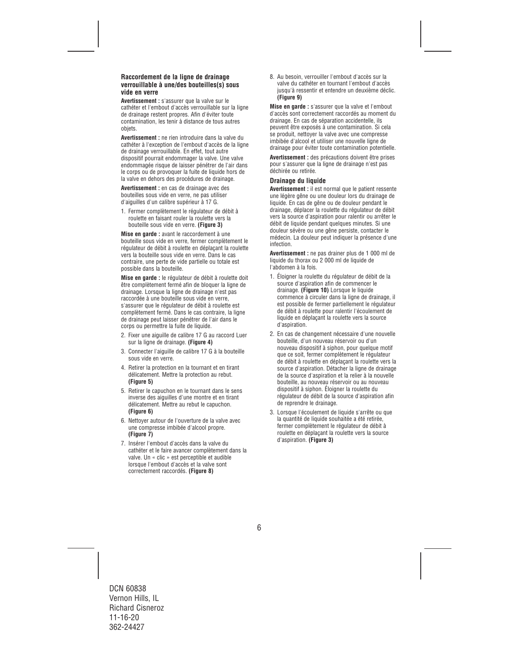### **Raccordement de la ligne de drainage verrouillable à une/des bouteilles(s) sous vide en verre**

**Avertissement :** s'assurer que la valve sur le cathéter et l'embout d'accès verrouillable sur la ligne de drainage restent propres. Afin d'éviter toute contamination, les tenir à distance de tous autres objets.

**Avertissement :** ne rien introduire dans la valve du cathéter à l'exception de l'embout d'accès de la ligne de drainage verrouillable. En effet, tout autre dispositif pourrait endommager la valve. Une valve endommagée risque de laisser pénétrer de l'air dans le corps ou de provoquer la fuite de liquide hors de la valve en dehors des procédures de drainage.

**Avertissement :** en cas de drainage avec des bouteilles sous vide en verre, ne pas utiliser d'aiguilles d'un calibre supérieur à 17 G.

1. Fermer complètement le régulateur de débit à roulette en faisant rouler la roulette vers la bouteille sous vide en verre. **(Figure 3)** 

**Mise en garde :** avant le raccordement à une bouteille sous vide en verre, fermer complètement le régulateur de débit à roulette en déplaçant la roulette vers la bouteille sous vide en verre. Dans le cas contraire, une perte de vide partielle ou totale est possible dans la bouteille.

**Mise en garde :** le régulateur de débit à roulette doit être complètement fermé afin de bloquer la ligne de drainage. Lorsque la ligne de drainage n'est pas raccordée à une bouteille sous vide en verre, s'assurer que le régulateur de débit à roulette est complètement fermé. Dans le cas contraire, la ligne de drainage peut laisser pénétrer de l'air dans le corps ou permettre la fuite de liquide.

- 2. Fixer une aiguille de calibre 17 G au raccord Luer sur la ligne de drainage. **(Figure 4)**
- 3. Connecter l'aiguille de calibre 17 G à la bouteille sous vide en verre.
- 4. Retirer la protection en la tournant et en tirant délicatement. Mettre la protection au rebut. **(Figure 5)**
- 5. Retirer le capuchon en le tournant dans le sens inverse des aiguilles d'une montre et en tirant délicatement. Mettre au rebut le capuchon. **(Figure 6)**
- 6. Nettoyer autour de l'ouverture de la valve avec une compresse imbibée d'alcool propre. **(Figure 7)**
- 7. Insérer l'embout d'accès dans la valve du cathéter et le faire avancer complètement dans la valve. Un « clic » est perceptible et audible lorsque l'embout d'accès et la valve sont correctement raccordés. **(Figure 8)**

8. Au besoin, verrouiller l'embout d'accès sur la valve du cathéter en tournant l'embout d'accès jusqu'à ressentir et entendre un deuxième déclic. **(Figure 9)** 

**Mise en garde :** s'assurer que la valve et l'embout d'accès sont correctement raccordés au moment du drainage. En cas de séparation accidentelle, ils peuvent être exposés à une contamination. Si cela se produit, nettoyer la valve avec une compresse imbibée d'alcool et utiliser une nouvelle ligne de drainage pour éviter toute contamination potentielle.

**Avertissement :** des précautions doivent être prises pour s'assurer que la ligne de drainage n'est pas déchirée ou retirée.

#### **Drainage du liquide**

**Avertissement :** il est normal que le patient ressente une légère gêne ou une douleur lors du drainage de liquide. En cas de gêne ou de douleur pendant le drainage, déplacer la roulette du régulateur de débit vers la source d'aspiration pour ralentir ou arrêter le débit de liquide pendant quelques minutes. Si une douleur sévère ou une gêne persiste, contacter le médecin. La douleur peut indiquer la présence d'une infection.

**Avertissement :** ne pas drainer plus de 1 000 ml de liquide du thorax ou 2 000 ml de liquide de l'abdomen à la fois.

- 1. Éloigner la roulette du régulateur de débit de la source d'aspiration afin de commencer le drainage. **(Figure 10)** Lorsque le liquide commence à circuler dans la ligne de drainage, il est possible de fermer partiellement le régulateur de débit à roulette pour ralentir l'écoulement de liquide en déplaçant la roulette vers la source d'aspiration.
- 2. En cas de changement nécessaire d'une nouvelle bouteille, d'un nouveau réservoir ou d'un nouveau dispositif à siphon, pour quelque motif que ce soit, fermer complètement le régulateur de débit à roulette en déplaçant la roulette vers la source d'aspiration. Détacher la ligne de drainage de la source d'aspiration et la relier à la nouvelle bouteille, au nouveau réservoir ou au nouveau dispositif à siphon. Éloigner la roulette du régulateur de débit de la source d'aspiration afin de reprendre le drainage.
- 3. Lorsque l'écoulement de liquide s'arrête ou que la quantité de liquide souhaitée a été retirée, fermer complètement le régulateur de débit à roulette en déplaçant la roulette vers la source d'aspiration. **(Figure 3)**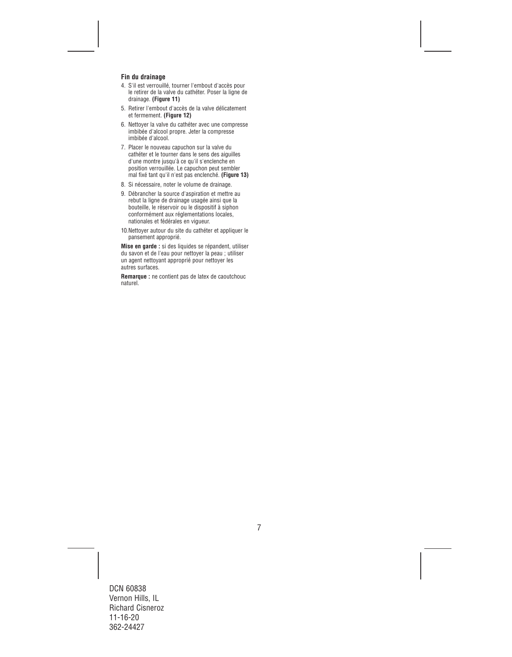## **Fin du drainage**

- 4. S'il est verrouillé, tourner l'embout d'accès pour le retirer de la valve du cathéter. Poser la ligne de drainage. **(Figure 11)**
- 5. Retirer l'embout d'accès de la valve délicatement et fermement. **(Figure 12)**
- 6. Nettoyer la valve du cathéter avec une compresse imbibée d'alcool propre. Jeter la compresse imbibée d'alcool.
- 7. Placer le nouveau capuchon sur la valve du cathéter et le tourner dans le sens des aiguilles d'une montre jusqu'à ce qu'il s'enclenche en position verrouillée. Le capuchon peut sembler mal fixé tant qu'il n'est pas enclenché. **(Figure 13)**
- 8. Si nécessaire, noter le volume de drainage.
- 9. Débrancher la source d'aspiration et mettre au rebut la ligne de drainage usagée ainsi que la bouteille, le réservoir ou le dispositif à siphon conformément aux réglementations locales, nationales et fédérales en vigueur.
- 10.Nettoyer autour du site du cathéter et appliquer le pansement approprié.

**Mise en garde :** si des liquides se répandent, utiliser du savon et de l'eau pour nettoyer la peau ; utiliser un agent nettoyant approprié pour nettoyer les autres surfaces.

**Remarque :** ne contient pas de latex de caoutchouc naturel.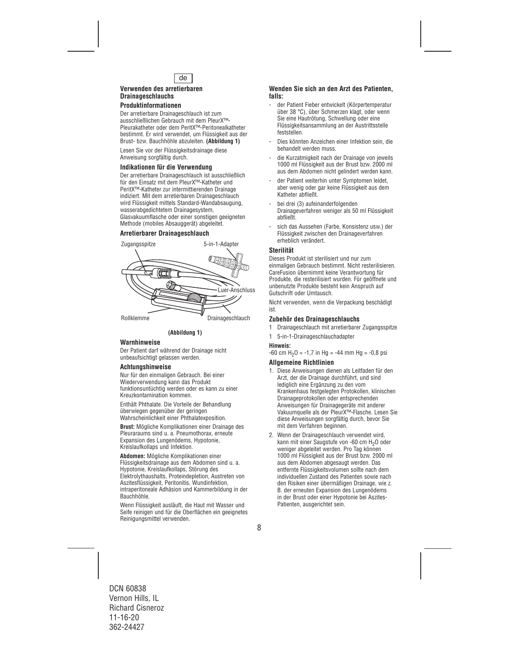

#### **Verwenden des arretierbaren Drainageschlauchs**

## **Produktinformationen**

Der arretierbare Drainageschlauch ist zum ausschließlichen Gebrauch mit dem PleurX™- Pleurakatheter oder dem PeritX™-Peritonealkatheter bestimmt. Er wird verwendet, um Flüssigkeit aus der Brust- bzw. Bauchhöhle abzuleiten. **(Abbildung 1)** 

Lesen Sie vor der Flüssigkeitsdrainage diese Anweisung sorgfältig durch.

## **Indikationen für die Verwendung**

Der arretierbare Drainageschlauch ist ausschließlich für den Einsatz mit dem PleurX™-Katheter und PeritX™-Katheter zur intermittierenden Drainage indiziert. Mit dem arretierbaren Drainageschlauch wird Flüssigkeit mittels Standard-Wandabsaugung, wasserabgedichtetem Drainagesystem, Glasvakuumflasche oder einer sonstigen geeigneten Methode (mobiles Absauggerät) abgeleitet.

## **Arretierbarer Drainageschlauch**





## **Warnhinweise**

Der Patient darf während der Drainage nicht unbeaufsichtigt gelassen werden.

## **Achtungshinweise**

Nur für den einmaligen Gebrauch. Bei einer Wiederverwendung kann das Produkt funktionsuntüchtig werden oder es kann zu einer Kreuzkontamination kommen.

Enthält Phthalate. Die Vorteile der Behandlung überwiegen gegenüber der geringen Wahrscheinlichkeit einer Phthalatexposition.

**Brust:** Mögliche Komplikationen einer Drainage des Pleuraraums sind u. a. Pneumothorax, erneute Expansion des Lungenödems, Hypotonie, Kreislaufkollaps und Infektion.

**Abdomen:** Mögliche Komplikationen einer Flüssigkeitsdrainage aus dem Abdomen sind u. a. Hypotonie, Kreislaufkollaps, Störung des Elektrolythaushalts, Proteindepletion, Austreten von Aszitesflüssigkeit, Peritonitis, Wundinfektion, intraperitoneale Adhäsion und Kammerbildung in der Bauchhöhle.

Wenn Flüssigkeit ausläuft, die Haut mit Wasser und Seife reinigen und für die Oberflächen ein geeignetes Reinigungsmittel verwenden.

#### **Wenden Sie sich an den Arzt des Patienten, falls:**

- der Patient Fieber entwickelt (Körpertemperatur über 38 °C), über Schmerzen klagt, oder wenn Sie eine Hautrötung, Schwellung oder eine Flüssigkeitsansammlung an der Austrittsstelle feststellen.
- Dies könnten Anzeichen einer Infektion sein, die behandelt werden muss.
- die Kurzatmigkeit nach der Drainage von jeweils 1000 ml Flüssigkeit aus der Brust bzw. 2000 ml aus dem Abdomen nicht gelindert werden kann.
- der Patient weiterhin unter Symptomen leidet. aber wenig oder gar keine Flüssigkeit aus dem Katheter abfließt.
- bei drei (3) aufeinanderfolgenden Drainageverfahren weniger als 50 ml Flüssigkeit abfließt.
- sich das Aussehen (Farbe, Konsistenz usw.) der Flüssigkeit zwischen den Drainageverfahren erheblich verändert.

## **Sterilität**

Dieses Produkt ist sterilisiert und nur zum einmaligen Gebrauch bestimmt. Nicht resterilisieren. CareFusion übernimmt keine Verantwortung für Produkte, die resterilisiert wurden. Für geöffnete und unbenutzte Produkte besteht kein Anspruch auf Gutschrift oder Umtausch.

Nicht verwenden, wenn die Verpackung beschädigt ist.

## **Zubehör des Drainageschlauchs**

- 1 Drainageschlauch mit arretierbarer Zugangsspitze
- 1 5-in-1-Drainageschlauchadapter

#### **Hinweis:**

 $-60$  cm H<sub>2</sub>O =  $-1,7$  in Hg =  $-44$  mm Hg =  $-0,8$  psi

#### **Allgemeine Richtlinien**

- 1. Diese Anweisungen dienen als Leitfaden für den Arzt, der die Drainage durchführt, und sind lediglich eine Ergänzung zu den vom Krankenhaus festgelegten Protokollen, klinischen Drainageprotokollen oder entsprechenden Anweisungen für Drainagegeräte mit anderer Vakuumquelle als der PleurX™-Flasche. Lesen Sie diese Anweisungen sorgfältig durch, bevor Sie mit dem Verfahren beginnen.
- 2. Wenn der Drainageschlauch verwendet wird, kann mit einer Saugstufe von -60 cm H<sub>2</sub>O oder weniger abgeleitet werden. Pro Tag können 1000 ml Flüssigkeit aus der Brust bzw. 2000 ml aus dem Abdomen abgesaugt werden. Das entfernte Flüssigkeitsvolumen sollte nach dem individuellen Zustand des Patienten sowie nach den Risiken einer übermäßigen Drainage, wie z. B. der erneuten Expansion des Lungenödems in der Brust oder einer Hypotonie bei Aszites-Patienten, ausgerichtet sein.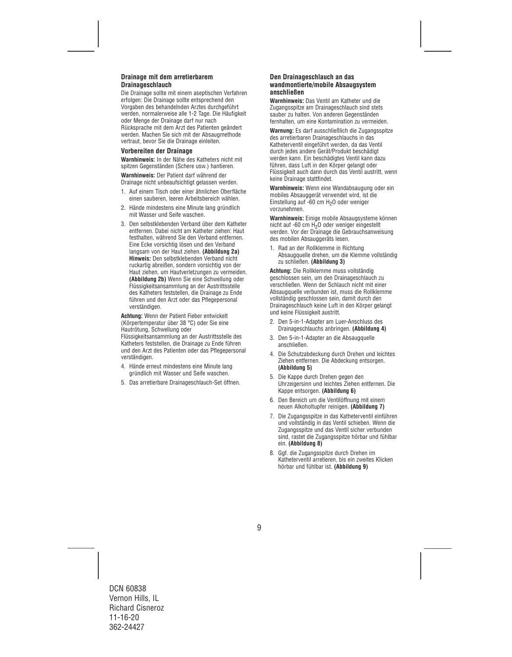## **Drainage mit dem arretierbarem Drainageschlauch**

Die Drainage sollte mit einem aseptischen Verfahren erfolgen: Die Drainage sollte entsprechend den Vorgaben des behandelnden Arztes durchgeführt werden, normalerweise alle 1-2 Tage. Die Häufigkeit oder Menge der Drainage darf nur nach Rücksprache mit dem Arzt des Patienten geändert werden. Machen Sie sich mit der Absaugmethode vertraut, bevor Sie die Drainage einleiten.

#### **Vorbereiten der Drainage**

**Warnhinweis:** In der Nähe des Katheters nicht mit spitzen Gegenständen (Schere usw.) hantieren.

**Warnhinweis:** Der Patient darf während der Drainage nicht unbeaufsichtigt gelassen werden.

- 1. Auf einem Tisch oder einer ähnlichen Oberfläche einen sauberen, leeren Arbeitsbereich wählen.
- 2. Hände mindestens eine Minute lang gründlich mit Wasser und Seife waschen.
- 3. Den selbstklebenden Verband über dem Katheter entfernen. Dabei nicht am Katheter ziehen: Haut festhalten, während Sie den Verband entfernen. Eine Ecke vorsichtig lösen und den Verband langsam von der Haut ziehen. **(Abbildung 2a) Hinweis:** Den selbstklebenden Verband nicht ruckartig abreißen, sondern vorsichtig von der Haut ziehen, um Hautverletzungen zu vermeiden. **(Abbildung 2b)** Wenn Sie eine Schwellung oder Flüssigkeitsansammlung an der Austrittsstelle des Katheters feststellen, die Drainage zu Ende führen und den Arzt oder das Pflegepersonal verständigen.

**Achtung:** Wenn der Patient Fieber entwickelt (Körpertemperatur über 38 °C) oder Sie eine Hautrötung, Schwellung oder Flüssigkeitsansammlung an der Austrittsstelle des Katheters feststellen, die Drainage zu Ende führen und den Arzt des Patienten oder das Pflegepersonal verständigen.

- 4. Hände erneut mindestens eine Minute lang gründlich mit Wasser und Seife waschen.
- 5. Das arretierbare Drainageschlauch-Set öffnen.

### **Den Drainageschlauch an das wandmontierte/mobile Absaugsystem anschließen**

**Warnhinweis:** Das Ventil am Katheter und die Zugangsspitze am Drainageschlauch sind stets sauber zu halten. Von anderen Gegenständen fernhalten, um eine Kontamination zu vermeiden.

**Warnung:** Es darf ausschließlich die Zugangsspitze des arretierbaren Drainageschlauchs in das Katheterventil eingeführt werden, da das Ventil durch jedes andere Gerät/Produkt beschädigt werden kann. Ein beschädigtes Ventil kann dazu führen, dass Luft in den Körper gelangt oder Flüssigkeit auch dann durch das Ventil austritt, wenn keine Drainage stattfindet.

**Warnhinweis:** Wenn eine Wandabsaugung oder ein mobiles Absauggerät verwendet wird, ist die Einstellung auf -60 cm H<sub>2</sub>O oder weniger vorzunehmen.

**Warnhinweis:** Einige mobile Absaugsysteme können nicht auf -60 cm H<sub>2</sub>O oder weniger eingestellt werden. Vor der Drainage die Gebrauchsanweisung des mobilen Absauggeräts lesen.

1. Rad an der Rollklemme in Richtung Absaugquelle drehen, um die Klemme vollständig zu schließen. **(Abbildung 3)** 

**Achtung:** Die Rollklemme muss vollständig geschlossen sein, um den Drainageschlauch zu verschließen. Wenn der Schlauch nicht mit einer Absaugquelle verbunden ist, muss die Rollklemme vollständig geschlossen sein, damit durch den Drainageschlauch keine Luft in den Körper gelangt und keine Flüssigkeit austritt.

- 2. Den 5-in-1-Adapter am Luer-Anschluss des Drainageschlauchs anbringen. **(Abbildung 4)**
- 3. Den 5-in-1-Adapter an die Absaugquelle anschließen.
- 4. Die Schutzabdeckung durch Drehen und leichtes Ziehen entfernen. Die Abdeckung entsorgen. **(Abbildung 5)**
- 5. Die Kappe durch Drehen gegen den Uhrzeigersinn und leichtes Ziehen entfernen. Die Kappe entsorgen. **(Abbildung 6)**
- 6. Den Bereich um die Ventilöffnung mit einem neuen Alkoholtupfer reinigen. **(Abbildung 7)**
- 7. Die Zugangsspitze in das Katheterventil einführen und vollständig in das Ventil schieben. Wenn die Zugangsspitze und das Ventil sicher verbunden sind, rastet die Zugangsspitze hörbar und fühlbar ein. **(Abbildung 8)**
- 8. Ggf. die Zugangsspitze durch Drehen im Katheterventil arretieren, bis ein zweites Klicken hörbar und fühlbar ist. **(Abbildung 9)**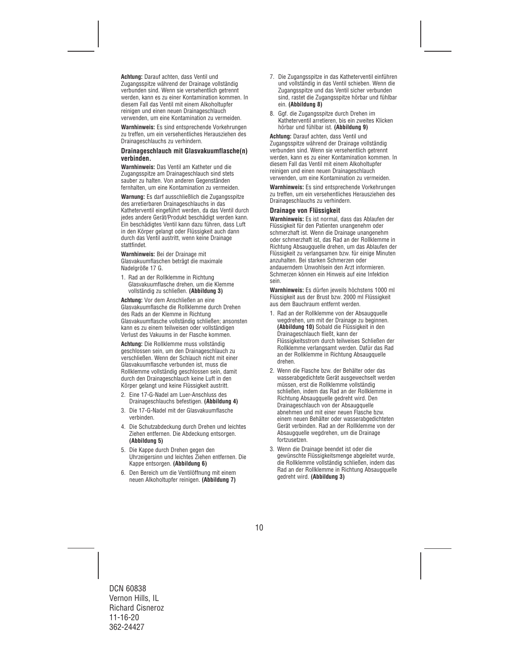**Achtung:** Darauf achten, dass Ventil und Zugangsspitze während der Drainage vollständig verbunden sind. Wenn sie versehentlich getrennt werden, kann es zu einer Kontamination kommen. In diesem Fall das Ventil mit einem Alkoholtupfer reinigen und einen neuen Drainageschlauch verwenden, um eine Kontamination zu vermeiden.

**Warnhinweis:** Es sind entsprechende Vorkehrungen zu treffen, um ein versehentliches Herausziehen des Drainageschlauchs zu verhindern.

#### **Drainageschlauch mit Glasvakuumflasche(n) verbinden.**

**Warnhinweis:** Das Ventil am Katheter und die Zugangsspitze am Drainageschlauch sind stets sauber zu halten. Von anderen Gegenständen fernhalten, um eine Kontamination zu vermeiden.

**Warnung:** Es darf ausschließlich die Zugangsspitze des arretierbaren Drainageschlauchs in das Katheterventil eingeführt werden, da das Ventil durch jedes andere Gerät/Produkt beschädigt werden kann. Ein beschädigtes Ventil kann dazu führen, dass Luft in den Körper gelangt oder Flüssigkeit auch dann durch das Ventil austritt, wenn keine Drainage stattfindet.

**Warnhinweis:** Bei der Drainage mit Glasvakuumflaschen beträgt die maximale Nadelgröße 17 G.

1. Rad an der Rollklemme in Richtung Glasvakuumflasche drehen, um die Klemme vollständig zu schließen. **(Abbildung 3)** 

**Achtung:** Vor dem Anschließen an eine Glasvakuumflasche die Rollklemme durch Drehen des Rads an der Klemme in Richtung Glasvakuumflasche vollständig schließen; ansonsten kann es zu einem teilweisen oder vollständigen Verlust des Vakuums in der Flasche kommen.

**Achtung:** Die Rollklemme muss vollständig geschlossen sein, um den Drainageschlauch zu verschließen. Wenn der Schlauch nicht mit einer Glasvakuumflasche verbunden ist, muss die Rollklemme vollständig geschlossen sein, damit durch den Drainageschlauch keine Luft in den Körper gelangt und keine Flüssigkeit austritt.

- 2. Eine 17-G-Nadel am Luer-Anschluss des Drainageschlauchs befestigen. **(Abbildung 4)**
- 3. Die 17-G-Nadel mit der Glasvakuumflasche verbinden.
- 4. Die Schutzabdeckung durch Drehen und leichtes Ziehen entfernen. Die Abdeckung entsorgen. **(Abbildung 5)**
- 5. Die Kappe durch Drehen gegen den Uhrzeigersinn und leichtes Ziehen entfernen. Die Kappe entsorgen. **(Abbildung 6)**
- 6. Den Bereich um die Ventilöffnung mit einem neuen Alkoholtupfer reinigen. **(Abbildung 7)**
- 7. Die Zugangsspitze in das Katheterventil einführen und vollständig in das Ventil schieben. Wenn die Zugangsspitze und das Ventil sicher verbunden sind, rastet die Zugangsspitze hörbar und fühlbar ein. **(Abbildung 8)**
- 8. Ggf. die Zugangsspitze durch Drehen im Katheterventil arretieren, bis ein zweites Klicken hörbar und fühlbar ist. **(Abbildung 9)**

**Achtung:** Darauf achten, dass Ventil und Zugangsspitze während der Drainage vollständig verbunden sind. Wenn sie versehentlich getrennt werden, kann es zu einer Kontamination kommen. In diesem Fall das Ventil mit einem Alkoholtupfer reinigen und einen neuen Drainageschlauch verwenden, um eine Kontamination zu vermeiden.

**Warnhinweis:** Es sind entsprechende Vorkehrungen zu treffen, um ein versehentliches Herausziehen des Drainageschlauchs zu verhindern.

#### **Drainage von Flüssigkeit**

**Warnhinweis:** Es ist normal, dass das Ablaufen der Flüssigkeit für den Patienten unangenehm oder schmerzhaft ist. Wenn die Drainage unangenehm oder schmerzhaft ist, das Rad an der Rollklemme in Richtung Absaugquelle drehen, um das Ablaufen der Flüssigkeit zu verlangsamen bzw. für einige Minuten anzuhalten. Bei starken Schmerzen oder andauerndem Unwohlsein den Arzt informieren. Schmerzen können ein Hinweis auf eine Infektion sein.

**Warnhinweis:** Es dürfen jeweils höchstens 1000 ml Flüssigkeit aus der Brust bzw. 2000 ml Flüssigkeit aus dem Bauchraum entfernt werden.

- 1. Rad an der Rollklemme von der Absaugquelle wegdrehen, um mit der Drainage zu beginnen. **(Abbildung 10)** Sobald die Flüssigkeit in den Drainageschlauch fließt, kann der Flüssigkeitsstrom durch teilweises Schließen der Rollklemme verlangsamt werden. Dafür das Rad an der Rollklemme in Richtung Absaugquelle drehen.
- 2. Wenn die Flasche bzw. der Behälter oder das wasserabgedichtete Gerät ausgewechselt werden müssen, erst die Rollklemme vollständig schließen, indem das Rad an der Rollklemme in Richtung Absaugquelle gedreht wird. Den Drainageschlauch von der Absaugquelle abnehmen und mit einer neuen Flasche bzw. einem neuen Behälter oder wasserabgedichteten Gerät verbinden. Rad an der Rollklemme von der Absaugquelle wegdrehen, um die Drainage fortzusetzen.
- 3. Wenn die Drainage beendet ist oder die gewünschte Flüssigkeitsmenge abgeleitet wurde, die Rollklemme vollständig schließen, indem das Rad an der Rollklemme in Richtung Absaugquelle gedreht wird. **(Abbildung 3)**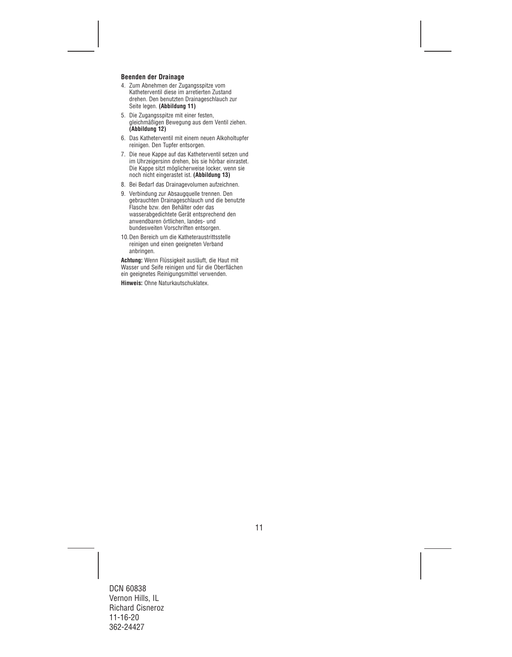## **Beenden der Drainage**

- 4. Zum Abnehmen der Zugangsspitze vom Katheterventil diese im arretierten Zustand drehen. Den benutzten Drainageschlauch zur Seite legen. **(Abbildung 11)**
- 5. Die Zugangsspitze mit einer festen, gleichmäßigen Bewegung aus dem Ventil ziehen. **(Abbildung 12)**
- 6. Das Katheterventil mit einem neuen Alkoholtupfer reinigen. Den Tupfer entsorgen.
- 7. Die neue Kappe auf das Katheterventil setzen und im Uhrzeigersinn drehen, bis sie hörbar einrastet. Die Kappe sitzt möglicherweise locker, wenn sie noch nicht eingerastet ist. **(Abbildung 13)**
- 8. Bei Bedarf das Drainagevolumen aufzeichnen.
- 9. Verbindung zur Absaugquelle trennen. Den gebrauchten Drainageschlauch und die benutzte Flasche bzw. den Behälter oder das wasserabgedichtete Gerät entsprechend den anwendbaren örtlichen, landes- und bundesweiten Vorschriften entsorgen.
- 10.Den Bereich um die Katheteraustrittsstelle reinigen und einen geeigneten Verband anbringen.

**Achtung:** Wenn Flüssigkeit ausläuft, die Haut mit Wasser und Seife reinigen und für die Oberflächen ein geeignetes Reinigungsmittel verwenden.

**Hinweis:** Ohne Naturkautschuklatex.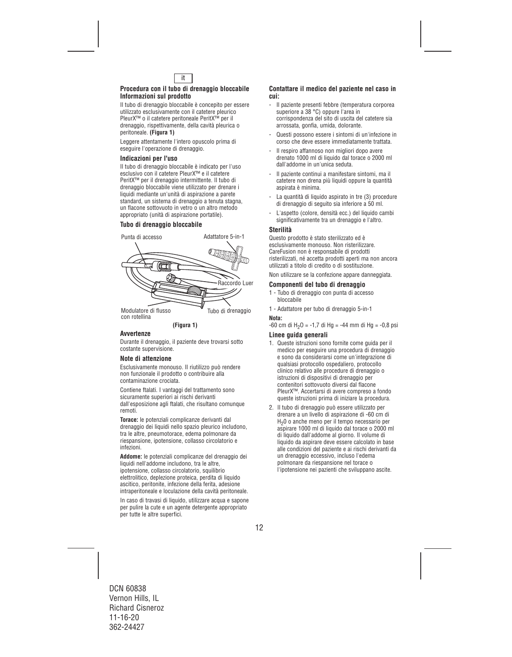

#### **Procedura con il tubo di drenaggio bloccabile Informazioni sul prodotto**

Il tubo di drenaggio bloccabile è concepito per essere utilizzato esclusivamente con il catetere pleurico PleurX™ o il catetere peritoneale PeritX™ per il drenaggio, rispettivamente, della cavità pleurica o peritoneale. **(Figura 1)** 

Leggere attentamente l'intero opuscolo prima di eseguire l'operazione di drenaggio.

#### **Indicazioni per l'uso**

Il tubo di drenaggio bloccabile è indicato per l'uso esclusivo con il catetere PleurX™ e il catetere PeritX™ per il drenaggio intermittente. Il tubo di drenaggio bloccabile viene utilizzato per drenare i liquidi mediante un'unità di aspirazione a parete standard, un sistema di drenaggio a tenuta stagna, un flacone sottovuoto in vetro o un altro metodo appropriato (unità di aspirazione portatile).

## **Tubo di drenaggio bloccabile**



con rotellina

**(Figura 1)**

## **Avvertenze**

Durante il drenaggio, il paziente deve trovarsi sotto costante supervisione.

## **Note di attenzione**

Esclusivamente monouso. Il riutilizzo può rendere non funzionale il prodotto o contribuire alla contaminazione crociata.

Contiene ftalati. I vantaggi del trattamento sono sicuramente superiori ai rischi derivanti dall'esposizione agli ftalati, che risultano comunque remoti.

**Torace:** le potenziali complicanze derivanti dal drenaggio dei liquidi nello spazio pleurico includono, tra le altre, pneumotorace, edema polmonare da riespansione, ipotensione, collasso circolatorio e infezioni.

**Addome:** le potenziali complicanze del drenaggio dei liquidi nell'addome includono, tra le altre, ipotensione, collasso circolatorio, squilibrio elettrolitico, deplezione proteica, perdita di liquido ascitico, peritonite, infezione della ferita, adesione intraperitoneale e loculazione della cavità peritoneale.

In caso di travasi di liquido, utilizzare acqua e sapone per pulire la cute e un agente detergente appropriato per tutte le altre superfici.

#### **Contattare il medico del paziente nel caso in cui:**

- Il paziente presenti febbre (temperatura corporea superiore a 38 °C) oppure l'area in corrispondenza del sito di uscita del catetere sia arrossata, gonfia, umida, dolorante.
- Questi possono essere i sintomi di un'infezione in corso che deve essere immediatamente trattata.
- Il respiro affannoso non migliori dopo avere drenato 1000 ml di liquido dal torace o 2000 ml dall'addome in un'unica seduta.
- Il paziente continui a manifestare sintomi, ma il catetere non drena più liquidi oppure la quantità aspirata è minima.
- La quantità di liquido aspirato in tre (3) procedure di drenaggio di seguito sia inferiore a 50 ml.
- L'aspetto (colore, densità ecc.) del liquido cambi significativamente tra un drenaggio e l'altro.

#### **Sterilità**

Questo prodotto è stato sterilizzato ed è esclusivamente monouso. Non risterilizzare. CareFusion non è responsabile di prodotti risterilizzati, né accetta prodotti aperti ma non ancora utilizzati a titolo di credito o di sostituzione.

Non utilizzare se la confezione appare danneggiata.

## **Componenti del tubo di drenaggio**

- 1 Tubo di drenaggio con punta di accesso bloccabile
- 1 Adattatore per tubo di drenaggio 5-in-1

#### **Nota:**

 $-60$  cm di H<sub>2</sub>O =  $-1,7$  di Hg =  $-44$  mm di Hg =  $-0,8$  psi

## **Linee guida generali**

- 1. Queste istruzioni sono fornite come guida per il medico per eseguire una procedura di drenaggio e sono da considerarsi come un'integrazione di qualsiasi protocollo ospedaliero, protocollo clinico relativo alle procedure di drenaggio o istruzioni di dispositivi di drenaggio per contenitori sottovuoto diversi dal flacone PleurX™. Accertarsi di avere compreso a fondo queste istruzioni prima di iniziare la procedura.
- 2. Il tubo di drenaggio può essere utilizzato per drenare a un livello di aspirazione di -60 cm di H20 o anche meno per il tempo necessario per aspirare 1000 ml di liquido dal torace o 2000 ml di liquido dall'addome al giorno. Il volume di liquido da aspirare deve essere calcolato in base alle condizioni del paziente e ai rischi derivanti da un drenaggio eccessivo, incluso l'edema polmonare da riespansione nel torace o l'ipotensione nei pazienti che sviluppano ascite.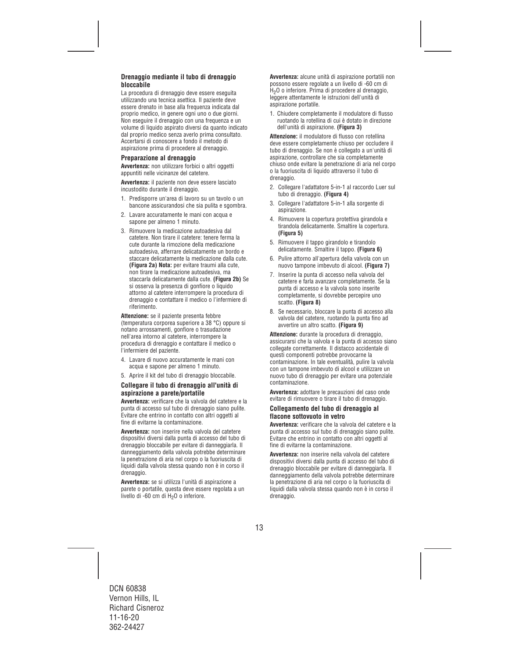## **Drenaggio mediante il tubo di drenaggio bloccabile**

La procedura di drenaggio deve essere eseguita utilizzando una tecnica asettica. Il paziente deve essere drenato in base alla frequenza indicata dal proprio medico, in genere ogni uno o due giorni. Non eseguire il drenaggio con una frequenza e un volume di liquido aspirato diversi da quanto indicato dal proprio medico senza averlo prima consultato. Accertarsi di conoscere a fondo il metodo di aspirazione prima di procedere al drenaggio.

## **Preparazione al drenaggio**

**Avvertenza:** non utilizzare forbici o altri oggetti appuntiti nelle vicinanze del catetere.

**Avvertenza:** il paziente non deve essere lasciato incustodito durante il drenaggio.

- 1. Predisporre un'area di lavoro su un tavolo o un bancone assicurandosi che sia pulita e sgombra.
- 2. Lavare accuratamente le mani con acqua e sapone per almeno 1 minuto.
- 3. Rimuovere la medicazione autoadesiva dal catetere. Non tirare il catetere: tenere ferma la cute durante la rimozione della medicazione autoadesiva, afferrare delicatamente un bordo e staccare delicatamente la medicazione dalla cute. **(Figura 2a) Nota:** per evitare traumi alla cute, non tirare la medicazione autoadesiva, ma staccarla delicatamente dalla cute. **(Figura 2b)** Se si osserva la presenza di gonfiore o liquido attorno al catetere interrompere la procedura di drenaggio e contattare il medico o l'infermiere di riferimento.

**Attenzione:** se il paziente presenta febbre (temperatura corporea superiore a 38 °C) oppure si notano arrossamenti, gonfiore o trasudazione nell'area intorno al catetere, interrompere la procedura di drenaggio e contattare il medico o l'infermiere del paziente.

- 4. Lavare di nuovo accuratamente le mani con acqua e sapone per almeno 1 minuto.
- 5. Aprire il kit del tubo di drenaggio bloccabile.

## **Collegare il tubo di drenaggio all'unità di aspirazione a parete/portatile**

**Avvertenza:** verificare che la valvola del catetere e la punta di accesso sul tubo di drenaggio siano pulite. Evitare che entrino in contatto con altri oggetti al fine di evitarne la contaminazione.

**Avvertenza:** non inserire nella valvola del catetere dispositivi diversi dalla punta di accesso del tubo di drenaggio bloccabile per evitare di danneggiarla. Il danneggiamento della valvola potrebbe determinare la penetrazione di aria nel corpo o la fuoriuscita di liquidi dalla valvola stessa quando non è in corso il drenaggio.

**Avvertenza:** se si utilizza l'unità di aspirazione a parete o portatile, questa deve essere regolata a un livello di -60 cm di H<sub>2</sub>O o inferiore.

**Avvertenza:** alcune unità di aspirazione portatili non possono essere regolate a un livello di -60 cm di H2O o inferiore. Prima di procedere al drenaggio, leggere attentamente le istruzioni dell'unità di aspirazione portatile.

1. Chiudere completamente il modulatore di flusso ruotando la rotellina di cui è dotato in direzione dell'unità di aspirazione. **(Figura 3)** 

**Attenzione:** il modulatore di flusso con rotellina deve essere completamente chiuso per occludere il tubo di drenaggio. Se non è collegato a un'unità di aspirazione, controllare che sia completamente chiuso onde evitare la penetrazione di aria nel corpo o la fuoriuscita di liquido attraverso il tubo di drenaggio.

- 2. Collegare l'adattatore 5-in-1 al raccordo Luer sul tubo di drenaggio. **(Figura 4)**
- 3. Collegare l'adattatore 5-in-1 alla sorgente di aspirazione.
- 4. Rimuovere la copertura protettiva girandola e tirandola delicatamente. Smaltire la copertura. **(Figura 5)**
- 5. Rimuovere il tappo girandolo e tirandolo delicatamente. Smaltire il tappo. **(Figura 6)**
- 6. Pulire attorno all'apertura della valvola con un nuovo tampone imbevuto di alcool. **(Figura 7)**
- 7. Inserire la punta di accesso nella valvola del catetere e farla avanzare completamente. Se la punta di accesso e la valvola sono inserite completamente, si dovrebbe percepire uno scatto. **(Figura 8)**
- 8. Se necessario, bloccare la punta di accesso alla valvola del catetere, ruotando la punta fino ad avvertire un altro scatto. **(Figura 9)**

**Attenzione:** durante la procedura di drenaggio, assicurarsi che la valvola e la punta di accesso siano collegate correttamente. Il distacco accidentale di questi componenti potrebbe provocarne la contaminazione. In tale eventualità, pulire la valvola con un tampone imbevuto di alcool e utilizzare un nuovo tubo di drenaggio per evitare una potenziale contaminazione.

**Avvertenza:** adottare le precauzioni del caso onde evitare di rimuovere o tirare il tubo di drenaggio.

## **Collegamento del tubo di drenaggio al flacone sottovuoto in vetro**

**Avvertenza:** verificare che la valvola del catetere e la punta di accesso sul tubo di drenaggio siano pulite. Evitare che entrino in contatto con altri oggetti al fine di evitarne la contaminazione.

**Avvertenza:** non inserire nella valvola del catetere dispositivi diversi dalla punta di accesso del tubo di drenaggio bloccabile per evitare di danneggiarla. Il danneggiamento della valvola potrebbe determinare la penetrazione di aria nel corpo o la fuoriuscita di liquidi dalla valvola stessa quando non è in corso il drenaggio.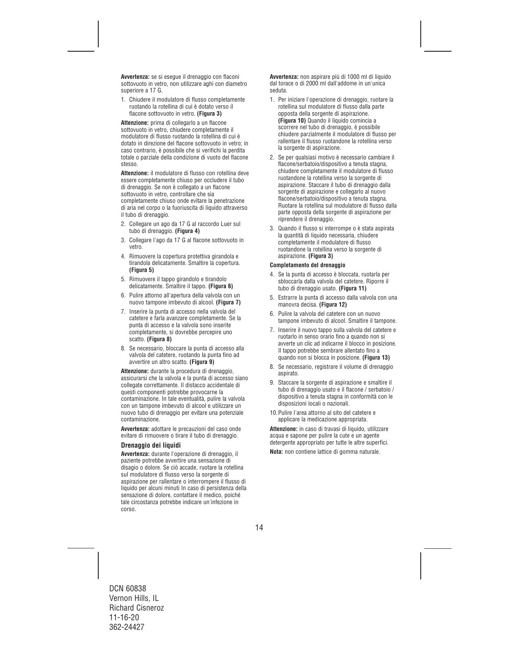**Avvertenza:** se si esegue il drenaggio con flaconi sottovuoto in vetro, non utilizzare aghi con diametro superiore a 17 G.

1. Chiudere il modulatore di flusso completamente ruotando la rotellina di cui è dotato verso il flacone sottovuoto in vetro. **(Figura 3)** 

**Attenzione:** prima di collegarlo a un flacone sottovuoto in vetro, chiudere completamente il modulatore di flusso ruotando la rotellina di cui è dotato in direzione del flacone sottovuoto in vetro; in caso contrario, è possibile che si verifichi la perdita totale o parziale della condizione di vuoto del flacone stesso.

**Attenzione:** il modulatore di flusso con rotellina deve essere completamente chiuso per occludere il tubo di drenaggio. Se non è collegato a un flacone sottovuoto in vetro, controllare che sia completamente chiuso onde evitare la penetrazione di aria nel corpo o la fuoriuscita di liquido attraverso il tubo di drenaggio.

- 2. Collegare un ago da 17 G al raccordo Luer sul tubo di drenaggio. **(Figura 4)**
- 3. Collegare l'ago da 17 G al flacone sottovuoto in vetro.
- 4. Rimuovere la copertura protettiva girandola e tirandola delicatamente. Smaltire la copertura. **(Figura 5)**
- 5. Rimuovere il tappo girandolo e tirandolo delicatamente. Smaltire il tappo. **(Figura 6)**
- 6. Pulire attorno all'apertura della valvola con un nuovo tampone imbevuto di alcool. **(Figura 7)**
- 7. Inserire la punta di accesso nella valvola del catetere e farla avanzare completamente. Se la punta di accesso e la valvola sono inserite completamente, si dovrebbe percepire uno scatto. **(Figura 8)**
- 8. Se necessario, bloccare la punta di accesso alla valvola del catetere, ruotando la punta fino ad avvertire un altro scatto. **(Figura 9)**

**Attenzione:** durante la procedura di drenaggio, assicurarsi che la valvola e la punta di accesso siano collegate correttamente. Il distacco accidentale di questi componenti potrebbe provocarne la contaminazione. In tale eventualità, pulire la valvola con un tampone imbevuto di alcool e utilizzare un nuovo tubo di drenaggio per evitare una potenziale contaminazione.

**Avvertenza:** adottare le precauzioni del caso onde evitare di rimuovere o tirare il tubo di drenaggio.

## **Drenaggio dei liquidi**

**Avvertenza:** durante l'operazione di drenaggio, il paziente potrebbe avvertire una sensazione di disagio o dolore. Se ciò accade, ruotare la rotellina sul modulatore di flusso verso la sorgente di aspirazione per rallentare o interrompere il flusso di liquido per alcuni minuti In caso di persistenza della sensazione di dolore, contattare il medico, poiché tale circostanza potrebbe indicare un'infezione in corso.

**Avvertenza:** non aspirare più di 1000 ml di liquido dal torace o di 2000 ml dall'addome in un'unica seduta.

- 1. Per iniziare l'operazione di drenaggio, ruotare la rotellina sul modulatore di flusso dalla parte opposta della sorgente di aspirazione. **(Figura 10)** Quando il liquido comincia a scorrere nel tubo di drenaggio, è possibile chiudere parzialmente il modulatore di flusso per rallentare il flusso ruotandone la rotellina verso la sorgente di aspirazione.
- 2. Se per qualsiasi motivo è necessario cambiare il flacone/serbatoio/dispositivo a tenuta stagna, chiudere completamente il modulatore di flusso ruotandone la rotellina verso la sorgente di aspirazione. Staccare il tubo di drenaggio dalla sorgente di aspirazione e collegarlo al nuovo flacone/serbatoio/dispositivo a tenuta stagna. Ruotare la rotellina sul modulatore di flusso dalla parte opposta della sorgente di aspirazione per riprendere il drenaggio.
- 3. Quando il flusso si interrompe o è stata aspirata la quantità di liquido necessaria, chiudere completamente il modulatore di flusso ruotandone la rotellina verso la sorgente di aspirazione. **(Figura 3)**

#### **Completamento del drenaggio**

- 4. Se la punta di accesso è bloccata, ruotarla per sbloccarla dalla valvola del catetere. Riporre il tubo di drenaggio usato. **(Figura 11)**
- 5. Estrarre la punta di accesso dalla valvola con una manovra decisa. **(Figura 12)**
- 6. Pulire la valvola del catetere con un nuovo tampone imbevuto di alcool. Smaltire il tampone.
- 7. Inserire il nuovo tappo sulla valvola del catetere e ruotarlo in senso orario fino a quando non si avverte un clic ad indicarne il blocco in posizione. Il tappo potrebbe sembrare allentato fino a quando non si blocca in posizione. **(Figura 13)**
- 8. Se necessario, registrare il volume di drenaggio aspirato.
- 9. Staccare la sorgente di aspirazione e smaltire il tubo di drenaggio usato e il flacone / serbatoio / dispositivo a tenuta stagna in conformità con le disposizioni locali o nazionali.
- 10.Pulire l'area attorno al sito del catetere e applicare la medicazione appropriata.

**Attenzione:** in caso di travasi di liquido, utilizzare acqua e sapone per pulire la cute e un agente detergente appropriato per tutte le altre superfici.

**Nota:** non contiene lattice di gomma naturale.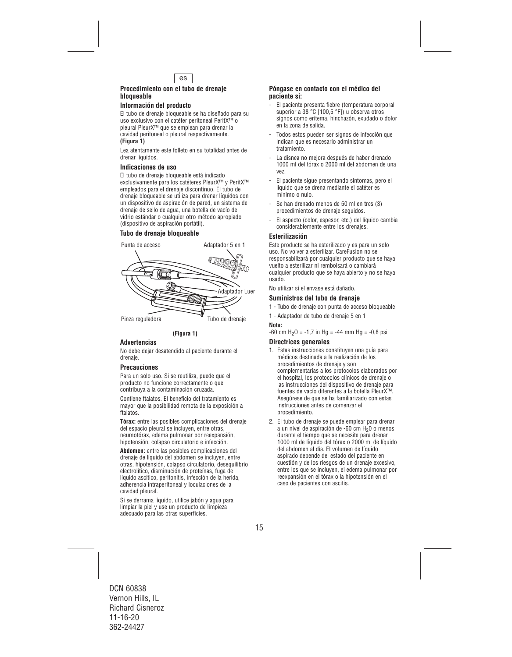

#### **Procedimiento con el tubo de drenaje bloqueable**

## **Información del producto**

El tubo de drenaje bloqueable se ha diseñado para su uso exclusivo con el catéter peritoneal PeritX™ o pleural PleurX™ que se emplean para drenar la cavidad peritoneal o pleural respectivamente. **(Figura 1)** 

Lea atentamente este folleto en su totalidad antes de drenar líquidos.

### **Indicaciones de uso**

El tubo de drenaje bloqueable está indicado exclusivamente para los catéteres PleurX™ y PeritX™ empleados para el drenaje discontinuo. El tubo de drenaje bloqueable se utiliza para drenar líquidos con un dispositivo de aspiración de pared, un sistema de drenaje de sello de agua, una botella de vacío de vidrio estándar o cualquier otro método apropiado (dispositivo de aspiración portátil).

## **Tubo de drenaje bloqueable**





## **Advertencias**

No debe dejar desatendido al paciente durante el drenaje.

## **Precauciones**

Para un solo uso. Si se reutiliza, puede que el producto no funcione correctamente o que contribuya a la contaminación cruzada.

Contiene ftalatos. El beneficio del tratamiento es mayor que la posibilidad remota de la exposición a ftalatos.

**Tórax:** entre las posibles complicaciones del drenaje del espacio pleural se incluyen, entre otras, neumotórax, edema pulmonar por reexpansión, hipotensión, colapso circulatorio e infección.

**Abdomen:** entre las posibles complicaciones del drenaje de líquido del abdomen se incluyen, entre otras, hipotensión, colapso circulatorio, desequilibrio electrolítico, disminución de proteínas, fuga de líquido ascítico, peritonitis, infección de la herida, adherencia intraperitoneal y loculaciones de la cavidad pleural.

Si se derrama líquido, utilice jabón y agua para limpiar la piel y use un producto de limpieza adecuado para las otras superficies.

## **Póngase en contacto con el médico del paciente si:**

- El paciente presenta fiebre (temperatura corporal superior a 38 °C [100,5 °F]) u observa otros signos como eritema, hinchazón, exudado o dolor en la zona de salida.
- Todos estos pueden ser signos de infección que indican que es necesario administrar un tratamiento.
- La disnea no mejora después de haber drenado 1000 ml del tórax o 2000 ml del abdomen de una vez.
- El paciente sigue presentando síntomas, pero el líquido que se drena mediante el catéter es mínimo o nulo.
- Se han drenado menos de 50 ml en tres (3) procedimientos de drenaje seguidos.
- El aspecto (color, espesor, etc.) del líquido cambia considerablemente entre los drenajes.

#### **Esterilización**

Este producto se ha esterilizado y es para un solo uso. No volver a esterilizar. CareFusion no se responsabilizará por cualquier producto que se haya vuelto a esterilizar ni rembolsará o cambiará cualquier producto que se haya abierto y no se haya usado.

No utilizar si el envase está dañado.

#### **Suministros del tubo de drenaje**

- 1 Tubo de drenaje con punta de acceso bloqueable
- 1 Adaptador de tubo de drenaje 5 en 1

#### **Nota:**

 $-60$  cm H<sub>2</sub>O =  $-1,7$  in Hg =  $-44$  mm Hg =  $-0,8$  psi

#### **Directrices generales**

- 1. Estas instrucciones constituyen una guía para médicos destinada a la realización de los procedimientos de drenaje y son complementarias a los protocolos elaborados por el hospital, los protocolos clínicos de drenaje o las instrucciones del dispositivo de drenaje para fuentes de vacío diferentes a la botella PleurX™. Asegúrese de que se ha familiarizado con estas instrucciones antes de comenzar el procedimiento.
- 2. El tubo de drenaje se puede emplear para drenar a un nivel de aspiración de -60 cm  $H<sub>2</sub>0$  o menos durante el tiempo que se necesite para drenar 1000 ml de líquido del tórax o 2000 ml de líquido del abdomen al día. El volumen de líquido aspirado depende del estado del paciente en cuestión y de los riesgos de un drenaje excesivo, entre los que se incluyen, el edema pulmonar por reexpansión en el tórax o la hipotensión en el caso de pacientes con ascitis.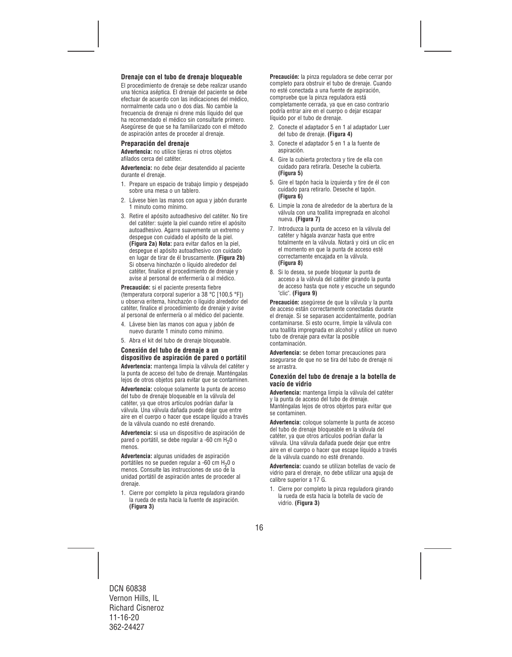## **Drenaje con el tubo de drenaje bloqueable**

El procedimiento de drenaje se debe realizar usando una técnica aséptica. El drenaje del paciente se debe efectuar de acuerdo con las indicaciones del médico, normalmente cada uno o dos días. No cambie la frecuencia de drenaje ni drene más líquido del que ha recomendado el médico sin consultarle primero. Asegúrese de que se ha familiarizado con el método de aspiración antes de proceder al drenaje.

## **Preparación del drenaje**

**Advertencia:** no utilice tijeras ni otros objetos afilados cerca del catéter.

**Advertencia:** no debe dejar desatendido al paciente durante el drenaje.

- 1. Prepare un espacio de trabajo limpio y despejado sobre una mesa o un tablero.
- 2. Lávese bien las manos con agua y jabón durante 1 minuto como mínimo.
- 3. Retire el apósito autoadhesivo del catéter. No tire del catéter: sujete la piel cuando retire el apósito autoadhesivo. Agarre suavemente un extremo y despegue con cuidado el apósito de la piel. **(Figura 2a) Nota:** para evitar daños en la piel, despegue el apósito autoadhesivo con cuidado en lugar de tirar de él bruscamente. **(Figura 2b)**  Si observa hinchazón o líquido alrededor del catéter, finalice el procedimiento de drenaje y avise al personal de enfermería o al médico.

**Precaución:** si el paciente presenta fiebre (temperatura corporal superior a 38 °C [100,5 °F]) u observa eritema, hinchazón o líquido alrededor del catéter, finalice el procedimiento de drenaje y avise al personal de enfermería o al médico del paciente.

- 4. Lávese bien las manos con agua y jabón de nuevo durante 1 minuto como mínimo.
- 5. Abra el kit del tubo de drenaje bloqueable.

## **Conexión del tubo de drenaje a un dispositivo de aspiración de pared o portátil**

**Advertencia:** mantenga limpia la válvula del catéter y la punta de acceso del tubo de drenaje. Manténgalas lejos de otros objetos para evitar que se contaminen.

**Advertencia:** coloque solamente la punta de acceso del tubo de drenaje bloqueable en la válvula del catéter, ya que otros artículos podrían dañar la válvula. Una válvula dañada puede dejar que entre aire en el cuerpo o hacer que escape líquido a través de la válvula cuando no esté drenando.

**Advertencia:** si usa un dispositivo de aspiración de pared o portátil, se debe regular a -60 cm  $H_2$ 0 o menos.

**Advertencia:** algunas unidades de aspiración portátiles no se pueden regular a -60 cm H<sub>2</sub>0 o menos. Consulte las instrucciones de uso de la unidad portátil de aspiración antes de proceder al drenaie.

1. Cierre por completo la pinza reguladora girando la rueda de esta hacia la fuente de aspiración. **(Figura 3)** 

**Precaución:** la pinza reguladora se debe cerrar por completo para obstruir el tubo de drenaje. Cuando no esté conectada a una fuente de aspiración, compruebe que la pinza reguladora está completamente cerrada, ya que en caso contrario podría entrar aire en el cuerpo o dejar escapar líquido por el tubo de drenaje.

- 2. Conecte el adaptador 5 en 1 al adaptador Luer del tubo de drenaje. **(Figura 4)**
- 3. Conecte el adaptador 5 en 1 a la fuente de aspiración.
- 4. Gire la cubierta protectora y tire de ella con cuidado para retirarla. Deseche la cubierta. **(Figura 5)**
- 5. Gire el tapón hacia la izquierda y tire de él con cuidado para retirarlo. Deseche el tapón. **(Figura 6)**
- 6. Limpie la zona de alrededor de la abertura de la válvula con una toallita impregnada en alcohol nueva. **(Figura 7)**
- 7. Introduzca la punta de acceso en la válvula del catéter y hágala avanzar hasta que entre totalmente en la válvula. Notará y oirá un clic en el momento en que la punta de acceso esté correctamente encajada en la válvula. **(Figura 8)**
- 8. Si lo desea, se puede bloquear la punta de acceso a la válvula del catéter girando la punta de acceso hasta que note y escuche un segundo "clic". **(Figura 9)**

**Precaución:** asegúrese de que la válvula y la punta de acceso están correctamente conectadas durante el drenaje. Si se separasen accidentalmente, podrían contaminarse. Si esto ocurre, limpie la válvula con una toallita impregnada en alcohol y utilice un nuevo tubo de drenaje para evitar la posible contaminación.

**Advertencia:** se deben tomar precauciones para asegurarse de que no se tira del tubo de drenaje ni se arrastra.

#### **Conexión del tubo de drenaje a la botella de vacío de vidrio**

**Advertencia:** mantenga limpia la válvula del catéter y la punta de acceso del tubo de drenaje. Manténgalas lejos de otros objetos para evitar que se contaminen.

**Advertencia:** coloque solamente la punta de acceso del tubo de drenaje bloqueable en la válvula del catéter, ya que otros artículos podrían dañar la válvula. Una válvula dañada puede dejar que entre aire en el cuerpo o hacer que escape líquido a través de la válvula cuando no esté drenando.

**Advertencia:** cuando se utilizan botellas de vacío de vidrio para el drenaje, no debe utilizar una aguja de calibre superior a 17 G.

1. Cierre por completo la pinza reguladora girando la rueda de esta hacia la botella de vacío de vidrio. **(Figura 3)**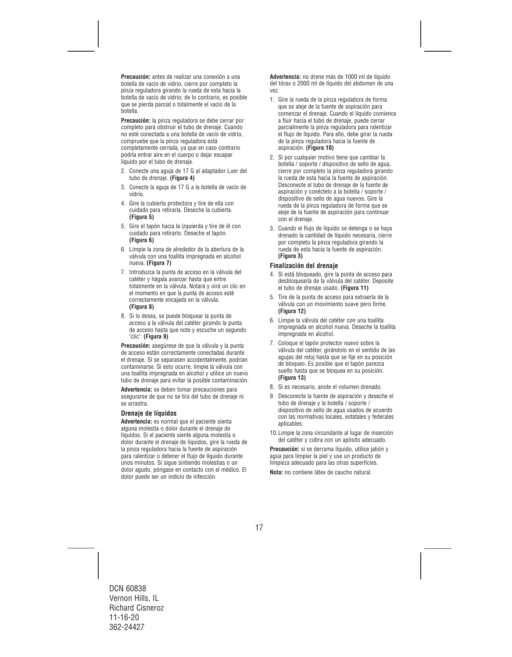**Precaución:** antes de realizar una conexión a una botella de vacío de vidrio, cierre por completo la pinza reguladora girando la rueda de esta hacia la botella de vacío de vidrio; de lo contrario, es posible que se pierda parcial o totalmente el vacío de la botella.

**Precaución:** la pinza reguladora se debe cerrar por completo para obstruir el tubo de drenaje. Cuando no esté conectada a una botella de vacío de vidrio, compruebe que la pinza reguladora está completamente cerrada, ya que en caso contrario podría entrar aire en el cuerpo o dejar escapar líquido por el tubo de drenaje.

- 2. Conecte una aguja de 17 G al adaptador Luer del tubo de drenaje. **(Figura 4)**
- 3. Conecte la aguja de 17 G a la botella de vacío de vidrio.
- 4. Gire la cubierta protectora y tire de ella con cuidado para retirarla. Deseche la cubierta. **(Figura 5)**
- 5. Gire el tapón hacia la izquierda y tire de él con cuidado para retirarlo. Deseche el tapón. **(Figura 6)**
- 6. Limpie la zona de alrededor de la abertura de la válvula con una toallita impregnada en alcohol nueva. **(Figura 7)**
- 7. Introduzca la punta de acceso en la válvula del catéter y hágala avanzar hasta que entre totalmente en la válvula. Notará y oirá un clic en el momento en que la punta de acceso esté correctamente encajada en la válvula. **(Figura 8)**
- 8. Si lo desea, se puede bloquear la punta de acceso a la válvula del catéter girando la punta de acceso hasta que note y escuche un segundo "clic". **(Figura 9)**

**Precaución:** asegúrese de que la válvula y la punta de acceso están correctamente conectadas durante el drenaje. Si se separasen accidentalmente, podrían contaminarse. Si esto ocurre, limpie la válvula con una toallita impregnada en alcohol y utilice un nuevo tubo de drenaje para evitar la posible contaminación.

**Advertencia:** se deben tomar precauciones para asegurarse de que no se tira del tubo de drenaje ni se arrastra.

## **Drenaje de líquidos**

**Advertencia:** es normal que el paciente sienta alguna molestia o dolor durante el drenaje de líquidos. Si el paciente siente alguna molestia o dolor durante el drenaje de líquidos, gire la rueda de la pinza reguladora hacia la fuente de aspiración para ralentizar o detener el flujo de líquido durante unos minutos. Si sigue sintiendo molestias o un dolor agudo, póngase en contacto con el médico. El dolor puede ser un indicio de infección.

**Advertencia:** no drene más de 1000 ml de líquido del tórax o 2000 ml de líquido del abdomen de una vez.

- 1. Gire la rueda de la pinza reguladora de forma que se aleje de la fuente de aspiración para comenzar el drenaje. Cuando el líquido comience a fluir hacia el tubo de drenaje, puede cerrar parcialmente la pinza reguladora para ralentizar el flujo de líquido. Para ello, debe girar la rueda de la pinza reguladora hacia la fuente de aspiración. **(Figura 10)**
- 2. Si por cualquier motivo tiene que cambiar la botella / soporte / dispositivo de sello de agua, cierre por completo la pinza reguladora girando la rueda de esta hacia la fuente de aspiración. Desconecte el tubo de drenaje de la fuente de aspiración y conéctelo a la botella / soporte / dispositivo de sello de agua nuevos. Gire la rueda de la pinza reguladora de forma que se aleje de la fuente de aspiración para continuar con el drenaje.
- 3. Cuando el flujo de líquido se detenga o se haya drenado la cantidad de líquido necesaria, cierre por completo la pinza reguladora girando la rueda de esta hacia la fuente de aspiración. **(Figura 3)**

## **Finalización del drenaje**

- 4. Si está bloqueado, gire la punta de acceso para desbloquearla de la válvula del catéter. Deposite el tubo de drenaje usado. **(Figura 11)**
- 5. Tire de la punta de acceso para extraerla de la válvula con un movimiento suave pero firme. **(Figura 12)**
- 6. Limpie la válvula del catéter con una toallita impregnada en alcohol nueva. Deseche la toallita impregnada en alcohol.
- 7. Coloque el tapón protector nuevo sobre la válvula del catéter, girándolo en el sentido de las agujas del reloj hasta que se fije en su posición de bloqueo. Es posible que el tapón parezca suelto hasta que se bloquea en su posición. **(Figura 13)**
- 8. Si es necesario, anote el volumen drenado.
- 9. Desconecte la fuente de aspiración y deseche el tubo de drenaje y la botella / soporte / dispositivo de sello de agua usados de acuerdo con las normativas locales, estatales y federales aplicables.
- 10.Limpie la zona circundante al lugar de inserción del catéter y cubra con un apósito adecuado.

**Precaución:** si se derrama líquido, utilice jabón y agua para limpiar la piel y use un producto de limpieza adecuado para las otras superficies.

**Nota:** no contiene látex de caucho natural.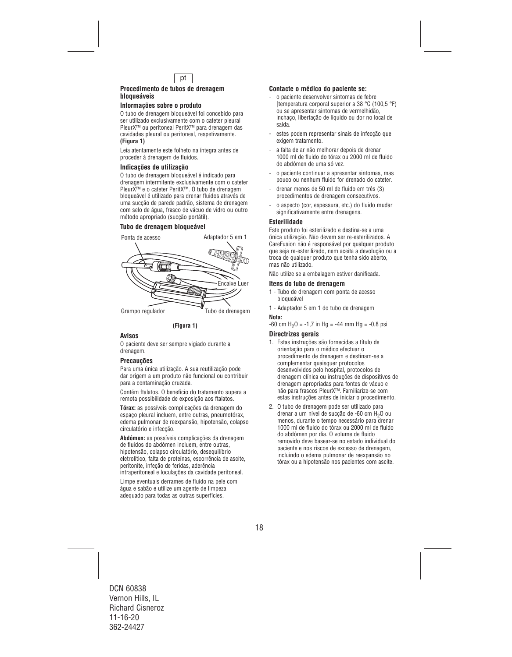

#### **Procedimento de tubos de drenagem bloqueáveis**

## **Informações sobre o produto**

O tubo de drenagem bloqueável foi concebido para ser utilizado exclusivamente com o cateter pleural PleurX™ ou peritoneal PeritX™ para drenagem das cavidades pleural ou peritoneal, respetivamente. **(Figura 1)**

Leia atentamente este folheto na íntegra antes de proceder à drenagem de fluidos.

### **Indicações de utilização**

O tubo de drenagem bloqueável é indicado para drenagem intermitente exclusivamente com o cateter PleurX™ e o cateter PeritX™. O tubo de drenagem bloqueável é utilizado para drenar fluidos através de uma sucção de parede padrão, sistema de drenagem com selo de água, frasco de vácuo de vidro ou outro método apropriado (sucção portátil).

## **Tubo de drenagem bloqueável**



**(Figura 1)**

## **Avisos**

O paciente deve ser sempre vigiado durante a drenagem.

#### **Precauções**

Para uma única utilização. A sua reutilização pode dar origem a um produto não funcional ou contribuir para a contaminação cruzada.

Contém ftalatos. O benefício do tratamento supera a remota possibilidade de exposição aos ftalatos.

**Tórax:** as possíveis complicações da drenagem do espaço pleural incluem, entre outras, pneumotórax, edema pulmonar de reexpansão, hipotensão, colapso circulatório e infecção.

**Abdómen:** as possíveis complicações da drenagem de fluidos do abdómen incluem, entre outras, hipotensão, colapso circulatório, desequilíbrio eletrolítico, falta de proteínas, escorrência de ascite, peritonite, infeção de feridas, aderência intraperitoneal e loculações da cavidade peritoneal.

Limpe eventuais derrames de fluido na pele com água e sabão e utilize um agente de limpeza adequado para todas as outras superfícies.

## **Contacte o médico do paciente se:**

- o paciente desenvolver sintomas de febre [temperatura corporal superior a 38 °C (100,5 °F) ou se apresentar sintomas de vermelhidão, inchaço, libertação de líquido ou dor no local de saída.
- estes podem representar sinais de infecção que exigem tratamento.
- a falta de ar não melhorar depois de drenar 1000 ml de fluido do tórax ou 2000 ml de fluido do abdómen de uma só vez.
- o paciente continuar a apresentar sintomas, mas pouco ou nenhum fluido for drenado do cateter.
- drenar menos de 50 ml de fluido em três (3) procedimentos de drenagem consecutivos.
- o aspecto (cor, espessura, etc.) do fluido mudar significativamente entre drenagens.

#### **Esterilidade**

Este produto foi esterilizado e destina-se a uma única utilização. Não devem ser re-esterilizados. A CareFusion não é responsável por qualquer produto que seja re-esterilizado, nem aceita a devolução ou a troca de qualquer produto que tenha sido aberto, mas não utilizado.

Não utilize se a embalagem estiver danificada.

#### **Itens do tubo de drenagem**

- 1 Tubo de drenagem com ponta de acesso bloqueável
- 1 Adaptador 5 em 1 do tubo de drenagem

#### **Nota:**

 $-60$  cm H<sub>2</sub>O =  $-1.7$  in Hg =  $-44$  mm Hg =  $-0.8$  psi

#### **Directrizes gerais**

- 1. Estas instruções são fornecidas a título de orientação para o médico efectuar o procedimento de drenagem e destinam-se a complementar quaisquer protocolos desenvolvidos pelo hospital, protocolos de drenagem clínica ou instruções de dispositivos de drenagem apropriadas para fontes de vácuo e não para frascos PleurX™. Familiarize-se com estas instruções antes de iniciar o procedimento.
- 2. O tubo de drenagem pode ser utilizado para drenar a um nível de sucção de -60 cm H<sub>2</sub>O ou menos, durante o tempo necessário para drenar 1000 ml de fluido do tórax ou 2000 ml de fluido do abdómen por dia. O volume de fluido removido deve basear-se no estado individual do paciente e nos riscos de excesso de drenagem, incluindo o edema pulmonar de reexpansão no tórax ou a hipotensão nos pacientes com ascite.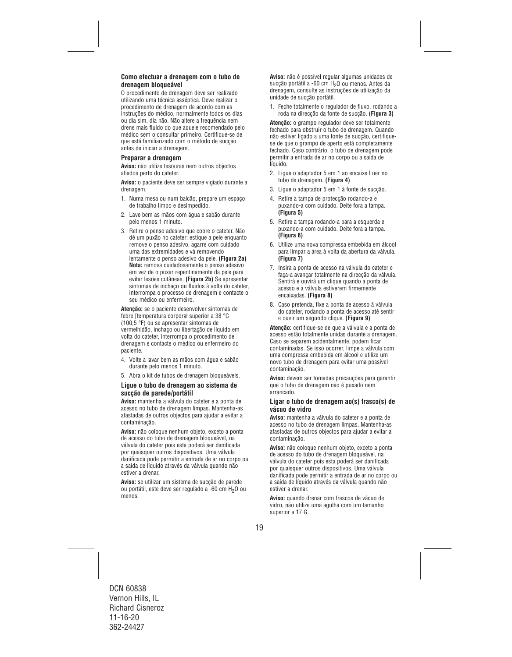## **Como efectuar a drenagem com o tubo de drenagem bloqueável**

O procedimento de drenagem deve ser realizado utilizando uma técnica asséptica. Deve realizar o procedimento de drenagem de acordo com as instruções do médico, normalmente todos os dias ou dia sim, dia não. Não altere a frequência nem drene mais fluido do que aquele recomendado pelo médico sem o consultar primeiro. Certifique-se de que está familiarizado com o método de sucção antes de iniciar a drenagem.

#### **Preparar a drenagem**

**Aviso:** não utilize tesouras nem outros objectos afiados perto do cateter.

**Aviso:** o paciente deve ser sempre vigiado durante a drenagem.

- 1. Numa mesa ou num balcão, prepare um espaço de trabalho limpo e desimpedido.
- 2. Lave bem as mãos com água e sabão durante pelo menos 1 minuto.
- 3. Retire o penso adesivo que cobre o cateter. Não dê um puxão no cateter: estique a pele enquanto remove o penso adesivo, agarre com cuidado uma das extremidades e vá removendo lentamente o penso adesivo da pele. **(Figura 2a) Nota:** remova cuidadosamente o penso adesivo em vez de o puxar repentinamente da pele para evitar lesões cutâneas. **(Figura 2b)** Se apresentar sintomas de inchaço ou fluidos à volta do cateter, interrompa o processo de drenagem e contacte o seu médico ou enfermeiro.

**Atenção:** se o paciente desenvolver sintomas de febre [temperatura corporal superior a 38 °C (100,5 °F) ou se apresentar sintomas de vermelhidão, inchaço ou libertação de líquido em volta do cateter, interrompa o procedimento de drenagem e contacte o médico ou enfermeiro do paciente.

- 4. Volte a lavar bem as mãos com água e sabão durante pelo menos 1 minuto.
- 5. Abra o kit de tubos de drenagem bloqueáveis.

#### **Ligue o tubo de drenagem ao sistema de sucção de parede/portátil**

**Aviso:** mantenha a válvula do cateter e a ponta de acesso no tubo de drenagem limpas. Mantenha-as afastadas de outros objectos para ajudar a evitar a contaminação.

**Aviso:** não coloque nenhum objeto, exceto a ponta de acesso do tubo de drenagem bloqueável, na válvula do cateter pois esta poderá ser danificada por quaisquer outros dispositivos. Uma válvula danificada pode permitir a entrada de ar no corpo ou a saída de líquido através da válvula quando não estiver a drenar.

**Aviso:** se utilizar um sistema de sucção de parede ou portátil, este deve ser regulado a -60 cm H<sub>2</sub>O ou menos.

**Aviso:** não é possível regular algumas unidades de sucção portátil a -60 cm H<sub>2</sub>O ou menos. Antes da drenagem, consulte as instruções de utilização da unidade de sucção portátil.

1. Feche totalmente o regulador de fluxo, rodando a roda na direcção da fonte de sucção. **(Figura 3)** 

**Atenção:** o grampo regulador deve ser totalmente fechado para obstruir o tubo de drenagem. Quando não estiver ligado a uma fonte de sucção, certifiquese de que o grampo de aperto está completamente fechado. Caso contrário, o tubo de drenagem pode permitir a entrada de ar no corpo ou a saída de líquido.

- 2. Ligue o adaptador 5 em 1 ao encaixe Luer no tubo de drenagem. **(Figura 4)**
- 3. Ligue o adaptador 5 em 1 à fonte de sucção.
- 4. Retire a tampa de protecção rodando-a e puxando-a com cuidado. Deite fora a tampa. **(Figura 5)**
- 5. Retire a tampa rodando-a para a esquerda e puxando-a com cuidado. Deite fora a tampa. **(Figura 6)**
- 6. Utilize uma nova compressa embebida em álcool para limpar a área à volta da abertura da válvula. **(Figura 7)**
- 7. Insira a ponta de acesso na válvula do cateter e faça-a avançar totalmente na direcção da válvula. Sentirá e ouvirá um clique quando a ponta de acesso e a válvula estiverem firmemente encaixadas. **(Figura 8)**
- 8. Caso pretenda, fixe a ponta de acesso à válvula do cateter, rodando a ponta de acesso até sentir e ouvir um segundo clique. **(Figura 9)**

**Atenção:** certifique-se de que a válvula e a ponta de acesso estão totalmente unidas durante a drenagem. Caso se separem acidentalmente, podem ficar contaminadas. Se isso ocorrer, limpe a válvula com uma compressa embebida em álcool e utilize um novo tubo de drenagem para evitar uma possível contaminação.

**Aviso:** devem ser tomadas precauções para garantir que o tubo de drenagem não é puxado nem arrancado.

## **Ligar o tubo de drenagem ao(s) frasco(s) de vácuo de vidro**

**Aviso:** mantenha a válvula do cateter e a ponta de acesso no tubo de drenagem limpas. Mantenha-as afastadas de outros objectos para ajudar a evitar a contaminação.

**Aviso:** não coloque nenhum objeto, exceto a ponta de acesso do tubo de drenagem bloqueável, na válvula do cateter pois esta poderá ser danificada por quaisquer outros dispositivos. Uma válvula danificada pode permitir a entrada de ar no corpo ou a saída de líquido através da válvula quando não estiver a drenar.

**Aviso:** quando drenar com frascos de vácuo de vidro, não utilize uma agulha com um tamanho superior a 17 G.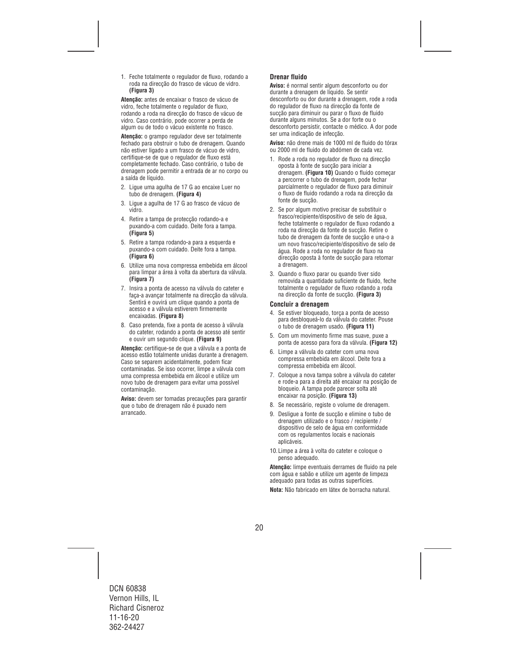1. Feche totalmente o regulador de fluxo, rodando a roda na direcção do frasco de vácuo de vidro. **(Figura 3)** 

**Atenção:** antes de encaixar o frasco de vácuo de vidro, feche totalmente o regulador de fluxo, rodando a roda na direcção do frasco de vácuo de vidro. Caso contrário, pode ocorrer a perda de algum ou de todo o vácuo existente no frasco.

**Atenção:** o grampo regulador deve ser totalmente fechado para obstruir o tubo de drenagem. Quando não estiver ligado a um frasco de vácuo de vidro, certifique-se de que o regulador de fluxo está completamente fechado. Caso contrário, o tubo de drenagem pode permitir a entrada de ar no corpo ou a saída de líquido.

- 2. Ligue uma agulha de 17 G ao encaixe Luer no tubo de drenagem. **(Figura 4)**
- 3. Ligue a agulha de 17 G ao frasco de vácuo de vidro.
- 4. Retire a tampa de protecção rodando-a e puxando-a com cuidado. Deite fora a tampa. **(Figura 5)**
- 5. Retire a tampa rodando-a para a esquerda e puxando-a com cuidado. Deite fora a tampa. **(Figura 6)**
- 6. Utilize uma nova compressa embebida em álcool para limpar a área à volta da abertura da válvula. **(Figura 7)**
- 7. Insira a ponta de acesso na válvula do cateter e faça-a avançar totalmente na direcção da válvula. Sentirá e ouvirá um clique quando a ponta de acesso e a válvula estiverem firmemente encaixadas. **(Figura 8)**
- 8. Caso pretenda, fixe a ponta de acesso à válvula do cateter, rodando a ponta de acesso até sentir e ouvir um segundo clique. **(Figura 9)**

**Atenção:** certifique-se de que a válvula e a ponta de acesso estão totalmente unidas durante a drenagem. Caso se separem acidentalmente, podem ficar contaminadas. Se isso ocorrer, limpe a válvula com uma compressa embebida em álcool e utilize um novo tubo de drenagem para evitar uma possível contaminação.

**Aviso:** devem ser tomadas precauções para garantir que o tubo de drenagem não é puxado nem arrancado.

## **Drenar fluido**

**Aviso:** é normal sentir algum desconforto ou dor durante a drenagem de líquido. Se sentir desconforto ou dor durante a drenagem, rode a roda do regulador de fluxo na direcção da fonte de sucção para diminuir ou parar o fluxo de fluido durante alguns minutos. Se a dor forte ou o desconforto persistir, contacte o médico. A dor pode ser uma indicação de infecção.

**Aviso:** não drene mais de 1000 ml de fluido do tórax ou 2000 ml de fluido do abdómen de cada vez.

- 1. Rode a roda no regulador de fluxo na direcção oposta à fonte de sucção para iniciar a drenagem. **(Figura 10)** Quando o fluido começar a percorrer o tubo de drenagem, pode fechar parcialmente o regulador de fluxo para diminuir o fluxo de fluido rodando a roda na direcção da fonte de sucção.
- 2. Se por algum motivo precisar de substituir o frasco/recipiente/dispositivo de selo de água, feche totalmente o regulador de fluxo rodando a roda na direcção da fonte de sucção. Retire o tubo de drenagem da fonte de sucção e una-o a um novo frasco/recipiente/dispositivo de selo de água. Rode a roda no regulador de fluxo na direcção oposta à fonte de sucção para retomar a drenagem.
- 3. Quando o fluxo parar ou quando tiver sido removida a quantidade suficiente de fluido, feche totalmente o regulador de fluxo rodando a roda na direcção da fonte de sucção. **(Figura 3)**

### **Concluir a drenagem**

- 4. Se estiver bloqueado, torça a ponta de acesso para desbloqueá-lo da válvula do cateter. Pouse o tubo de drenagem usado. **(Figura 11)**
- 5. Com um movimento firme mas suave, puxe a ponta de acesso para fora da válvula. **(Figura 12)**
- 6. Limpe a válvula do cateter com uma nova compressa embebida em álcool. Deite fora a compressa embebida em álcool.
- 7. Coloque a nova tampa sobre a válvula do cateter e rode-a para a direita até encaixar na posição de bloqueio. A tampa pode parecer solta até encaixar na posição. **(Figura 13)**
- 8. Se necessário, registe o volume de drenagem.
- 9. Desligue a fonte de sucção e elimine o tubo de drenagem utilizado e o frasco / recipiente / dispositivo de selo de água em conformidade com os regulamentos locais e nacionais aplicáveis.
- 10.Limpe a área à volta do cateter e coloque o penso adequado.

**Atenção:** limpe eventuais derrames de fluido na pele com água e sabão e utilize um agente de limpeza adequado para todas as outras superfícies.

**Nota:** Não fabricado em látex de borracha natural.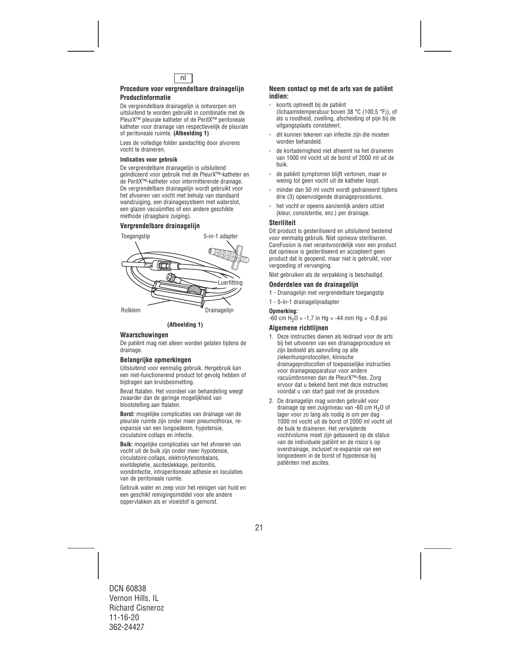

#### **Procedure voor vergrendelbare drainagelijn Productinformatie**

De vergrendelbare drainagelijn is ontworpen om uitsluitend te worden gebruikt in combinatie met de PleurX™ pleurale katheter of de PeritX™ peritoneale katheter voor drainage van respectievelijk de pleurale of peritoneale ruimte. **(Afbeelding 1)** 

Lees de volledige folder aandachtig door alvorens vocht te draineren.

#### **Indicaties voor gebruik**

De vergrendelbare drainagelijn is uitsluitend geïndiceerd voor gebruik met de PleurX™-katheter en de PeritX™-katheter voor intermitterende drainage. De vergrendelbare drainagelijn wordt gebruikt voor het afvoeren van vocht met behulp van standaard wandzuiging, een drainagesysteem met waterslot, een glazen vacuümfles of een andere geschikte methode (draagbare zuiging).

## **Vergrendelbare drainagelijn**





## **Waarschuwingen**

De patiënt mag niet alleen worden gelaten tijdens de drainage.

## **Belangrijke opmerkingen**

Uitsluitend voor eenmalig gebruik. Hergebruik kan een niet-functionerend product tot gevolg hebben of bijdragen aan kruisbesmetting.

Bevat ftalaten. Het voordeel van behandeling weegt zwaarder dan de geringe mogelijkheid van blootstelling aan ftalaten.

**Borst:** mogelijke complicaties van drainage van de pleurale ruimte zijn onder meer pneumothorax, reexpansie van een longoedeem, hypotensie, circulatoire collaps en infectie.

**Buik:** mogelijke complicaties van het afvoeren van vocht uit de buik zijn onder meer hypotensie, circulatoire collaps, elektrolytenonbalans, eiwitdepletie, asciteslekkage, peritonitis, wondinfectie, intraperitoneale adhesie en loculaties van de peritoneale ruimte.

Gebruik water en zeep voor het reinigen van huid en een geschikt reinigingsmiddel voor alle andere oppervlakken als er vloeistof is gemorst.

#### **Neem contact op met de arts van de patiënt indien:**

- koorts optreedt bij de patiënt (lichaamstemperatuur boven 38 °C (100,5 °F)), of als u roodheid, zwelling, afscheiding of pijn bij de uitgangsplaats constateert.
- dit kunnen tekenen van infectie zijn die moeten worden behandeld.
- de kortademigheid niet afneemt na het draineren van 1000 ml vocht uit de borst of 2000 ml uit de buik.
- de patiënt symptomen blijft vertonen, maar er weinig tot geen vocht uit de katheter loopt.
- minder dan 50 ml vocht wordt gedraineerd tijdens drie (3) opeenvolgende drainageprocedures.
- het vocht er opeens aanzienlijk anders uitziet (kleur, consistentie, enz.) per drainage.

## **Steriliteit**

Dit product is gesteriliseerd en uitsluitend bestemd voor eenmalig gebruik. Niet opnieuw steriliseren. CareFusion is niet verantwoordelijk voor een product dat opnieuw is gesteriliseerd en accepteert geen product dat is geopend, maar niet is gebruikt, voor vergoeding of vervanging.

Niet gebruiken als de verpakking is beschadigd.

## **Onderdelen van de drainagelijn**

1 - Drainagelijn met vergrendelbare toegangstip

1 - 5-in-1 drainagelijnadapter

#### **Opmerking:**

 $-60$  cm H<sub>2</sub>O =  $-1.7$  in Hg =  $-44$  mm Hg =  $-0.8$  psi

## **Algemene richtlijnen**

- 1. Deze instructies dienen als leidraad voor de arts bij het uitvoeren van een drainageprocedure en zijn bedoeld als aanvulling op alle ziekenhuisprotocollen, klinische drainageprotocollen of toepasselijke instructies voor drainageapparatuur voor andere vacuümbronnen dan de PleurX™-fles. Zorg ervoor dat u bekend bent met deze instructies voordat u van start gaat met de procedure.
- 2. De drainagelijn mag worden gebruikt voor drainage op een zuigniveau van -60 cm H<sub>2</sub>O of lager voor zo lang als nodig is om per dag 1000 ml vocht uit de borst of 2000 ml vocht uit de buik te draineren. Het verwijderde vochtvolume moet zijn gebaseerd op de status van de individuele patiënt en de risico's op overdrainage, inclusief re-expansie van een longoedeem in de borst of hypotensie bij patiënten met ascites.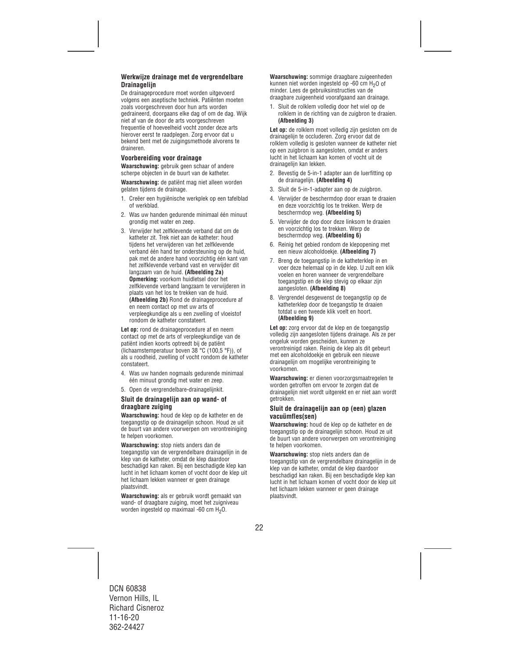## **Werkwijze drainage met de vergrendelbare Drainagelijn**

De drainageprocedure moet worden uitgevoerd volgens een aseptische techniek. Patiënten moeten zoals voorgeschreven door hun arts worden gedraineerd, doorgaans elke dag of om de dag. Wijk niet af van de door de arts voorgeschreven frequentie of hoeveelheid vocht zonder deze arts hierover eerst te raadplegen. Zorg ervoor dat u bekend bent met de zuigingsmethode alvorens te draineren.

## **Voorbereiding voor drainage**

**Waarschuwing:** gebruik geen schaar of andere scherpe objecten in de buurt van de katheter.

**Waarschuwing:** de patiënt mag niet alleen worden gelaten tijdens de drainage.

- 1. Creëer een hygiënische werkplek op een tafelblad of werkblad.
- 2. Was uw handen gedurende minimaal één minuut grondig met water en zeep.
- 3. Verwijder het zelfklevende verband dat om de katheter zit. Trek niet aan de katheter: houd tijdens het verwijderen van het zelfklevende verband één hand ter ondersteuning op de huid, pak met de andere hand voorzichtig één kant van het zelfklevende verband vast en verwijder dit langzaam van de huid. **(Afbeelding 2a) Opmerking:** voorkom huidletsel door het zelfklevende verband langzaam te verwijderen in plaats van het los te trekken van de huid. **(Afbeelding 2b)** Rond de drainageprocedure af en neem contact op met uw arts of verpleegkundige als u een zwelling of vloeistof rondom de katheter constateert.

**Let op:** rond de drainageprocedure af en neem contact op met de arts of verpleegkundige van de patiënt indien koorts optreedt bij de patiënt (lichaamstemperatuur boven 38 °C (100,5 °F)), of als u roodheid, zwelling of vocht rondom de katheter constateert.

- 4. Was uw handen nogmaals gedurende minimaal één minuut grondig met water en zeep.
- 5. Open de vergrendelbare-drainagelijnkit.

## **Sluit de drainagelijn aan op wand- of draagbare zuiging**

**Waarschuwing:** houd de klep op de katheter en de toegangstip op de drainagelijn schoon. Houd ze uit de buurt van andere voorwerpen om verontreiniging te helpen voorkomen.

**Waarschuwing:** stop niets anders dan de toegangstip van de vergrendelbare drainagelijn in de klep van de katheter, omdat de klep daardoor beschadigd kan raken. Bij een beschadigde klep kan lucht in het lichaam komen of vocht door de klep uit het lichaam lekken wanneer er geen drainage plaatsvindt.

**Waarschuwing:** als er gebruik wordt gemaakt van wand- of draagbare zuiging, moet het zuigniveau worden ingesteld op maximaal -60 cm  $H_2O$ .

**Waarschuwing:** sommige draagbare zuigeenheden kunnen niet worden ingesteld op -60 cm H<sub>2</sub>O of minder. Lees de gebruiksinstructies van de draagbare zuigeenheid voorafgaand aan drainage.

1. Sluit de rolklem volledig door het wiel op de rolklem in de richting van de zuigbron te draaien. **(Afbeelding 3)** 

**Let op:** de rolklem moet volledig zijn gesloten om de drainagelijn te occluderen. Zorg ervoor dat de rolklem volledig is gesloten wanneer de katheter niet op een zuigbron is aangesloten, omdat er anders lucht in het lichaam kan komen of vocht uit de drainagelijn kan lekken.

- 2. Bevestig de 5-in-1 adapter aan de luerfitting op de drainagelijn. **(Afbeelding 4)**
- 3. Sluit de 5-in-1-adapter aan op de zuigbron.
- 4. Verwijder de beschermdop door eraan te draaien en deze voorzichtig los te trekken. Werp de beschermdop weg. **(Afbeelding 5)**
- 5. Verwijder de dop door deze linksom te draaien en voorzichtig los te trekken. Werp de beschermdop weg. **(Afbeelding 6)**
- 6. Reinig het gebied rondom de klepopening met een nieuw alcoholdoekje. **(Afbeelding 7)**
- 7. Breng de toegangstip in de katheterklep in en voer deze helemaal op in de klep. U zult een klik voelen en horen wanneer de vergrendelbare toegangstip en de klep stevig op elkaar zijn aangesloten. **(Afbeelding 8)**
- 8. Vergrendel desgewenst de toegangstip op de katheterklep door de toegangstip te draaien totdat u een tweede klik voelt en hoort. **(Afbeelding 9)**

**Let op:** zorg ervoor dat de klep en de toegangstip volledig zijn aangesloten tijdens drainage. Als ze per ongeluk worden gescheiden, kunnen ze verontreinigd raken. Reinig de klep als dit gebeurt met een alcoholdoekje en gebruik een nieuwe drainagelijn om mogelijke verontreiniging te voorkomen.

**Waarschuwing:** er dienen voorzorgsmaatregelen te worden getroffen om ervoor te zorgen dat de drainagelijn niet wordt uitgerekt en er niet aan wordt getrokken.

## **Sluit de drainagelijn aan op (een) glazen vacuümfles(sen)**

**Waarschuwing:** houd de klep op de katheter en de toegangstip op de drainagelijn schoon. Houd ze uit de buurt van andere voorwerpen om verontreiniging te helpen voorkomen.

**Waarschuwing:** stop niets anders dan de toegangstip van de vergrendelbare drainagelijn in de klep van de katheter, omdat de klep daardoor beschadigd kan raken. Bij een beschadigde klep kan lucht in het lichaam komen of vocht door de klep uit het lichaam lekken wanneer er geen drainage plaatsvindt.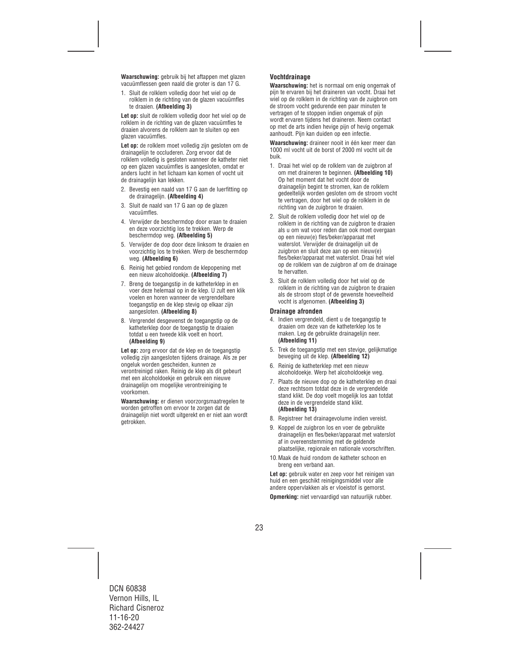**Waarschuwing:** gebruik bij het aftappen met glazen vacuümflessen geen naald die groter is dan 17 G.

1. Sluit de rolklem volledig door het wiel op de rolklem in de richting van de glazen vacuümfles te draaien. **(Afbeelding 3)** 

**Let op:** sluit de rolklem volledig door het wiel op de rolklem in de richting van de glazen vacuümfles te draaien alvorens de rolklem aan te sluiten op een glazen vacuümfles.

Let op: de rolklem moet volledig zijn gesloten om de drainagelijn te occluderen. Zorg ervoor dat de rolklem volledig is gesloten wanneer de katheter niet op een glazen vacuümfles is aangesloten, omdat er anders lucht in het lichaam kan komen of vocht uit de drainagelijn kan lekken.

- 2. Bevestig een naald van 17 G aan de luerfitting op de drainagelijn. **(Afbeelding 4)**
- 3. Sluit de naald van 17 G aan op de glazen vacuümfles.
- 4. Verwijder de beschermdop door eraan te draaien en deze voorzichtig los te trekken. Werp de beschermdop weg. **(Afbeelding 5)**
- 5. Verwijder de dop door deze linksom te draaien en voorzichtig los te trekken. Werp de beschermdop weg. **(Afbeelding 6)**
- 6. Reinig het gebied rondom de klepopening met een nieuw alcoholdoekje. **(Afbeelding 7)**
- 7. Breng de toegangstip in de katheterklep in en voer deze helemaal op in de klep. U zult een klik voelen en horen wanneer de vergrendelbare toegangstip en de klep stevig op elkaar zijn aangesloten. **(Afbeelding 8)**
- 8. Vergrendel desgewenst de toegangstip op de katheterklep door de toegangstip te draaien totdat u een tweede klik voelt en hoort. **(Afbeelding 9)**

**Let op:** zorg ervoor dat de klep en de toegangstip volledig zijn aangesloten tijdens drainage. Als ze per ongeluk worden gescheiden, kunnen ze verontreinigd raken. Reinig de klep als dit gebeurt met een alcoholdoekje en gebruik een nieuwe drainagelijn om mogelijke verontreiniging te voorkomen.

**Waarschuwing:** er dienen voorzorgsmaatregelen te worden getroffen om ervoor te zorgen dat de drainagelijn niet wordt uitgerekt en er niet aan wordt getrokken.

## **Vochtdrainage**

**Waarschuwing:** het is normaal om enig ongemak of pijn te ervaren bij het draineren van vocht. Draai het wiel op de rolklem in de richting van de zuigbron om de stroom vocht gedurende een paar minuten te vertragen of te stoppen indien ongemak of pijn wordt ervaren tijdens het draineren. Neem contact op met de arts indien hevige pijn of hevig ongemak aanhoudt. Pijn kan duiden op een infectie.

**Waarschuwing:** draineer nooit in één keer meer dan 1000 ml vocht uit de borst of 2000 ml vocht uit de buik.

- 1. Draai het wiel op de rolklem van de zuigbron af om met draineren te beginnen. **(Afbeelding 10)**  Op het moment dat het vocht door de drainagelijn begint te stromen, kan de rolklem gedeeltelijk worden gesloten om de stroom vocht te vertragen, door het wiel op de rolklem in de richting van de zuigbron te draaien.
- 2. Sluit de rolklem volledig door het wiel op de rolklem in de richting van de zuigbron te draaien als u om wat voor reden dan ook moet overgaan op een nieuw(e) fles/beker/apparaat met waterslot. Verwijder de drainagelijn uit de zuigbron en sluit deze aan op een nieuw(e) fles/beker/apparaat met waterslot. Draai het wiel op de rolklem van de zuigbron af om de drainage te hervatten.
- 3. Sluit de rolklem volledig door het wiel op de rolklem in de richting van de zuigbron te draaien als de stroom stopt of de gewenste hoeveelheid vocht is afgenomen. **(Afbeelding 3)**

#### **Drainage afronden**

- 4. Indien vergrendeld, dient u de toegangstip te draaien om deze van de katheterklep los te maken. Leg de gebruikte drainagelijn neer. **(Afbeelding 11)**
- 5. Trek de toegangstip met een stevige, gelijkmatige beweging uit de klep. **(Afbeelding 12)**
- 6. Reinig de katheterklep met een nieuw alcoholdoekje. Werp het alcoholdoekje weg.
- 7. Plaats de nieuwe dop op de katheterklep en draai deze rechtsom totdat deze in de vergrendelde stand klikt. De dop voelt mogelijk los aan totdat deze in de vergrendelde stand klikt. **(Afbeelding 13)**
- 8. Registreer het drainagevolume indien vereist.
- 9. Koppel de zuigbron los en voer de gebruikte drainagelijn en fles/beker/apparaat met waterslot af in overeenstemming met de geldende plaatselijke, regionale en nationale voorschriften.
- 10.Maak de huid rondom de katheter schoon en breng een verband aan.

**Let op:** gebruik water en zeep voor het reinigen van huid en een geschikt reinigingsmiddel voor alle andere oppervlakken als er vloeistof is gemorst.

**Opmerking:** niet vervaardigd van natuurlijk rubber.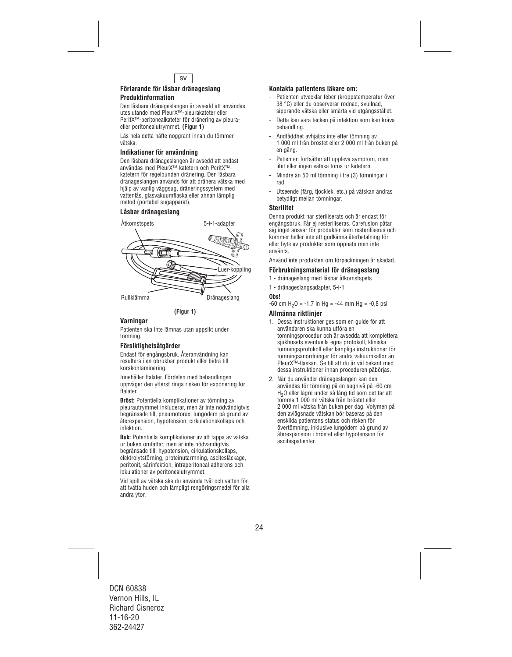

#### **Förfarande för låsbar dränageslang Produktinformation**

#### Den låsbara dränageslangen är avsedd att användas uteslutande med PleurX™-pleurakateter eller PeritX™-peritonealkateter för dränering av pleuraeller peritonealutrymmet. **(Figur 1)**

Läs hela detta häfte noggrant innan du tömmer vätska.

## **Indikationer för användning**

Den låsbara dränageslangen är avsedd att endast användas med PleurX™-katetern och PeritX™ katetern för regelbunden dränering. Den låsbara dränageslangen används för att dränera vätska med hjälp av vanlig väggsug, dräneringssystem med vattenlås, glasvakuumflaska eller annan lämplig metod (portabel sugapparat).

## **Låsbar dränageslang**



## **(Figur 1)**

## **Varningar**

Patienten ska inte lämnas utan uppsikt under tömning.

## **Försiktighetsåtgärder**

Endast för engångsbruk. Återanvändning kan resultera i en obrukbar produkt eller bidra till korskontaminering.

Innehåller ftalater. Fördelen med behandlingen uppväger den ytterst ringa risken för exponering för ftalater.

**Bröst:** Potentiella komplikationer av tömning av pleurautrymmet inkluderar, men är inte nödvändigtvis begränsade till, pneumotorax, lungödem på grund av återexpansion, hypotension, cirkulationskollaps och infektion.

**Buk:** Potentiella komplikationer av att tappa av vätska ur buken omfattar, men är inte nödvändigtvis begränsade till, hypotension, cirkulationskollaps, elektrolytstörning, proteinutarmning, ascitesläckage, peritonit, sårinfektion, intraperitoneal adherens och lokulationer av peritonealutrymmet.

Vid spill av vätska ska du använda tvål och vatten för att tvätta huden och lämpligt rengöringsmedel för alla andra ytor.

## **Kontakta patientens läkare om:**

- Patienten utvecklar feber (kroppstemperatur över 38 °C) eller du observerar rodnad, svullnad, sipprande vätska eller smärta vid utgångsstället.
- Detta kan vara tecken på infektion som kan kräva behandling.
- Andfåddhet avhjälps inte efter tömning av 1 000 ml från bröstet eller 2 000 ml från buken på en gång.
- Patienten fortsätter att uppleva symptom, men litet eller ingen vätska töms ur katetern.
- Mindre än 50 ml tömning i tre (3) tömningar i rad.
- Utseende (färg, tjocklek, etc.) på vätskan ändras betydligt mellan tömningar.

#### **Sterilitet**

Denna produkt har steriliserats och är endast för engångsbruk. Får ej resteriliseras. Carefusion påtar sig inget ansvar för produkter som resteriliseras och kommer heller inte att godkänna återbetalning för eller byte av produkter som öppnats men inte använts.

Använd inte produkten om förpackningen är skadad.

## **Förbrukningsmaterial för dränageslang**

- 1 dränageslang med låsbar åtkomstspets
- 1 dränageslangsadapter, 5-i-1

#### **Obs!**

 $-60$  cm H<sub>2</sub>O =  $-1.7$  in Hg =  $-44$  mm Hg =  $-0.8$  psi

## **Allmänna riktlinjer**

- 1. Dessa instruktioner ges som en guide för att användaren ska kunna utföra en tömningsprocedur och är avsedda att komplettera sjukhusets eventuella egna protokoll, kliniska tömningsprotokoll eller lämpliga instruktioner för tömningsanordningar för andra vakuumkällor än PleurX™-flaskan. Se till att du är väl bekant med dessa instruktioner innan proceduren påbörjas.
- 2. När du använder dränageslangen kan den användas för tömning på en sugnivå på -60 cm H2O eller lägre under så lång tid som det tar att tömma 1 000 ml vätska från bröstet eller 2 000 ml vätska från buken per dag. Volymen på den avlägsnade vätskan bör baseras på den enskilda patientens status och risken för övertömning, inklusive lungödem på grund av återexpansion i bröstet eller hypotension för ascitespatienter.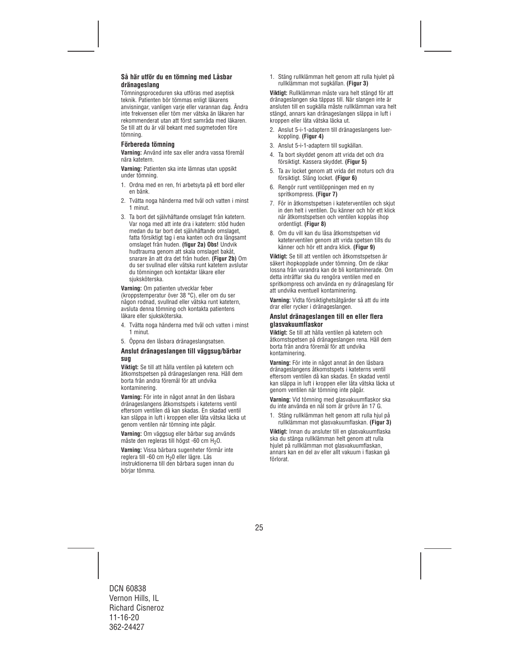## **Så här utför du en tömning med Låsbar dränageslang**

Tömningsproceduren ska utföras med aseptisk teknik. Patienten bör tömmas enligt läkarens anvisningar, vanligen varje eller varannan dag. Ändra inte frekvensen eller töm mer vätska än läkaren har rekommenderat utan att först samråda med läkaren. Se till att du är väl bekant med sugmetoden före tömning.

## **Förbereda tömning**

**Varning:** Använd inte sax eller andra vassa föremål nära katetern.

**Varning:** Patienten ska inte lämnas utan uppsikt under tömning.

- 1. Ordna med en ren, fri arbetsyta på ett bord eller en bänk.
- 2. Tvätta noga händerna med tvål och vatten i minst 1 minut.
- 3. Ta bort det självhäftande omslaget från katetern. Var noga med att inte dra i katetern: stöd huden medan du tar bort det självhäftande omslaget, fatta försiktigt tag i ena kanten och dra långsamt omslaget från huden. **(figur 2a) Obs!** Undvik hudtrauma genom att skala omslaget bakåt, snarare än att dra det från huden. **(Figur 2b)** Om du ser svullnad eller vätska runt katetern avslutar du tömningen och kontaktar läkare eller siuksköterska.

**Varning:** Om patienten utvecklar feber

(kroppstemperatur över 38 °C), eller om du ser någon rodnad, svullnad eller vätska runt katetern, avsluta denna tömning och kontakta patientens läkare eller siuksköterska.

- 4. Tvätta noga händerna med tvål och vatten i minst 1 minut.
- 5. Öppna den låsbara dränageslangsatsen.

## **Anslut dränageslangen till väggsug/bärbar sug**

**Viktigt:** Se till att hålla ventilen på katetern och åtkomstspetsen på dränageslangen rena. Håll dem borta från andra föremål för att undvika kontaminering.

**Varning:** För inte in något annat än den låsbara dränageslangens åtkomstspets i kateterns ventil eftersom ventilen då kan skadas. En skadad ventil kan släppa in luft i kroppen eller låta vätska läcka ut genom ventilen när tömning inte pågår.

**Varning:** Om väggsug eller bärbar sug används måste den regleras till högst -60 cm H<sub>2</sub>O.

**Varning:** Vissa bärbara sugenheter förmår inte reglera till -60 cm H<sub>2</sub>0 eller lägre. Läs instruktionerna till den bärbara sugen innan du börjar tömma.

1. Stäng rullklämman helt genom att rulla hjulet på rullklämman mot sugkällan. **(Figur 3)** 

**Viktigt:** Rullklämman måste vara helt stängd för att dränageslangen ska täppas till. När slangen inte är ansluten till en sugkälla måste rullklämman vara helt stängd, annars kan dränageslangen släppa in luft i kroppen eller låta vätska läcka ut.

- 2. Anslut 5-i-1-adaptern till dränageslangens luerkoppling. **(Figur 4)**
- 3. Anslut 5-i-1-adaptern till sugkällan.
- 4. Ta bort skyddet genom att vrida det och dra försiktigt. Kassera skyddet. **(Figur 5)**
- 5. Ta av locket genom att vrida det moturs och dra försiktigt. Släng locket. **(Figur 6)**
- 6. Rengör runt ventilöppningen med en ny spritkompress. **(Figur 7)**
- 7. För in åtkomstspetsen i kateterventilen och skjut in den helt i ventilen. Du känner och hör ett klick när åtkomstspetsen och ventilen kopplas ihop ordentligt. **(Figur 8)**
- 8. Om du vill kan du låsa åtkomstspetsen vid kateterventilen genom att vrida spetsen tills du känner och hör ett andra klick. **(Figur 9)**

**Viktigt:** Se till att ventilen och åtkomstspetsen är säkert ihopkopplade under tömning. Om de råkar lossna från varandra kan de bli kontaminerade. Om detta inträffar ska du rengöra ventilen med en spritkompress och använda en ny dränageslang för att undvika eventuell kontaminering.

**Varning:** Vidta försiktighetsåtgärder så att du inte drar eller rycker i dränageslangen.

#### **Anslut dränageslangen till en eller flera glasvakuumflaskor**

**Viktigt:** Se till att hålla ventilen på katetern och åtkomstspetsen på dränageslangen rena. Håll dem borta från andra föremål för att undvika kontaminering.

**Varning:** För inte in något annat än den låsbara dränageslangens åtkomstspets i kateterns ventil eftersom ventilen då kan skadas. En skadad ventil kan släppa in luft i kroppen eller låta vätska läcka ut genom ventilen när tömning inte pågår.

**Varning:** Vid tömning med glasvakuumflaskor ska du inte använda en nål som är grövre än 17 G.

1. Stäng rullklämman helt genom att rulla hjul på rullklämman mot glasvakuumflaskan. **(Figur 3)** 

**Viktigt:** Innan du ansluter till en glasvakuumflaska ska du stänga rullklämman helt genom att rulla hjulet på rullklämman mot glasvakuumflaskan, annars kan en del av eller allt vakuum i flaskan gå förlorat.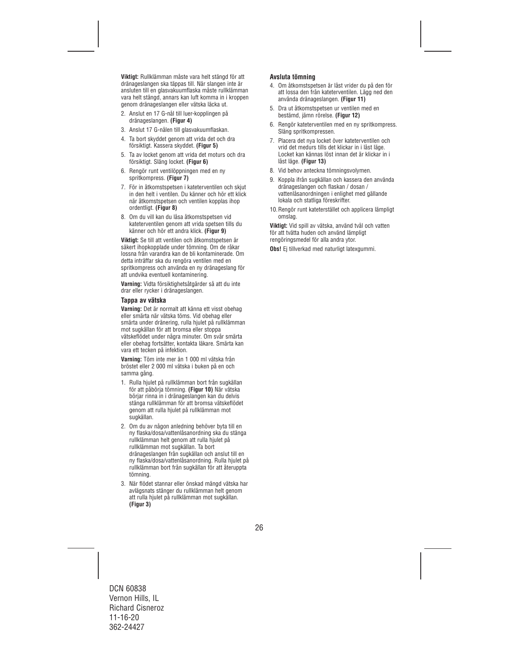**Viktigt:** Rullklämman måste vara helt stängd för att dränageslangen ska täppas till. När slangen inte är ansluten till en glasvakuumflaska måste rullklämman vara helt stängd, annars kan luft komma in i kroppen genom dränageslangen eller vätska läcka ut.

- 2. Anslut en 17 G-nål till luer-kopplingen på dränageslangen. **(Figur 4)**
- 3. Anslut 17 G-nålen till glasvakuumflaskan.
- 4. Ta bort skyddet genom att vrida det och dra försiktigt. Kassera skyddet. **(Figur 5)**
- 5. Ta av locket genom att vrida det moturs och dra försiktigt. Släng locket. **(Figur 6)**
- 6. Rengör runt ventilöppningen med en ny spritkompress. **(Figur 7)**
- 7. För in åtkomstspetsen i kateterventilen och skjut in den helt i ventilen. Du känner och hör ett klick när åtkomstspetsen och ventilen kopplas ihop ordentligt. **(Figur 8)**
- 8. Om du vill kan du låsa åtkomstspetsen vid kateterventilen genom att vrida spetsen tills du känner och hör ett andra klick. **(Figur 9)**

**Viktigt:** Se till att ventilen och åtkomstspetsen är säkert ihopkopplade under tömning. Om de råkar lossna från varandra kan de bli kontaminerade. Om detta inträffar ska du rengöra ventilen med en spritkompress och använda en ny dränageslang för att undvika eventuell kontaminering.

**Varning:** Vidta försiktighetsåtgärder så att du inte drar eller rycker i dränageslangen.

## **Tappa av vätska**

**Varning:** Det är normalt att känna ett visst obehag eller smärta när vätska töms. Vid obehag eller smärta under dränering, rulla hjulet på rullklämman mot sugkällan för att bromsa eller stoppa vätskeflödet under några minuter. Om svår smärta eller obehag fortsätter, kontakta läkare. Smärta kan vara ett tecken på infektion.

**Varning:** Töm inte mer än 1 000 ml vätska från bröstet eller 2 000 ml vätska i buken på en och samma gång.

- 1. Rulla hjulet på rullklämman bort från sugkällan för att påbörja tömning. **(Figur 10)** När vätska börjar rinna in i dränageslangen kan du delvis stänga rullklämman för att bromsa vätskeflödet genom att rulla hjulet på rullklämman mot sugkällan.
- 2. Om du av någon anledning behöver byta till en ny flaska/dosa/vattenlåsanordning ska du stänga rullklämman helt genom att rulla hjulet på rullklämman mot sugkällan. Ta bort dränageslangen från sugkällan och anslut till en ny flaska/dosa/vattenlåsanordning. Rulla hjulet på rullklämman bort från sugkällan för att återuppta tömning.
- 3. När flödet stannar eller önskad mängd vätska har avlägsnats stänger du rullklämman helt genom att rulla hjulet på rullklämman mot sugkällan. **(Figur 3)**

## **Avsluta tömning**

- 4. Om åtkomstspetsen är låst vrider du på den för att lossa den från kateterventilen. Lägg ned den använda dränageslangen. **(Figur 11)**
- 5. Dra ut åtkomstspetsen ur ventilen med en bestämd, jämn rörelse. **(Figur 12)**
- 6. Rengör kateterventilen med en ny spritkompress. Släng spritkompressen.
- 7. Placera det nya locket över kateterventilen och vrid det medurs tills det klickar in i låst läge. Locket kan kännas löst innan det är klickar in i låst läge. **(Figur 13)**
- 8. Vid behov anteckna tömningsvolymen.
- 9. Koppla ifrån sugkällan och kassera den använda dränageslangen och flaskan / dosan / vattenlåsanordningen i enlighet med gällande lokala och statliga föreskrifter.
- 10.Rengör runt kateterstället och applicera lämpligt omslag.

**Viktigt:** Vid spill av vätska, använd tvål och vatten för att tvätta huden och använd lämpligt rengöringsmedel för alla andra ytor.

**Obs!** Ei tillverkad med naturligt latexgummi.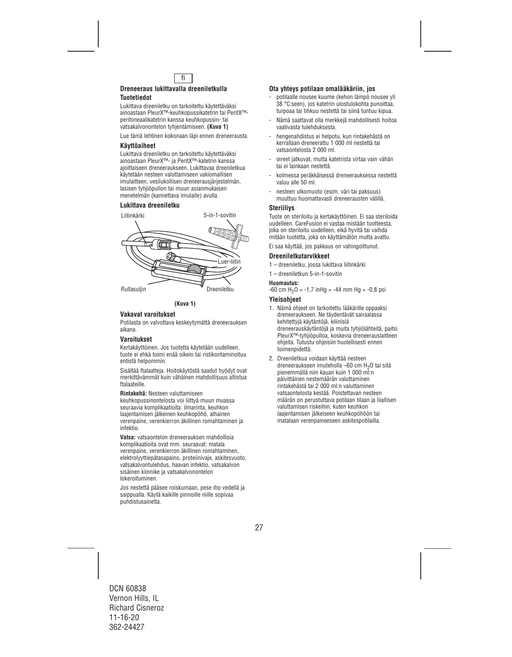

#### **Dreneeraus lukittavalla dreeniletkulla Tuotetiedot**

Lukittava dreeniletku on tarkoitettu käytettäväksi ainoastaan PleurX™-keuhkopussikatetrin tai PeritX™ peritoneaalikatetrin kanssa keuhkopussin- tai vatsakalvonontelon tyhjentämiseen. **(Kuva 1)** 

Lue tämä lehtinen kokonaan läpi ennen dreneerausta.

## **Käyttöaiheet**

Lukittava dreeniletku on tarkoitettu käytettäväksi ainoastaan PleurX™- ja PeritX™-katetrin kanssa ajoittaiseen dreneeraukseen. Lukittavaa dreeniletkua käytetään nesteen valuttamiseen vakiomallisen imulaitteen, vesilukollisen dreneerausjärjestelmän, lasisen tyhjiöpullon tai muun asianmukaisen menetelmän (kannettava imulaite) avulla.

## **Lukittava dreeniletku**



**(Kuva 1)**

## **Vakavat varoitukset**

Potilasta on valvottava keskeytymättä dreneerauksen aikana.

## **Varoitukset**

Kertakäyttöinen. Jos tuotetta käytetään uudelleen, tuote ei ehkä toimi enää oikein tai ristikontaminoituu entistä helpommin.

Sisältää ftalaatteja. Hoitokäytöstä saadut hyödyt ovat merkittävämmät kuin vähäinen mahdollisuus altistua ftalaateille.

**Rintakehä:** Nesteen valuttamiseen

keuhkopussinontelosta voi liittyä muun muassa seuraavia komplikaatioita: ilmarinta, keuhkon laajentamisen jälkeinen keuhkopöhö, alhainen verenpaine, verenkierron äkillinen romahtaminen ja infektio.

**Vatsa:** vatsaontelon dreneerauksen mahdollisia komplikaatioita ovat mm. seuraavat: matala verenpaine, verenkierron äkillinen romahtaminen, elektrolyyttiepätasapaino, proteiinivaje, askitesvuoto, vatsakalvontulehdus, haavan infektio, vatsakalvon sisäinen kiinnike ja vatsakalvonontelon lokeroituminen.

Jos nestettä pääsee roiskumaan, pese iho vedellä ja saippualla. Käytä kaikille pinnoille niille sopivaa puhdistusainetta.

## **Ota yhteys potilaan omalääkäriin, jos**

- potilaalle nousee kuume (kehon lämpö nousee yli 38 °C:seen), jos katetrin ulostulokohta punoittaa, turpoaa tai tihkuu nestettä tai siinä tuntuu kipua.
- Nämä saattavat olla merkkejä mahdollisesti hoitoa vaativasta tulehduksesta.
- hengenahdistus ei helpotu, kun rintakehästä on kerrallaan dreneerattu 1 000 ml nestettä tai vatsaontelosta 2 000 ml.
- oireet jatkuvat, mutta katetrista virtaa vain vähän tai ei lainkaan nestettä.
- kolmessa peräkkäisessä dreneerauksessa nestettä valuu alle 50 ml.
- nesteen ulkomuoto (esim. väri tai paksuus) muuttuu huomattavasti dreneerausten välillä.

## **Steriiliys**

Tuote on steriloitu ja kertakäyttöinen. Ei saa steriloida uudelleen. CareFusion ei vastaa mistään tuotteesta, joka on steriloitu uudelleen, eikä hyvitä tai vaihda mitään tuotetta, joka on käyttämätön mutta avattu.

Ei saa käyttää, jos pakkaus on vahingoittunut.

## **Dreeniletkutarvikkeet**

- 1 dreeniletku, jossa lukittava liitinkärki
- 1 dreeniletkun 5-in-1-sovitin

#### **Huomautus:**

 $-60$  cm H<sub>2</sub>O =  $-1,7$  inHg =  $-44$  mm Hg =  $-0,8$  psi

#### **Yleisohjeet**

- 1. Nämä ohjeet on tarkoitettu lääkärille oppaaksi dreneeraukseen. Ne täydentävät sairaalassa kehitettyjä käytäntöjä, kliinisiä dreneerauskäytäntöjä ja muita tyhjiölähteitä, paitsi PleurX™-tyhjiöpulloa, koskevia dreneerauslaitteen ohjeita. Tutustu ohjeisiin huolellisesti ennen toimenpidettä.
- 2. Dreeniletkua voidaan käyttää nesteen dreneeraukseen imuteholla –60 cm H2O tai sitä pienemmällä niin kauan kuin 1 000 ml:n päivittäinen nestemäärän valuttaminen rintakehästä tai 2 000 ml:n valuttaminen vatsaontelosta kestää. Poistettavan nesteen määrän on perustuttava potilaan tilaan ja liiallisen valuttamisen riskeihin, kuten keuhkon laajentamisen jälkeiseen keuhkopöhöön tai matalaan verenpaineeseen askitespotilailla.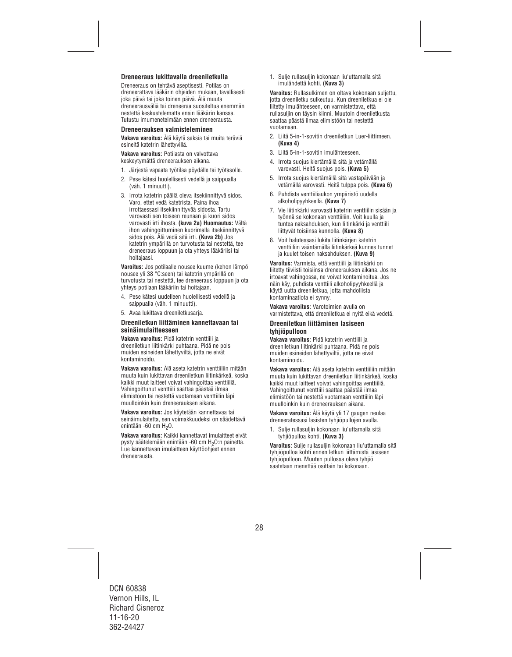## **Dreneeraus lukittavalla dreeniletkulla**

Dreneeraus on tehtävä aseptisesti. Potilas on dreneerattava lääkärin ohjeiden mukaan, tavallisesti joka päivä tai joka toinen päivä. Älä muuta dreneerausväliä tai dreneeraa suositeltua enemmän nestettä keskustelematta ensin lääkärin kanssa. Tutustu imumenetelmään ennen dreneerausta.

#### **Dreneerauksen valmisteleminen**

**Vakava varoitus:** Älä käytä saksia tai muita teräviä esineitä katetrin lähettyvillä.

**Vakava varoitus:** Potilasta on valvottava keskeytymättä dreneerauksen aikana.

- 1. Järjestä vapaata työtilaa pöydälle tai työtasolle.
- 2. Pese kätesi huolellisesti vedellä ja saippualla (väh. 1 minuutti).
- 3. Irrota katetrin päällä oleva itsekiinnittyvä sidos. Varo, ettet vedä katetrista. Paina ihoa irrottaessasi itsekiinnittyvää sidosta. Tartu varovasti sen toiseen reunaan ja kuori sidos varovasti irti ihosta. **(kuva 2a) Huomautus:** Vältä ihon vahingoittuminen kuorimalla itsekiinnittyvä sidos pois. Älä vedä sitä irti. **(Kuva 2b)** Jos katetrin ympärillä on turvotusta tai nestettä, tee dreneeraus loppuun ja ota yhteys lääkäriisi tai hoitajaasi.

**Varoitus:** Jos potilaalle nousee kuume (kehon lämpö nousee yli 38 °C:seen) tai katetrin ympärillä on turvotusta tai nestettä, tee dreneeraus loppuun ja ota yhteys potilaan lääkäriin tai hoitajaan.

- 4. Pese kätesi uudelleen huolellisesti vedellä ja saippualla (väh. 1 minuutti).
- 5. Avaa lukittava dreeniletkusarja.

#### **Dreeniletkun liittäminen kannettavaan tai seinäimulaitteeseen**

**Vakava varoitus:** Pidä katetrin venttiili ja dreeniletkun liitinkärki puhtaana. Pidä ne pois muiden esineiden lähettyviltä, jotta ne eivät kontaminoidu.

**Vakava varoitus:** Älä aseta katetrin venttiiliin mitään muuta kuin lukittavan dreeniletkun liitinkärkeä, koska kaikki muut laitteet voivat vahingoittaa venttiiliä. Vahingoittunut venttiili saattaa päästää ilmaa elimistöön tai nestettä vuotamaan venttiilin läpi muulloinkin kuin dreneerauksen aikana.

**Vakava varoitus:** Jos käytetään kannettavaa tai seinäimulaitetta, sen voimakkuudeksi on säädettävä enintään -60 cm H<sub>2</sub>O.

**Vakava varoitus:** Kaikki kannettavat imulaitteet eivät pysty säätelemään enintään -60 cm H<sub>2</sub>O:n painetta. Lue kannettavan imulaitteen käyttöohjeet ennen dreneerausta.

1. Sulje rullasuljin kokonaan liu'uttamalla sitä imulähdettä kohti. **(Kuva 3)** 

**Varoitus:** Rullasulkimen on oltava kokonaan suljettu, jotta dreeniletku sulkeutuu. Kun dreeniletkua ei ole liitetty imulähteeseen, on varmistettava, että rullasuljin on täysin kiinni. Muutoin dreeniletkusta saattaa päästä ilmaa elimistöön tai nestettä vuotamaan.

- 2. Liitä 5-in-1-sovitin dreeniletkun Luer-liittimeen. **(Kuva 4)**
- 3. Liitä 5-in-1-sovitin imulähteeseen.
- 4. Irrota suojus kiertämällä sitä ja vetämällä varovasti. Heitä suojus pois. **(Kuva 5)**
- 5. Irrota suojus kiertämällä sitä vastapäivään ja vetämällä varovasti. Heitä tulppa pois. **(Kuva 6)**
- 6. Puhdista venttiiliaukon ympäristö uudella alkoholipyyhkeellä. **(Kuva 7)**
- 7. Vie liitinkärki varovasti katetrin venttiilin sisään ja työnnä se kokonaan venttiiliin. Voit kuulla ja tuntea naksahduksen, kun liitinkärki ja venttiili liittyvät toisiinsa kunnolla. **(Kuva 8)**
- 8. Voit halutessasi lukita liitinkärjen katetrin venttiiliin vääntämällä liitinkärkeä kunnes tunnet ja kuulet toisen naksahduksen. **(Kuva 9)**

**Varoitus:** Varmista, että venttiili ja liitinkärki on liitetty tiiviisti toisiinsa dreneerauksen aikana. Jos ne irtoavat vahingossa, ne voivat kontaminoitua. Jos näin käy, puhdista venttiili alkoholipyyhkeellä ja käytä uutta dreeniletkua, jotta mahdollista kontaminaatiota ei synny.

**Vakava varoitus:** Varotoimien avulla on varmistettava, että dreeniletkua ei nyitä eikä vedetä.

#### **Dreeniletkun liittäminen lasiseen tyhjiöpulloon**

**Vakava varoitus:** Pidä katetrin venttiili ja dreeniletkun liitinkärki puhtaana. Pidä ne pois muiden esineiden lähettyviltä, jotta ne eivät kontaminoidu.

**Vakava varoitus:** Älä aseta katetrin venttiiliin mitään muuta kuin lukittavan dreeniletkun liitinkärkeä, koska kaikki muut laitteet voivat vahingoittaa venttiiliä. Vahingoittunut venttiili saattaa päästää ilmaa elimistöön tai nestettä vuotamaan venttiilin läpi muulloinkin kuin dreneerauksen aikana.

**Vakava varoitus:** Älä käytä yli 17 gaugen neulaa dreneeratessasi lasisten tyhjiöpullojen avulla.

1. Sulje rullasuljin kokonaan liu'uttamalla sitä tyhjiöpulloa kohti. **(Kuva 3)** 

**Varoitus:** Sulje rullasuljin kokonaan liu'uttamalla sitä tyhjiöpulloa kohti ennen letkun liittämistä lasiseen tyhjiöpulloon. Muuten pullossa oleva tyhjiö saatetaan menettää osittain tai kokonaan.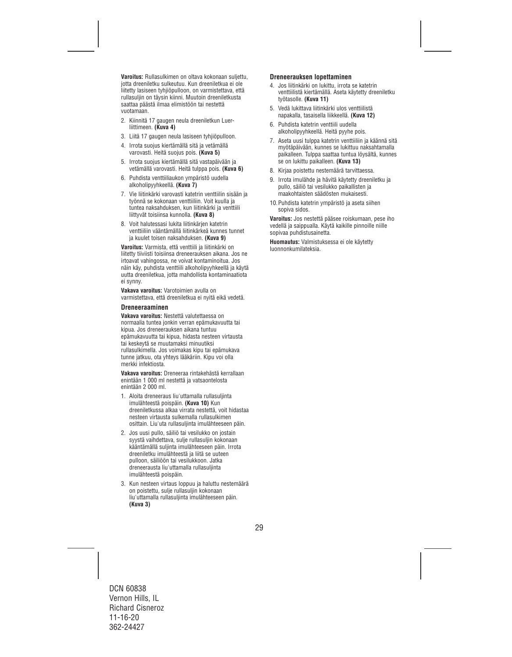**Varoitus:** Rullasulkimen on oltava kokonaan suljettu, jotta dreeniletku sulkeutuu. Kun dreeniletkua ei ole liitetty lasiseen tyhjiöpulloon, on varmistettava, että rullasuljin on täysin kiinni. Muutoin dreeniletkusta saattaa päästä ilmaa elimistöön tai nestettä vuotamaan.

- 2. Kiinnitä 17 gaugen neula dreeniletkun Luerliittimeen. **(Kuva 4)**
- 3. Liitä 17 gaugen neula lasiseen tyhjiöpulloon.
- 4. Irrota suojus kiertämällä sitä ja vetämällä varovasti. Heitä suojus pois. **(Kuva 5)**
- 5. Irrota suojus kiertämällä sitä vastapäivään ja vetämällä varovasti. Heitä tulppa pois. **(Kuva 6)**
- 6. Puhdista venttiiliaukon ympäristö uudella alkoholipyyhkeellä. **(Kuva 7)**
- 7. Vie liitinkärki varovasti katetrin venttiilin sisään ja työnnä se kokonaan venttiiliin. Voit kuulla ja tuntea naksahduksen, kun liitinkärki ja venttiili liittyvät toisiinsa kunnolla. **(Kuva 8)**
- 8. Voit halutessasi lukita liitinkärjen katetrin venttiiliin vääntämällä liitinkärkeä kunnes tunnet ja kuulet toisen naksahduksen. **(Kuva 9)**

**Varoitus:** Varmista, että venttiili ja liitinkärki on liitetty tiiviisti toisiinsa dreneerauksen aikana. Jos ne irtoavat vahingossa, ne voivat kontaminoitua. Jos näin käy, puhdista venttiili alkoholipyyhkeellä ja käytä uutta dreeniletkua, jotta mahdollista kontaminaatiota ei synny.

**Vakava varoitus:** Varotoimien avulla on varmistettava, että dreeniletkua ei nyitä eikä vedetä.

#### **Dreneeraaminen**

**Vakava varoitus:** Nestettä valutettaessa on normaalia tuntea jonkin verran epämukavuutta tai kipua. Jos dreneerauksen aikana tuntuu epämukavuutta tai kipua, hidasta nesteen virtausta tai keskeytä se muutamaksi minuutiksi rullasulkimella. Jos voimakas kipu tai epämukava tunne jatkuu, ota yhteys lääkäriin. Kipu voi olla merkki infektiosta.

**Vakava varoitus:** Dreneeraa rintakehästä kerrallaan enintään 1 000 ml nestettä ja vatsaontelosta enintään 2 000 ml.

- 1. Aloita dreneeraus liu'uttamalla rullasuljinta imulähteestä poispäin. **(Kuva 10)** Kun dreeniletkussa alkaa virrata nestettä, voit hidastaa nesteen virtausta sulkemalla rullasulkimen osittain. Liu'uta rullasuljinta imulähteeseen päin.
- 2. Jos uusi pullo, säiliö tai vesilukko on jostain syystä vaihdettava, sulje rullasuljin kokonaan kääntämällä suljinta imulähteeseen päin. Irrota dreeniletku imulähteestä ja liitä se uuteen pulloon, säiliöön tai vesilukkoon. Jatka dreneerausta liu'uttamalla rullasuljinta imulähteestä poispäin.
- 3. Kun nesteen virtaus loppuu ja haluttu nestemäärä on poistettu, sulje rullasuljin kokonaan liu'uttamalla rullasuljinta imulähteeseen päin. **(Kuva 3)**

## **Dreneerauksen lopettaminen**

- 4. Jos liitinkärki on lukittu, irrota se katetrin venttiilistä kiertämällä. Aseta käytetty dreeniletku työtasolle. **(Kuva 11)**
- 5. Vedä lukittava liitinkärki ulos venttiilistä napakalla, tasaisella liikkeellä. **(Kuva 12)**
- 6. Puhdista katetrin venttiili uudella alkoholipyyhkeellä. Heitä pyyhe pois.
- 7. Aseta uusi tulppa katetrin venttiiliin ja käännä sitä myötäpäivään, kunnes se lukittuu naksahtamalla paikalleen. Tulppa saattaa tuntua löysältä, kunnes se on lukittu paikalleen. **(Kuva 13)**
- 8. Kirjaa poistettu nestemäärä tarvittaessa.
- 9. Irrota imulähde ja hävitä käytetty dreeniletku ja pullo, säiliö tai vesilukko paikallisten ja maakohtaisten säädösten mukaisesti.
- 10.Puhdista katetrin ympäristö ja aseta siihen sopiva sidos.

**Varoitus:** Jos nestettä pääsee roiskumaan, pese iho vedellä ja saippualla. Käytä kaikille pinnoille niille sopivaa puhdistusainetta.

**Huomautus:** Valmistuksessa ei ole käytetty luonnonkumilateksia.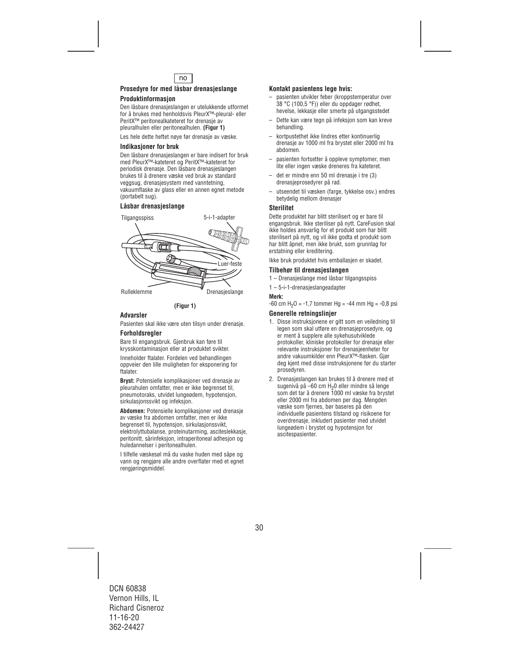

## **Prosedyre for med låsbar drenasjeslange**

## **Produktinformasjon**

Den låsbare drenasjeslangen er utelukkende utformet for å brukes med henholdsvis PleurX™-pleural- eller PeritX™ peritonealkateteret for drenasje av pleuralhulen eller peritonealhulen. **(Figur 1)** 

Les hele dette heftet nøye før drenasje av væske.

## **Indikasjoner for bruk**

Den låsbare drenasjeslangen er bare indisert for bruk med PleurX™-kateteret og PeritX™-kateteret for periodisk drenasje. Den låsbare drenasjeslangen brukes til å drenere væske ved bruk av standard veggsug, drenasjesystem med vanntetning, vakuumflaske av glass eller en annen egnet metode (portabelt sug).

## **Låsbar drenasjeslange**



## **(Figur 1)**

## **Advarsler**

Pasienten skal ikke være uten tilsyn under drenasje.

## **Forholdsregler**

Bare til engangsbruk. Gjenbruk kan føre til krysskontaminasjon eller at produktet svikter.

Inneholder ftalater. Fordelen ved behandlingen oppveier den lille muligheten for eksponering for ftalater.

**Bryst:** Potensielle komplikasjoner ved drenasje av pleurahulen omfatter, men er ikke begrenset til, pneumotoraks, utvidet lungeødem, hypotensjon, sirkulasjonssvikt og infeksjon.

**Abdomen:** Potensielle komplikasjoner ved drenasje av væske fra abdomen omfatter, men er ikke begrenset til, hypotensjon, sirkulasjonssvikt, elektrolyttubalanse, proteinutarming, asciteslekkasje, peritonitt, sårinfeksjon, intraperitoneal adhesjon og huledannelser i peritonealhulen.

I tilfelle væskesøl må du vaske huden med såpe og vann og rengjøre alle andre overflater med et egnet rengjøringsmiddel.

## **Kontakt pasientens lege hvis:**

- pasienten utvikler feber (kroppstemperatur over 38 °C (100,5 °F)) eller du oppdager rødhet, hevelse, lekkasje eller smerte på utgangsstedet
- Dette kan være tegn på infeksjon som kan kreve behandling.
- kortpustethet ikke lindres etter kontinuerlig drenasje av 1000 ml fra brystet eller 2000 ml fra abdomen.
- pasienten fortsetter å oppleve symptomer, men lite eller ingen væske dreneres fra kateteret.
- det er mindre enn 50 ml drenasje i tre (3) drenasjeprosedyrer på rad.
- utseendet til væsken (farge, tykkelse osv.) endres betydelig mellom drenasjer

#### **Sterilitet**

Dette produktet har blitt sterilisert og er bare til engangsbruk. Ikke steriliser på nytt. CareFusion skal ikke holdes ansvarlig for et produkt som har blitt sterilisert på nytt, og vil ikke godta et produkt som har blitt åpnet, men ikke brukt, som grunnlag for erstatning eller kreditering.

Ikke bruk produktet hvis emballasjen er skadet.

## **Tilbehør til drenasjeslangen**

- 1 Drenasjeslange med låsbar tilgangsspiss
- 1 5-i-1-drenasjeslangeadapter

#### **Merk:**

 $-60$  cm H<sub>2</sub>O =  $-1,7$  tommer Hg =  $-44$  mm Hg =  $-0.8$  psi

## **Generelle retningslinjer**

- 1. Disse instruksjonene er gitt som en veiledning til legen som skal utføre en drenasjeprosedyre, og er ment å supplere alle sykehusutviklede protokoller, kliniske protokoller for drenasje eller relevante instruksjoner for drenasjeenheter for andre vakuumkilder enn PleurX™-flasken. Gjør deg kjent med disse instruksjonene før du starter prosedyren.
- 2. Drenasjeslangen kan brukes til å drenere med et sugenivå på –60 cm H<sub>2</sub>0 eller mindre så lenge som det tar å drenere 1000 ml væske fra brystet eller 2000 ml fra abdomen per dag. Mengden væske som fjernes, bør baseres på den individuelle pasientens tilstand og risikoene for overdrenasje, inkludert pasienter med utvidet lungeødem i brystet og hypotensjon for ascitespasienter.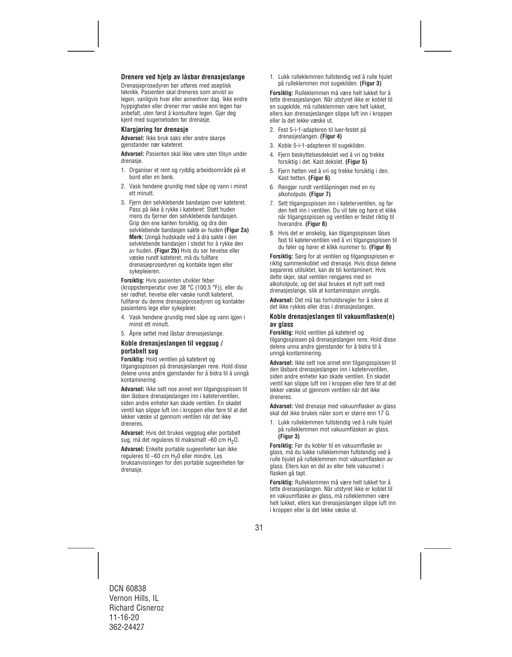## **Drenere ved hjelp av låsbar drenasjeslange**

Drenasjeprosedyren bør utføres med aseptisk teknikk. Pasienten skal dreneres som anvist av legen, vanligvis hver eller annenhver dag. Ikke endre hyppigheten eller drener mer væske enn legen har anbefalt, uten først å konsultere legen. Gjør deg kjent med sugemetoden før drenasje.

## **Klargjøring for drenasje**

**Advarsel:** Ikke bruk saks eller andre skarpe gjenstander nær kateteret.

**Advarsel:** Pasienten skal ikke være uten tilsyn under drenasje.

- 1. Organiser et rent og ryddig arbeidsområde på et bord eller en benk.
- 2. Vask hendene grundig med såpe og vann i minst ett minutt.
- 3. Fiern den selvklebende bandasien over kateteret. Pass på ikke å rykke i kateteret: Støtt huden mens du fjerner den selvklebende bandasjen. Grip den ene kanten forsiktig, og dra den selvklebende bandasjen sakte av huden **(Figur 2a) Merk:** Unngå hudskade ved å dra sakte i den selvklebende bandasjen i stedet for å rykke den av huden. **(Figur 2b)** Hvis du ser hevelse eller væske rundt kateteret, må du fullføre drenasjeprosedyren og kontakte legen eller sykepleieren.

**Forsiktig:** Hvis pasienten utvikler feber (kroppstemperatur over 38 °C (100,5 °F)), eller du ser rødhet, hevelse eller væske rundt kateteret, fullfører du denne drenasjeprosedyren og kontakter pasientens lege eller sykepleier.

- 4. Vask hendene grundig med såpe og vann jgjen i minst ett minutt.
- 5. Åpne settet med låsbar drenasjeslange.

## **Koble drenasjeslangen til veggsug / portabelt sug**

**Forsiktig:** Hold ventilen på kateteret og tilgangsspissen på drenasjeslangen rene. Hold disse delene unna andre gjenstander for å bidra til å unngå kontaminering.

**Advarsel:** Ikke sett noe annet enn tilgangsspissen til den låsbare drenasjeslangen inn i kateterventilen, siden andre enheter kan skade ventilen. En skadet ventil kan slippe luft inn i kroppen eller føre til at det lekker væske ut gjennom ventilen når det ikke dreneres.

**Advarsel:** Hvis det brukes veggsug eller portabelt sug, må det reguleres til maksimalt  $-60$  cm  $H_2O$ .

**Advarsel:** Enkelte portable sugeenheter kan ikke reguleres til –60 cm H20 eller mindre. Les bruksanvisningen for den portable sugeenheten før drenasje.

1. Lukk rulleklemmen fullstendig ved å rulle hjulet på rulleklemmen mot sugekilden. **(Figur 3)** 

**Forsiktig:** Rulleklemmen må være helt lukket for å tette drenasjeslangen. Når utstyret ikke er koblet til en sugekilde, må rulleklemmen være helt lukket, ellers kan drenasjeslangen slippe luft inn i kroppen eller la det lekke væske ut.

- 2. Fest 5-i-1-adapteren til luer-festet på drenasjeslangen. **(Figur 4)**
- 3. Koble 5-i-1-adapteren til sugekilden.
- 4. Fjern beskyttelsesdekslet ved å vri og trekke forsiktig i det. Kast dekslet. **(Figur 5)**
- 5. Fjern hetten ved å vri og trekke forsiktig i den. Kast hetten. **(Figur 6)**
- 6. Rengjør rundt ventilåpningen med en ny alkoholpute. **(Figur 7)**
- 7. Sett tilgangsspissen inn i kateterventilen, og før den helt inn i ventilen. Du vil føle og høre et klikk når tilgangsspissen og ventilen er festet riktig til hverandre. **(Figur 8)**
- 8. Hvis det er ønskelig, kan tilgangsspissen låses fast til kateterventilen ved å vri tilgangsspissen til du føler og hører et klikk nummer to. **(Figur 9)**

**Forsiktig:** Sørg for at ventilen og tilgangsspissen er riktig sammenkoblet ved drenasje. Hvis disse delene separeres utilsiktet, kan de bli kontaminert. Hvis dette skjer, skal ventilen rengjøres med en alkoholpute, og det skal brukes et nytt sett med drenasjeslange, slik at kontaminasjon unngås.

**Advarsel:** Det må tas forholdsregler for å sikre at det ikke rykkes eller dras i drenasjeslangen.

#### **Koble drenasjeslangen til vakuumflasken(e) av glass**

**Forsiktig:** Hold ventilen på kateteret og tilgangsspissen på drenasjeslangen rene. Hold disse delene unna andre gjenstander for å bidra til å unngå kontaminering.

**Advarsel:** Ikke sett noe annet enn tilgangsspissen til den låsbare drenasjeslangen inn i kateterventilen, siden andre enheter kan skade ventilen. En skadet ventil kan slippe luft inn i kroppen eller føre til at det lekker væske ut gjennom ventilen når det ikke dreneres.

**Advarsel:** Ved drenasje med vakuumflasker av glass skal det ikke brukes nåler som er større enn 17 G.

1. Lukk rulleklemmen fullstendig ved å rulle hjulet på rulleklemmen mot vakuumflasken av glass. **(Figur 3)** 

**Forsiktig:** Før du kobler til en vakuumflaske av glass, må du lukke rulleklemmen fullstendig ved å rulle hjulet på rulleklemmen mot vakuumflasken av glass. Ellers kan en del av eller hele vakuumet i flasken gå tapt.

**Forsiktig:** Rulleklemmen må være helt lukket for å tette drenasjeslangen. Når utstyret ikke er koblet til en vakuumflaske av glass, må rulleklemmen være helt lukket, ellers kan drenasjeslangen slippe luft inn i kroppen eller la det lekke væske ut.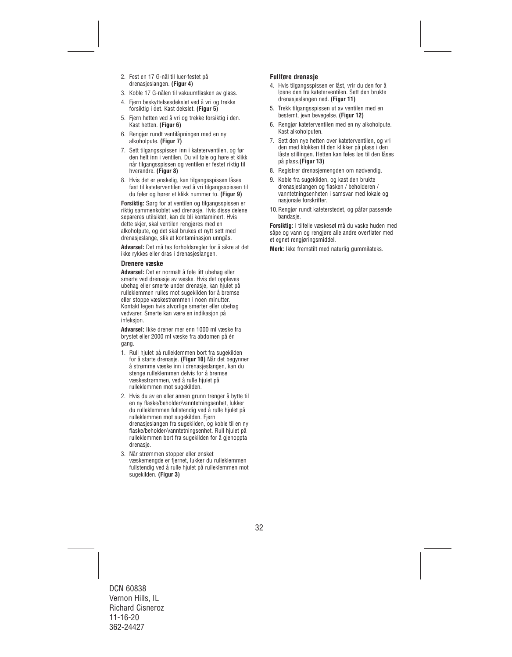- 2. Fest en 17 G-nål til luer-festet på drenasjeslangen. **(Figur 4)**
- 3. Koble 17 G-nålen til vakuumflasken av glass.
- 4. Fjern beskyttelsesdekslet ved å vri og trekke forsiktig i det. Kast dekslet. **(Figur 5)**
- 5. Fjern hetten ved å vri og trekke forsiktig i den. Kast hetten. **(Figur 6)**
- 6. Rengjør rundt ventilåpningen med en ny alkoholpute. **(Figur 7)**
- 7. Sett tilgangsspissen inn i kateterventilen, og før den helt inn i ventilen. Du vil føle og høre et klikk når tilgangsspissen og ventilen er festet riktig til hverandre. **(Figur 8)**
- 8. Hvis det er ønskelig, kan tilgangsspissen låses fast til kateterventilen ved å vri tilgangsspissen til du føler og hører et klikk nummer to. **(Figur 9)**

**Forsiktig:** Sørg for at ventilen og tilgangsspissen er riktig sammenkoblet ved drenasje. Hvis disse delene separeres utilsiktet, kan de bli kontaminert. Hvis dette skjer, skal ventilen rengjøres med en alkoholpute, og det skal brukes et nytt sett med drenasjeslange, slik at kontaminasjon unngås.

**Advarsel:** Det må tas forholdsregler for å sikre at det ikke rykkes eller dras i drenasjeslangen.

## **Drenere væske**

**Advarsel:** Det er normalt å føle litt ubehag eller smerte ved drenasje av væske. Hvis det oppleves ubehag eller smerte under drenasje, kan hjulet på rulleklemmen rulles mot sugekilden for å bremse eller stoppe væskestrømmen i noen minutter. Kontakt legen hvis alvorlige smerter eller ubehag vedvarer. Smerte kan være en indikasjon på infeksjon.

**Advarsel:** Ikke drener mer enn 1000 ml væske fra brystet eller 2000 ml væske fra abdomen på én gang.

- 1. Rull hjulet på rulleklemmen bort fra sugekilden for å starte drenasje. **(Figur 10)** Når det begynner å strømme væske inn i drenasjeslangen, kan du stenge rulleklemmen delvis for å bremse væskestrømmen, ved å rulle hjulet på rulleklemmen mot sugekilden.
- 2. Hvis du av en eller annen grunn trenger å bytte til en ny flaske/beholder/vanntetningsenhet, lukker du rulleklemmen fullstendig ved å rulle hjulet på rulleklemmen mot sugekilden. Fjern drenasjeslangen fra sugekilden, og koble til en ny flaske/beholder/vanntetningsenhet. Rull hjulet på rulleklemmen bort fra sugekilden for å gjenoppta drenasje.
- 3. Når strømmen stopper eller ønsket væskemengde er fjernet, lukker du rulleklemmen fullstendig ved å rulle hjulet på rulleklemmen mot sugekilden. **(Figur 3)**

## **Fullføre drenasje**

- 4. Hvis tilgangsspissen er låst, vrir du den for å løsne den fra kateterventilen. Sett den brukte drenasjeslangen ned. **(Figur 11)**
- 5. Trekk tilgangsspissen ut av ventilen med en bestemt, jevn bevegelse. **(Figur 12)**
- 6. Rengjør kateterventilen med en ny alkoholpute. Kast alkoholputen.
- 7. Sett den nye hetten over kateterventilen, og vri den med klokken til den klikker på plass i den låste stillingen. Hetten kan føles løs til den låses på plass.**(Figur 13)**
- 8. Registrer drenasjemengden om nødvendig.
- 9. Koble fra sugekilden, og kast den brukte drenasjeslangen og flasken / beholderen / vanntetningsenheten i samsvar med lokale og nasjonale forskrifter.
- 10.Rengjør rundt kateterstedet, og påfør passende bandasje.

**Forsiktig:** I tilfelle væskesøl må du vaske huden med såpe og vann og rengjøre alle andre overflater med et egnet rengjøringsmiddel.

**Merk:** Ikke fremstilt med naturlig gummilateks.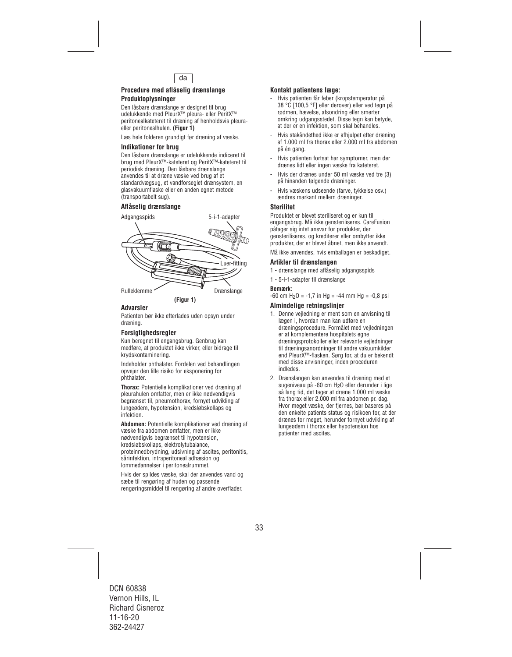

### **Procedure med aflåselig drænslange Produktoplysninger**

Den låsbare drænslange er designet til brug udelukkende med PleurX™ pleura- eller PeritX™ peritonealkateteret til dræning af henholdsvis pleuraeller peritonealhulen. **(Figur 1)** 

Læs hele folderen grundigt før dræning af væske.

## **Indikationer for brug**

Den låsbare drænslange er udelukkende indiceret til brug med PleurX™-kateteret og PeritX™-kateteret til periodisk dræning. Den låsbare drænslange anvendes til at dræne væske ved brug af et standardvægsug, et vandforseglet drænsystem, en glasvakuumflaske eller en anden egnet metode (transportabelt sug).

## **Aflåselig drænslange**



## **Advarsler**

Patienten bør ikke efterlades uden opsyn under dræning.

## **Forsigtighedsregler**

Kun beregnet til engangsbrug. Genbrug kan medføre, at produktet ikke virker, eller bidrage til krydskontaminering.

Indeholder phthalater. Fordelen ved behandlingen opvejer den lille risiko for eksponering for phthalater.

**Thorax:** Potentielle komplikationer ved dræning af pleurahulen omfatter, men er ikke nødvendigvis begrænset til, pneumothorax, fornyet udvikling af lungeødem, hypotension, kredsløbskollaps og infektion.

**Abdomen:** Potentielle komplikationer ved dræning af væske fra abdomen omfatter, men er ikke nødvendigvis begrænset til hypotension, kredsløbskollaps, elektrolytubalance, proteinnedbrydning, udsivning af ascites, peritonitis, sårinfektion, intraperitoneal adhæsion og lommedannelser i peritonealrummet.

Hvis der spildes væske, skal der anvendes vand og sæbe til rengøring af huden og passende rengøringsmiddel til rengøring af andre overflader.

## **Kontakt patientens læge:**

- Hvis patienten får feber (kropstemperatur på 38 °C [100,5 °F] eller derover) eller ved tegn på rødmen, hævelse, afsondring eller smerter omkring udgangsstedet. Disse tegn kan betyde, at der er en infektion, som skal behandles.
- Hvis stakåndethed ikke er afhjulpet efter dræning af 1.000 ml fra thorax eller 2.000 ml fra abdomen på én gang.
- Hvis patienten fortsat har symptomer, men der drænes lidt eller ingen væske fra kateteret.
- Hvis der drænes under 50 ml væske ved tre (3) på hinanden følgende dræninger.
- Hvis væskens udseende (farve, tykkelse osv.) ændres markant mellem dræninger.

## **Sterilitet**

Produktet er blevet steriliseret og er kun til engangsbrug. Må ikke gensteriliseres. CareFusion påtager sig intet ansvar for produkter, der gensteriliseres, og krediterer eller ombytter ikke produkter, der er blevet åbnet, men ikke anvendt.

Må ikke anvendes, hvis emballagen er beskadiget.

## **Artikler til drænslangen**

- 1 drænslange med aflåselig adgangsspids
- 1 5-i-1-adapter til drænslange

#### **Bemærk:**

 $-60$  cm H<sub>2</sub>O =  $-1.7$  in Hg =  $-44$  mm Hg =  $-0.8$  psi

## **Almindelige retningslinjer**

- 1. Denne vejledning er ment som en anvisning til lægen i, hvordan man kan udføre en dræningsprocedure. Formålet med vejledningen er at komplementere hospitalets egne dræningsprotokoller eller relevante vejledninger til dræningsanordninger til andre vakuumkilder end PleurX™-flasken. Sørg for, at du er bekendt med disse anvisninger, inden proceduren indledes.
- 2. Drænslangen kan anvendes til dræning med et sugeniveau på -60 cm H2O eller derunder i lige så lang tid, det tager at dræne 1.000 ml væske fra thorax eller 2.000 ml fra abdomen pr. dag. Hvor meget væske, der fjernes, bør baseres på den enkelte patients status og risikoen for, at der drænes for meget, herunder fornyet udvikling af lungeødem i thorax eller hypotension hos patienter med ascites.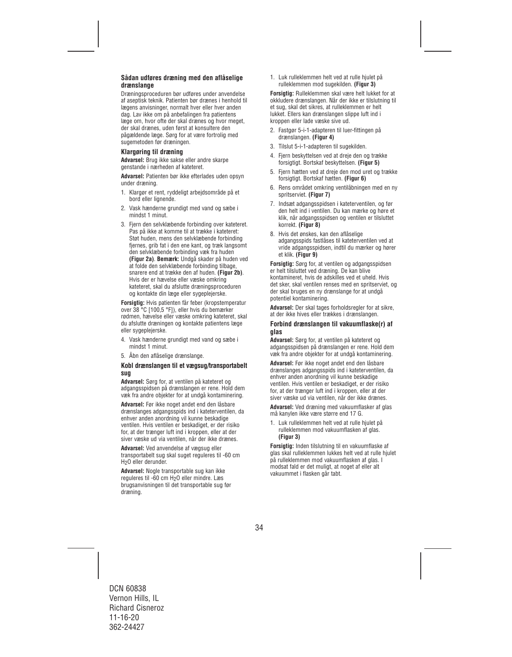## **Sådan udføres dræning med den aflåselige drænslange**

Dræningsproceduren bør udføres under anvendelse af aseptisk teknik. Patienten bør drænes i henhold til lægens anvisninger, normalt hver eller hver anden dag. Lav ikke om på anbefalingen fra patientens læge om, hvor ofte der skal drænes og hvor meget, der skal drænes, uden først at konsultere den pågældende læge. Sørg for at være fortrolig med sugemetoden før dræningen.

#### **Klargøring til dræning**

**Advarsel:** Brug ikke sakse eller andre skarpe genstande i nærheden af kateteret.

**Advarsel:** Patienten bør ikke efterlades uden opsyn under dræning.

- 1. Klargør et rent, ryddeligt arbejdsområde på et bord eller lignende.
- 2. Vask hænderne grundigt med vand og sæbe i mindst 1 minut.
- 3. Fjern den selvklæbende forbinding over kateteret. Pas på ikke at komme til at trække i kateteret: Støt huden, mens den selvklæbende forbinding fjernes, grib fat i den ene kant, og træk langsomt den selvklæbende forbinding væk fra huden **(Figur 2a)**. **Bemærk:** Undgå skader på huden ved at folde den selvklæbende forbinding tilbage, snarere end at trække den af huden. **(Figur 2b)**. Hvis der er hævelse eller væske omkring kateteret, skal du afslutte dræningsproceduren og kontakte din læge eller sygeplejerske.

**Forsigtig:** Hvis patienten får feber (kropstemperatur over 38 °C [100,5 °F]), eller hvis du bemærker rødmen, hævelse eller væske omkring kateteret, skal du afslutte dræningen og kontakte patientens læge eller sygeplejerske.

- 4. Vask hænderne grundigt med vand og sæbe i mindst 1 minut.
- 5. Åbn den aflåselige drænslange.

#### **Kobl drænslangen til et vægsug/transportabelt sug**

**Advarsel:** Sørg for, at ventilen på kateteret og adgangsspidsen på drænslangen er rene. Hold dem væk fra andre objekter for at undgå kontaminering.

**Advarsel:** Før ikke noget andet end den låsbare drænslanges adgangsspids ind i kateterventilen, da enhver anden anordning vil kunne beskadige ventilen. Hvis ventilen er beskadiget, er der risiko for, at der trænger luft ind i kroppen, eller at der siver væske ud via ventilen, når der ikke drænes.

**Advarsel:** Ved anvendelse af vægsug eller transportabelt sug skal suget reguleres til -60 cm H2O eller derunder.

**Advarsel:** Nogle transportable sug kan ikke reguleres til -60 cm H2O eller mindre. Læs brugsanvisningen til det transportable sug før dræning.

1. Luk rulleklemmen helt ved at rulle hjulet på rulleklemmen mod sugekilden. **(Figur 3)**

**Forsigtig:** Rulleklemmen skal være helt lukket for at okkludere drænslangen. Når der ikke er tilslutning til et sug, skal det sikres, at rulleklemmen er helt lukket. Ellers kan drænslangen slippe luft ind i kroppen eller lade væske sive ud.

- 2. Fastgør 5-i-1-adapteren til luer-fittingen på drænslangen. **(Figur 4)**
- 3. Tilslut 5-i-1-adapteren til sugekilden.
- 4. Fjern beskyttelsen ved at dreje den og trække forsigtigt. Bortskaf beskyttelsen. **(Figur 5)**
- 5. Fjern hætten ved at dreje den mod uret og trække forsigtigt. Bortskaf hætten. **(Figur 6)**
- 6. Rens området omkring ventilåbningen med en ny spritserviet. **(Figur 7)**
- 7. Indsæt adgangsspidsen i kateterventilen, og før den helt ind i ventilen. Du kan mærke og høre et klik, når adgangsspidsen og ventilen er tilsluttet korrekt. **(Figur 8)**
- 8. Hvis det ønskes, kan den aflåselige adgangsspids fastlåses til kateterventilen ved at vride adgangsspidsen, indtil du mærker og hører et klik. **(Figur 9)**

**Forsigtig:** Sørg for, at ventilen og adgangsspidsen er helt tilsluttet ved dræning. De kan blive kontamineret, hvis de adskilles ved et uheld. Hvis det sker, skal ventilen renses med en spritserviet, og der skal bruges en ny drænslange for at undgå potentiel kontaminering.

**Advarsel:** Der skal tages forholdsregler for at sikre, at der ikke hives eller trækkes i drænslangen.

#### **Forbind drænslangen til vakuumflaske(r) af glas**

**Advarsel:** Sørg for, at ventilen på kateteret og adgangsspidsen på drænslangen er rene. Hold dem væk fra andre objekter for at undgå kontaminering.

**Advarsel:** Før ikke noget andet end den låsbare drænslanges adgangsspids ind i kateterventilen, da enhver anden anordning vil kunne beskadige ventilen. Hvis ventilen er beskadiget, er der risiko for, at der trænger luft ind i kroppen, eller at der siver væske ud via ventilen, når der ikke drænes.

**Advarsel:** Ved dræning med vakuumflasker af glas må kanylen ikke være større end 17 G.

1. Luk rulleklemmen helt ved at rulle hjulet på rulleklemmen mod vakuumflasken af glas. **(Figur 3)** 

**Forsigtig:** Inden tilslutning til en vakuumflaske af glas skal rulleklemmen lukkes helt ved at rulle hjulet på rulleklemmen mod vakuumflasken af glas. I modsat fald er det muligt, at noget af eller alt vakuummet i flasken går tabt.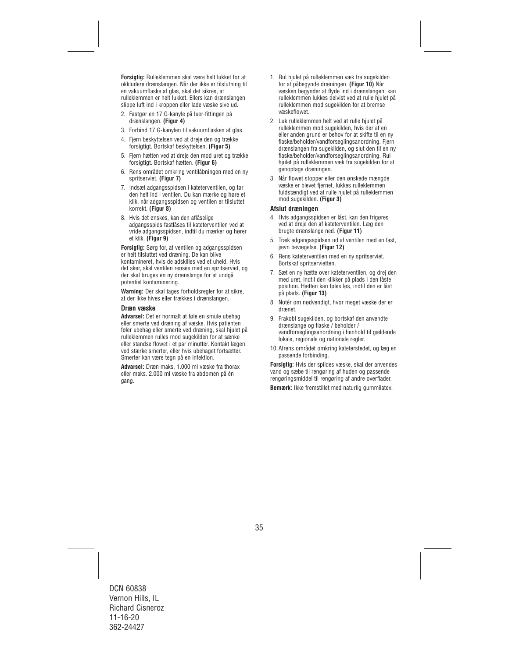**Forsigtig:** Rulleklemmen skal være helt lukket for at okkludere drænslangen. Når der ikke er tilslutning til en vakuumflaske af glas, skal det sikres, at rulleklemmen er helt lukket. Ellers kan drænslangen slippe luft ind i kroppen eller lade væske sive ud.

- 2. Fastgør en 17 G-kanyle på luer-fittingen på drænslangen. **(Figur 4)**
- 3. Forbind 17 G-kanylen til vakuumflasken af glas.
- 4. Fjern beskyttelsen ved at dreje den og trække forsigtigt. Bortskaf beskyttelsen. **(Figur 5)**
- 5. Fjern hætten ved at dreje den mod uret og trække forsigtigt. Bortskaf hætten. **(Figur 6)**
- 6. Rens området omkring ventilåbningen med en ny spritserviet. **(Figur 7)**
- 7. Indsæt adgangsspidsen i kateterventilen, og før den helt ind i ventilen. Du kan mærke og høre et klik, når adgangsspidsen og ventilen er tilsluttet korrekt. **(Figur 8)**
- 8. Hvis det ønskes, kan den aflåselige adgangsspids fastlåses til kateterventilen ved at vride adgangsspidsen, indtil du mærker og hører et klik. **(Figur 9)**

**Forsigtig:** Sørg for, at ventilen og adgangsspidsen er helt tilsluttet ved dræning. De kan blive kontamineret, hvis de adskilles ved et uheld. Hvis det sker, skal ventilen renses med en spritserviet, og der skal bruges en ny drænslange for at undgå potentiel kontaminering.

**Warning:** Der skal tages forholdsregler for at sikre, at der ikke hives eller trækkes i drænslangen.

#### **Dræn væske**

**Advarsel:** Det er normalt at føle en smule ubehag eller smerte ved dræning af væske. Hvis patienten føler ubehag eller smerte ved dræning, skal hjulet på rulleklemmen rulles mod sugekilden for at sænke eller standse flowet i et par minutter. Kontakt lægen ved stærke smerter, eller hvis ubehaget fortsætter. Smerter kan være tegn på en infektion.

**Advarsel:** Dræn maks. 1.000 ml væske fra thorax eller maks. 2.000 ml væske fra abdomen på én gang.

- 1. Rul hjulet på rulleklemmen væk fra sugekilden for at påbegynde dræningen. **(Figur 10)** Når væsken begynder at flyde ind i drænslangen, kan rulleklemmen lukkes delvist ved at rulle hjulet på rulleklemmen mod sugekilden for at bremse væskeflowet.
- 2. Luk rulleklemmen helt ved at rulle hjulet på rulleklemmen mod sugekilden, hvis der af en eller anden grund er behov for at skifte til en ny flaske/beholder/vandforseglingsanordning. Fjern drænslangen fra sugekilden, og slut den til en ny flaske/beholder/vandforseglingsanordning. Rul hjulet på rulleklemmen væk fra sugekilden for at genoptage dræningen.
- 3. Når flowet stopper eller den ønskede mængde væske er blevet fjernet, lukkes rulleklemmen fuldstændigt ved at rulle hjulet på rulleklemmen mod sugekilden. **(Figur 3)**

#### **Afslut dræningen**

- 4. Hvis adgangsspidsen er låst, kan den frigøres ved at dreje den af kateterventilen. Læg den brugte drænslange ned. **(Figur 11)**
- 5. Træk adgangsspidsen ud af ventilen med en fast, jævn bevægelse. **(Figur 12)**
- 6. Rens kateterventilen med en ny spritserviet. Bortskaf spritservietten.
- 7. Sæt en ny hætte over kateterventilen, og drej den med uret, indtil den klikker på plads i den låste position. Hætten kan føles løs, indtil den er låst på plads. **(Figur 13)**
- 8. Notér om nødvendigt, hvor meget væske der er drænet.
- 9. Frakobl sugekilden, og bortskaf den anvendte drænslange og flaske / beholder / vandforseglingsanordning i henhold til gældende lokale, regionale og nationale regler.
- 10.Afrens området omkring kateterstedet, og læg en passende forbinding.

**Forsigtig:** Hvis der spildes væske, skal der anvendes vand og sæbe til rengøring af huden og passende rengøringsmiddel til rengøring af andre overflader.

**Bemærk:** Ikke fremstillet med naturlig gummilatex.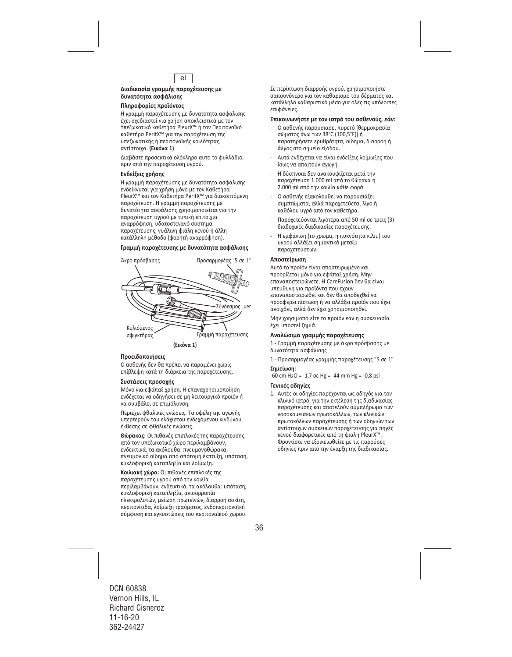

#### **Διαδικασία γραμμής παροχέτευσης με δυνατότητα ασφάλισης**

#### **Πληροφορίες προϊόντος**

Η γραμμή παροχέτευσης με δυνατότητα ασφάλισης έχει σχεδιαστεί για χρήση αποκλειστικά με τον Υπεζωκοτικό καθετήρα PleurX™ ή τον Περιτοναϊκό καθετήρα PeritX™ για την παροχέτευση της υπεζωκοτικής ή περιτοναϊκής κοιλότητας, αντίστοιχα. **(Εικόνα 1)** 

Διαβάστε προσεκτικά ολόκληρο αυτό το φυλλάδιο, πριν από την παροχέτευση υγρού.

#### **Ενδείξεις χρήσης**

Η γραμμή παροχέτευσης με δυνατότητα ασφάλισης ενδείκνυται για χρήση μόνο με τον Καθετήρα PleurX™ και τον Καθετήρα PeritX™ για διακοπτόμενη παροχέτευση. Η γραμμή παροχέτευσης με δυνατότητα ασφάλισης χρησιμοποιείται για την παροχέτευση υγρού με τυπική επιτοίχια αναρρόφηση, υδατοστεγανό σύστημα παροχέτευσης, γυάλινη φιάλη κενού ή άλλη κατάλληλη μέθοδο (φορητή αναρρόφηση).

## **Γραμμή παροχέτευσης με δυνατότητα ασφάλισης**



#### **Προειδοποιήσεις**

Ο ασθενής δεν θα πρέπει να παραμένει χωρίς επίβλεψη κατά τη διάρκεια της παροχέτευσης.

#### **Συστάσεις προσοχής**

Μόνο για εφάπαξ χρήση. Η επαναχρησιμοποίηση ενδέχεται να οδηγήσει σε μη λειτουργικό προϊόν ή να συμβάλει σε επιμόλυνση.

Περιέχει φθαλικές ενώσεις. Τα οφέλη της αγωγής υπερτερούν του ελάχιστου ενδεχόμενου κινδύνου έκθεσης σε φθαλικές ενώσεις.

**Θώρακας:** Οι πιθανές επιπλοκές της παροχέτευσης από τον υπεζωκοτικό χώρο περιλαμβάνουν, ενδεικτικά, τα ακόλουθα: πνευμονοθώρακα, πνευμονικό οίδημα από απότομη έκπτυξη, υπόταση, κυκλοφορική καταπληξία και λοίμωξη.

**Κοιλιακή χώρα:** Οι πιθανές επιπλοκές της παροχέτευσης υγρού από την κοιλία περιλαμβάνουν, ενδεικτικά, τα ακόλουθα: υπόταση, κυκλοφορική καταπληξία, ανισορροπία ηλεκτρολυτών, μείωση πρωτεϊνών, διαρροή ασκίτη, περιτονίτιδα, λοίμωξη τραύματος, ενδοπεριτοναϊκή σύμφυση και εγκυστώσεις του περιτοναϊκού χώρου. Σε περίπτωση διαρροής υγρού, χρησιμοποιήστε σαπουνόνερο για τον καθαρισμό του δέρματος και κατάλληλο καθαριστικό μέσο για όλες τις υπόλοιπες επιφάνειες.

#### **Επικοινωνήστε με τον ιατρό του ασθενούς, εάν:**

- ‐ Ο ασθενής παρουσιάσει πυρετό [θερμοκρασία σώματος άνω των 38°C (100,5°F)] ή παρατηρήσετε ερυθρότητα, οίδημα, διαρροή ή άλγος στο σημείο εξόδου.
- ‐ Αυτά ενδέχεται να είναι ενδείξεις λοίμωξης που ίσως να απαιτούν αγωγή.
- ‐ Η δύσπνοια δεν ανακουφίζεται μετά την παροχέτευση 1.000 ml από το θώρακα ή 2.000 ml από την κοιλία κάθε φορά.
- ‐ Ο ασθενής εξακολουθεί να παρουσιάζει συμπτώματα, αλλά παροχετεύεται λίγο ή καθόλου υγρό από τον καθετήρα.
- ‐ Παροχετεύονται λιγότερα από 50 ml σε τρεις (3) διαδοχικές διαδικασίες παροχέτευσης.
- ‐ Η εμφάνιση (το χρώμα, η πυκνότητα κ.λπ.) του υγρού αλλάξει σημαντικά μεταξύ παροχετεύσεων.

#### **Αποστείρωση**

Αυτό το προϊόν είναι αποστειρωμένο και προορίζεται μόνο για εφάπαξ χρήση. Μην επαναποστειρώνετε. Η CareFusion δεν θα είναι υπεύθυνη για προϊόντα που έχουν επαναποστειρωθεί και δεν θα αποδεχθεί να προσφέρει πίστωση ή να αλλάξει προϊόν που έχει ανοιχθεί, αλλά δεν έχει χρησιμοποιηθεί.

Μην χρησιμοποιείτε το προϊόν εάν η συσκευασία έχει υποστεί ζημιά.

#### **Αναλώσιμα γραμμής παροχέτευσης**

1 ‐ Γραμμή παροχέτευσης με άκρο πρόσβασης με δυνατότητα ασφάλισης

1 ‐ Προσαρμογέας γραμμής παροχέτευσης "5 σε 1"

#### **Σημείωση:**

 $-60$  cm H<sub>2</sub>O =  $-1,7$  σε Hg =  $-44$  mm Hg =  $-0,8$  psi

#### **Γενικές οδηγίες**

1. Αυτές οι οδηγίες παρέχονται ως οδηγός για τον κλινικό ιατρό, για την εκτέλεση της διαδικασίας παροχέτευσης και αποτελούν συμπλήρωμα των νοσοκομειακών πρωτοκόλλων, των κλινικών πρωτοκόλλων παροχέτευσης ή των οδηγιών των αντίστοιχων συσκευών παροχέτευσης για πηγές κενού διαφορετικές από τη φιάλη PleurX™. Φροντίστε να εξοικειωθείτε με τις παρούσες οδηγίες πριν από την έναρξη της διαδικασίας.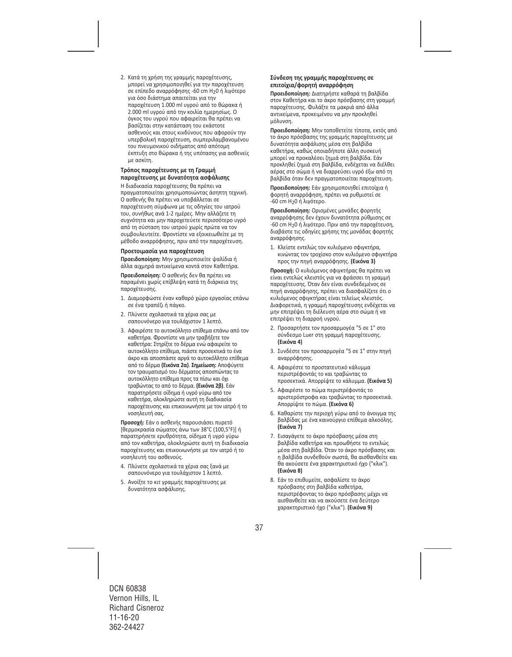2. Κατά τη χρήση της γραμμής παροχέτευσης, μπορεί να χρησιμοποιηθεί για την παροχέτευση σε επίπεδο αναρρόφησης ‐60 cm H20 ή λιγότερο για όσο διάστημα απαιτείται για την παροχέτευση 1.000 ml υγρού από το θώρακα ή 2.000 ml υγρού από την κοιλία ημερησίως. Ο όγκος του υγρού που αφαιρείται θα πρέπει να βασίζεται στην κατάσταση του εκάστοτε ασθενούς και στους κινδύνους που αφορούν την υπερβολική παροχέτευση, συμπεριλαμβανομένου του πνευμονικού οιδήματος από απότομη έκπτυξη στο θώρακα ή της υπότασης για ασθενείς με ασκίτη.

#### **Τρόπος παροχέτευσης με τη Γραμμή παροχέτευσης με δυνατότητα ασφάλισης**

Η διαδικασία παροχέτευσης θα πρέπει να πραγματοποιείται χρησιμοποιώντας άσηπτη τεχνική. Ο ασθενής θα πρέπει να υποβάλλεται σε παροχέτευση σύμφωνα με τις οδηγίες του ιατρού του, συνήθως ανά 1‐2 ημέρες. Μην αλλάζετε τη συχνότητα και μην παροχετεύετε περισσότερο υγρό από τη σύσταση του ιατρού χωρίς πρώτα να τον συμβουλευτείτε. Φροντίστε να εξοικειωθείτε με τη μέθοδο αναρρόφησης, πριν από την παροχέτευση.

#### **Προετοιμασία για παροχέτευση**

**Προειδοποίηση:** Μην χρησιμοποιείτε ψαλίδια ή άλλα αιχμηρά αντικείμενα κοντά στον Καθετήρα.

**Προειδοποίηση:** Ο ασθενής δεν θα πρέπει να παραμένει χωρίς επίβλεψη κατά τη διάρκεια της παροχέτευσης.

- 1. Διαμορφώστε έναν καθαρό χώρο εργασίας επάνω σε ένα τραπέζι ή πάγκο.
- 2. Πλύνετε σχολαστικά τα χέρια σας με σαπουνόνερο για τουλάχιστον 1 λεπτό.
- 3. Αφαιρέστε το αυτοκόλλητο επίθεμα επάνω από τον καθετήρα. Φροντίστε να μην τραβήξετε τον καθετήρα: Στηρίξτε το δέρμα ενώ αφαιρείτε το αυτοκόλλητο επίθεμα, πιάστε προσεκτικά το ένα άκρο και αποσπάστε αργά το αυτοκόλλητο επίθεμα από το δέρμα **(Εικόνα 2α)**. **Σημείωση:** Αποφύγετε τον τραυματισμό του δέρματος αποσπώντας το αυτοκόλλητο επίθεμα προς τα πίσω και όχι τραβώντας το από το δέρμα. **(Εικόνα 2β)**. Εάν παρατηρήσετε οίδημα ή υγρό γύρω από τον καθετήρα, ολοκληρώστε αυτή τη διαδικασία παροχέτευσης και επικοινωνήστε με τον ιατρό ή το νοσηλευτή σας.

**Προσοχή:** Εάν ο ασθενής παρουσιάσει πυρετό [θερμοκρασία σώματος άνω των 38°C (100,5°F)] ή παρατηρήσετε ερυθρότητα, οίδημα ή υγρό γύρω από τον καθετήρα, ολοκληρώστε αυτή τη διαδικασία παροχέτευσης και επικοινωνήστε με τον ιατρό ή το νοσηλευτή του ασθενούς.

- 4. Πλύνετε σχολαστικά τα χέρια σας ξανά με σαπουνόνερο για τουλάχιστον 1 λεπτό.
- 5. Ανοίξτε το κιτ γραμμής παροχέτευσης με δυνατότητα ασφάλισης.

## **Σύνδεση της γραμμής παροχέτευσης σε επιτοίχια/φορητή αναρρόφηση**

**Προειδοποίηση:** Διατηρήστε καθαρά τη βαλβίδα στον Καθετήρα και το άκρο πρόσβασης στη γραμμή παροχέτευσης. Φυλάξτε τα μακριά από άλλα αντικείμενα, προκειμένου να μην προκληθεί μόλυνση.

**Προειδοποίηση:** Μην τοποθετείτε τίποτα, εκτός από το άκρο πρόσβασης της γραμμής παροχέτευσης με δυνατότητα ασφάλισης μέσα στη βαλβίδα καθετήρα, καθώς οποιαδήποτε άλλη συσκευή μπορεί να προκαλέσει ζημιά στη βαλβίδα. Εάν προκληθεί ζημιά στη βαλβίδα, ενδέχεται να διέλθει αέρας στο σώμα ή να διαρρεύσει υγρό έξω από τη βαλβίδα όταν δεν πραγματοποιείται παροχέτευση.

**Προειδοποίηση:** Εάν χρησιμοποιηθεί επιτοίχια ή φορητή αναρρόφηση, πρέπει να ρυθμιστεί σε ‐60 cm H20 ή λιγότερο.

**Προειδοποίηση:** Ορισμένες μονάδες φορητής αναρρόφησης δεν έχουν δυνατότητα ρύθμισης σε ‐60 cm H20 ή λιγότερο. Πριν από την παροχέτευση, διαβάστε τις οδηγίες χρήσης της μονάδας φορητής αναρρόφησης.

1. Κλείστε εντελώς τον κυλιόμενο σφιγκτήρα, κινώντας τον τροχίσκο στον κυλιόμενο σφιγκτήρα προς την πηγή αναρρόφησης. **(Εικόνα 3)**

**Προσοχή:** Ο κυλιόμενος σφιγκτήρας θα πρέπει να είναι εντελώς κλειστός για να φράσσει τη γραμμή παροχέτευσης. Όταν δεν είναι συνδεδεμένος σε πηγή αναρρόφησης, πρέπει να διασφαλίζετε ότι ο κυλιόμενος σφιγκτήρας είναι τελείως κλειστός. Διαφορετικά, η γραμμή παροχέτευσης ενδέχεται να μην επιτρέψει τη διέλευση αέρα στο σώμα ή να επιτρέψει τη διαρροή υγρού.

- 2. Προσαρτήστε τον προσαρμογέα "5 σε 1" στο σύνδεσμο Luer στη γραμμή παροχέτευσης. **(Εικόνα 4)**
- 3. Συνδέστε τον προσαρμογέα "5 σε 1" στην πηγή αναρρόφησης.
- 4. Αφαιρέστε το προστατευτικό κάλυμμα περιστρέφοντάς το και τραβώντας το προσεκτικά. Απορρίψτε το κάλυμμα. **(Εικόνα 5)**
- 5. Αφαιρέστε το πώμα περιστρέφοντάς το αριστερόστροφα και τραβώντας το προσεκτικά. Απορρίψτε το πώμα. **(Εικόνα 6)**
- 6. Καθαρίστε την περιοχή γύρω από το άνοιγμα της βαλβίδας με ένα καινούργιο επίθεμα αλκοόλης. **(Εικόνα 7)**
- 7. Εισαγάγετε το άκρο πρόσβασης μέσα στη βαλβίδα καθετήρα και προωθήστε το εντελώς μέσα στη βαλβίδα. Όταν το άκρο πρόσβασης και η βαλβίδα συνδεθούν σωστά, θα αισθανθείτε και θα ακούσετε ένα χαρακτηριστικό ήχο ("κλικ"). **(Εικόνα 8)**
- 8. Εάν το επιθυμείτε, ασφαλίστε το άκρο πρόσβασης στη βαλβίδα καθετήρα, περιστρέφοντας το άκρο πρόσβασης μέχρι να αισθανθείτε και να ακούσετε ένα δεύτερο χαρακτηριστικό ήχο ("κλικ"). **(Εικόνα 9)**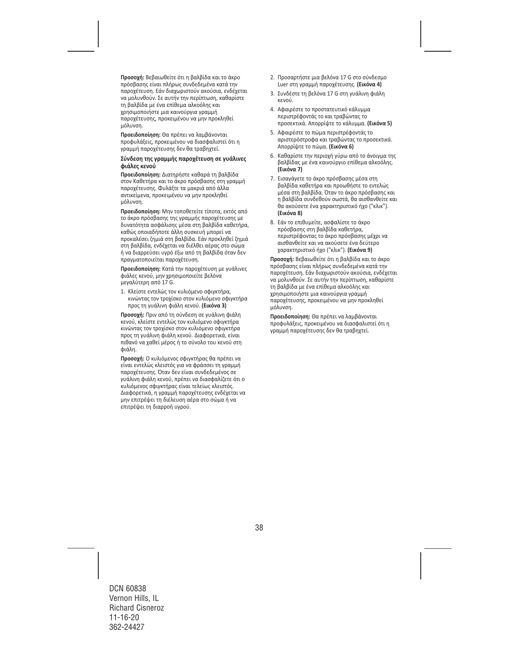**Προσοχή:** Βεβαιωθείτε ότι η βαλβίδα και το άκρο πρόσβασης είναι πλήρως συνδεδεμένα κατά την παροχέτευση. Εάν διαχωριστούν ακούσια, ενδέχεται να μολυνθούν. Σε αυτήν την περίπτωση, καθαρίστε τη βαλβίδα με ένα επίθεμα αλκοόλης και χρησιμοποιήστε μια καινούργια γραμμή παροχέτευσης, προκειμένου να μην προκληθεί μόλυνση.

**Προειδοποίηση:** Θα πρέπει να λαμβάνονται προφυλάξεις, προκειμένου να διασφαλιστεί ότι η γραμμή παροχέτευσης δεν θα τραβηχτεί.

#### **Σύνδεση της γραμμής παροχέτευση σε γυάλινες φιάλες κενού**

**Προειδοποίηση:** Διατηρήστε καθαρά τη βαλβίδα στον Καθετήρα και το άκρο πρόσβασης στη γραμμή παροχέτευσης. Φυλάξτε τα μακριά από άλλα αντικείμενα, προκειμένου να μην προκληθεί μόλυνση.

**Προειδοποίηση:** Μην τοποθετείτε τίποτα, εκτός από το άκρο πρόσβασης της γραμμής παροχέτευσης με δυνατότητα ασφάλισης μέσα στη βαλβίδα καθετήρα, καθώς οποιαδήποτε άλλη συσκευή μπορεί να προκαλέσει ζημιά στη βαλβίδα. Εάν προκληθεί ζημιά στη βαλβίδα, ενδέχεται να διέλθει αέρας στο σώμα ή να διαρρεύσει υγρό έξω από τη βαλβίδα όταν δεν πραγματοποιείται παροχέτευση.

**Προειδοποίηση:** Κατά την παροχέτευση με γυάλινες φιάλες κενού, μην χρησιμοποιείτε βελόνα μεγαλύτερη από 17 G.

1. Κλείστε εντελώς τον κυλιόμενο σφιγκτήρα, κινώντας τον τροχίσκο στον κυλιόμενο σφιγκτήρα προς τη γυάλινη φιάλη κενού. **(Εικόνα 3)**

**Προσοχή:** Πριν από τη σύνδεση σε γυάλινη φιάλη κενού, κλείστε εντελώς τον κυλιόμενο σφιγκτήρα κινώντας τον τροχίσκο στον κυλιόμενο σφιγκτήρα προς τη γυάλινη φιάλη κενού. Διαφορετικά, είναι πιθανό να χαθεί μέρος ή το σύνολο του κενού στη φιάλη.

**Προσοχή:** Ο κυλιόμενος σφιγκτήρας θα πρέπει να είναι εντελώς κλειστός για να φράσσει τη γραμμή παροχέτευσης. Όταν δεν είναι συνδεδεμένος σε γυάλινη φιάλη κενού, πρέπει να διασφαλίζετε ότι ο κυλιόμενος σφιγκτήρας είναι τελείως κλειστός. Διαφορετικά, η γραμμή παροχέτευσης ενδέχεται να μην επιτρέψει τη διέλευση αέρα στο σώμα ή να επιτρέψει τη διαρροή υγρού.

- 2. Προσαρτήστε μια βελόνα 17 G στο σύνδεσμο Luer στη γραμμή παροχέτευσης. **(Εικόνα 4)**
- 3. Συνδέστε τη βελόνα 17 G στη γυάλινη φιάλη κενού.
- 4. Αφαιρέστε το προστατευτικό κάλυμμα περιστρέφοντάς το και τραβώντας το προσεκτικά. Απορρίψτε το κάλυμμα. **(Εικόνα 5)**
- 5. Αφαιρέστε το πώμα περιστρέφοντάς το αριστερόστροφα και τραβώντας το προσεκτικά. Απορρίψτε το πώμα. **(Εικόνα 6)**
- 6. Καθαρίστε την περιοχή γύρω από το άνοιγμα της βαλβίδας με ένα καινούργιο επίθεμα αλκοόλης. **(Εικόνα 7)**
- 7. Εισαγάγετε το άκρο πρόσβασης μέσα στη βαλβίδα καθετήρα και προωθήστε το εντελώς μέσα στη βαλβίδα. Όταν το άκρο πρόσβασης και η βαλβίδα συνδεθούν σωστά, θα αισθανθείτε και θα ακούσετε ένα χαρακτηριστικό ήχο ("κλικ"). **(Εικόνα 8)**
- 8. Εάν το επιθυμείτε, ασφαλίστε το άκρο πρόσβασης στη βαλβίδα καθετήρα, περιστρέφοντας το άκρο πρόσβασης μέχρι να αισθανθείτε και να ακούσετε ένα δεύτερο χαρακτηριστικό ήχο ("κλικ"). **(Εικόνα 9)**

**Προσοχή:** Βεβαιωθείτε ότι η βαλβίδα και το άκρο πρόσβασης είναι πλήρως συνδεδεμένα κατά την παροχέτευση. Εάν διαχωριστούν ακούσια, ενδέχεται να μολυνθούν. Σε αυτήν την περίπτωση, καθαρίστε τη βαλβίδα με ένα επίθεμα αλκοόλης και χρησιμοποιήστε μια καινούργια γραμμή παροχέτευσης, προκειμένου να μην προκληθεί μόλυνση.

**Προειδοποίηση:** Θα πρέπει να λαμβάνονται προφυλάξεις, προκειμένου να διασφαλιστεί ότι η γραμμή παροχέτευσης δεν θα τραβηχτεί.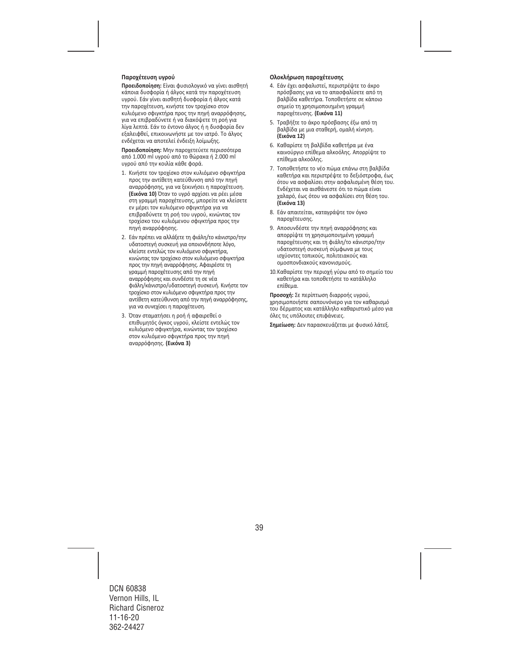### **Παροχέτευση υγρού**

**Προειδοποίηση:** Είναι φυσιολογικό να γίνει αισθητή κάποια δυσφορία ή άλγος κατά την παροχέτευση υγρού. Εάν γίνει αισθητή δυσφορία ή άλγος κατά την παροχέτευση, κινήστε τον τροχίσκο στον κυλιόμενο σφιγκτήρα προς την πηγή αναρρόφησης, για να επιβραδύνετε ή να διακόψετε τη ροή για λίγα λεπτά. Εάν το έντονο άλγος ή η δυσφορία δεν εξαλειφθεί, επικοινωνήστε με τον ιατρό. Το άλγος ενδέχεται να αποτελεί ένδειξη λοίμωξης.

**Προειδοποίηση:** Μην παροχετεύετε περισσότερα από 1.000 ml υγρού από το θώρακα ή 2.000 ml υγρού από την κοιλία κάθε φορά.

- 1. Κινήστε τον τροχίσκο στον κυλιόμενο σφιγκτήρα προς την αντίθετη κατεύθυνση από την πηγή αναρρόφησης, για να ξεκινήσει η παροχέτευση. **(Εικόνα 10)** Όταν το υγρό αρχίσει να ρέει μέσα στη γραμμή παροχέτευσης, μπορείτε να κλείσετε εν μέρει τον κυλιόμενο σφιγκτήρα για να επιβραδύνετε τη ροή του υγρού, κινώντας τον τροχίσκο του κυλιόμενου σφιγκτήρα προς την πηγή αναρρόφησης.
- 2. Εάν πρέπει να αλλάξετε τη φιάλη/το κάνιστρο/την υδατοστεγή συσκευή για οποιονδήποτε λόγο, κλείστε εντελώς τον κυλιόμενο σφιγκτήρα, κινώντας τον τροχίσκο στον κυλιόμενο σφιγκτήρα προς την πηγή αναρρόφησης. Αφαιρέστε τη γραμμή παροχέτευσης από την πηγή αναρρόφησης και συνδέστε τη σε νέα φιάλη/κάνιστρο/υδατοστεγή συσκευή. Κινήστε τον τροχίσκο στον κυλιόμενο σφιγκτήρα προς την αντίθετη κατεύθυνση από την πηγή αναρρόφησης, για να συνεχίσει η παροχέτευση.
- 3. Όταν σταματήσει η ροή ή αφαιρεθεί ο επιθυμητός όγκος υγρού, κλείστε εντελώς τον κυλιόμενο σφιγκτήρα, κινώντας τον τροχίσκο στον κυλιόμενο σφιγκτήρα προς την πηγή αναρρόφησης. **(Εικόνα 3)**

#### **Ολοκλήρωση παροχέτευσης**

- 4. Εάν έχει ασφαλιστεί, περιστρέψτε το άκρο πρόσβασης για να το απασφαλίσετε από τη βαλβίδα καθετήρα. Τοποθετήστε σε κάποιο σημείο τη χρησιμοποιημένη γραμμή παροχέτευσης. **(Εικόνα 11)**
- 5. Τραβήξτε το άκρο πρόσβασης έξω από τη βαλβίδα με μια σταθερή, ομαλή κίνηση. **(Εικόνα 12)**
- 6. Καθαρίστε τη βαλβίδα καθετήρα με ένα καινούργιο επίθεμα αλκοόλης. Απορρίψτε το επίθεμα αλκοόλης.
- 7. Τοποθετήστε το νέο πώμα επάνω στη βαλβίδα καθετήρα και περιστρέψτε το δεξιόστροφα, έως ότου να ασφαλίσει στην ασφαλισμένη θέση του. Ενδέχεται να αισθάνεστε ότι το πώμα είναι χαλαρό, έως ότου να ασφαλίσει στη θέση του. **(Εικόνα 13)**
- 8. Εάν απαιτείται, καταγράψτε τον όγκο παροχέτευσης.
- 9. Αποσυνδέστε την πηγή αναρρόφησης και απορρίψτε τη χρησιμοποιημένη γραμμή παροχέτευσης και τη φιάλη/το κάνιστρο/την υδατοστεγή συσκευή σύμφωνα με τους ισχύοντες τοπικούς, πολιτειακούς και ομοσπονδιακούς κανονισμούς.
- 10.Καθαρίστε την περιοχή γύρω από το σημείο του καθετήρα και τοποθετήστε το κατάλληλο επίθεμα.

**Προσοχή:** Σε περίπτωση διαρροής υγρού, χρησιμοποιήστε σαπουνόνερο για τον καθαρισμό του δέρματος και κατάλληλο καθαριστικό μέσο για όλες τις υπόλοιπες επιφάνειες.

**Σημείωση:** Δεν παρασκευάζεται με φυσικό λάτεξ.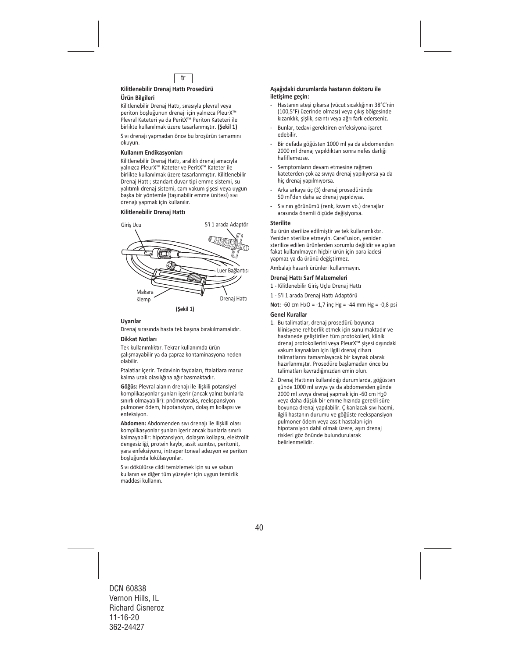

#### **Kilitlenebilir Drenaj Hattı Prosedürü**

#### **Ürün Bilgileri**

Kilitlenebilir Drenaj Hattı, sırasıyla plevral veya periton boşluğunun drenajı için yalnızca PleurX™ Plevral Kateteri ya da PeritX™ Periton Kateteri ile birlikte kullanılmak üzere tasarlanmıştır. **(Şekil 1)** 

Sıvı drenajı yapmadan önce bu broşürün tamamını okuyun.

#### **Kullanım Endikasyonları**

Kilitlenebilir Drenaj Hattı, aralıklı drenaj amacıyla yalnızca PleurX™ Kateter ve PeritX™ Kateter ile birlikte kullanılmak üzere tasarlanmıştır. Kilitlenebilir Drenaj Hattı; standart duvar tipi emme sistemi, su yalıtımlı drenaj sistemi, cam vakum şişesi veya uygun başka bir yöntemle (taşınabilir emme ünitesi) sıvı drenajı yapmak için kullanılır.

#### **Kilitlenebilir Drenaj Hattı**



#### **Uyarılar**

Drenaj sırasında hasta tek başına bırakılmamalıdır.

#### **Dikkat Notları**

Tek kullanımlıktır. Tekrar kullanımda ürün çalışmayabilir ya da çapraz kontaminasyona neden olabilir.

Ftalatlar içerir. Tedavinin faydaları, ftalatlara maruz kalma uzak olasılığına ağır basmaktadır.

**Göğüs:** Plevral alanın drenajı ile ilişkili potansiyel komplikasyonlar şunları içerir (ancak yalnız bunlarla sınırlı olmayabilir): pnömotoraks, reekspansiyon pulmoner ödem, hipotansiyon, dolaşım kollapsı ve enfeksiyon.

**Abdomen:** Abdomenden sıvı drenajı ile ilişkili olası komplikasyonlar şunları içerir ancak bunlarla sınırlı kalmayabilir: hipotansiyon, dolaşım kollapsı, elektrolit dengesizliği, protein kaybı, assit sızıntısı, peritonit, yara enfeksiyonu, intraperitoneal adezyon ve periton boşluğunda lokülasyonlar.

Sıvı dökülürse cildi temizlemek için su ve sabun kullanın ve diğer tüm yüzeyler için uygun temizlik maddesi kullanın.

#### **Aşağıdaki durumlarda hastanın doktoru ile iletişime geçin:**

- ‐ Hastanın ateşi çıkarsa (vücut sıcaklığının 38°C'nin (100,5°F) üzerinde olması) veya çıkış bölgesinde kızarıklık, şişlik, sızıntı veya ağrı fark ederseniz.
- ‐ Bunlar, tedavi gerektiren enfeksiyona işaret edebilir.
- ‐ Bir defada göğüsten 1000 ml ya da abdomenden 2000 ml drenaj yapıldıktan sonra nefes darlığı hafiflemezse.
- ‐ Semptomların devam etmesine rağmen kateterden çok az sıvıya drenaj yapılıyorsa ya da hiç drenaj yapılmıyorsa.
- ‐ Arka arkaya üç (3) drenaj prosedüründe 50 ml'den daha az drenaj yapıldıysa.
- ‐ Sıvının görünümü (renk, kıvam vb.) drenajlar arasında önemli ölçüde değişiyorsa.

#### **Sterilite**

Bu ürün sterilize edilmiştir ve tek kullanımlıktır. Yeniden sterilize etmeyin. CareFusion, yeniden sterilize edilen ürünlerden sorumlu değildir ve açılan fakat kullanılmayan hiçbir ürün için para iadesi yapmaz ya da ürünü değiştirmez.

Ambalajı hasarlı ürünleri kullanmayın.

#### **Drenaj Hattı Sarf Malzemeleri**

- 1 ‐ Kilitlenebilir Giriş Uçlu Drenaj Hattı
- 1 ‐ 5'i 1 arada Drenaj Hattı Adaptörü

**Not:** ‐60 cm H2O = ‐1,7 inç Hg = ‐44 mm Hg = ‐0,8 psi

#### **Genel Kurallar**

- 1. Bu talimatlar, drenaj prosedürü boyunca klinisyene rehberlik etmek için sunulmaktadır ve hastanede geliştirilen tüm protokolleri, klinik drenaj protokollerini veya PleurX™ şişesi dışındaki vakum kaynakları için ilgili drenaj cihazı talimatlarını tamamlayacak bir kaynak olarak hazırlanmıştır. Prosedüre başlamadan önce bu talimatları kavradığınızdan emin olun.
- 2. Drenaj Hattının kullanıldığı durumlarda, göğüsten günde 1000 ml sıvıya ya da abdomenden günde 2000 ml sıvıya drenaj yapmak için -60 cm H<sub>2</sub>0 veya daha düşük bir emme hızında gerekli süre boyunca drenaj yapılabilir. Çıkarılacak sıvı hacmi, ilgili hastanın durumu ve göğüste reekspansiyon pulmoner ödem veya assit hastaları için hipotansiyon dahil olmak üzere, aşırı drenaj riskleri göz önünde bulundurularak belirlenmelidir.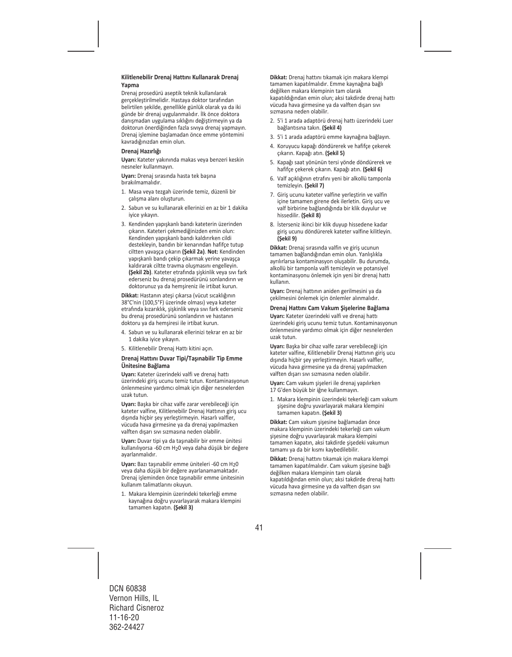#### **Kilitlenebilir Drenaj Hattını Kullanarak Drenaj Yapma**

Drenaj prosedürü aseptik teknik kullanılarak gerçekleştirilmelidir. Hastaya doktor tarafından belirtilen şekilde, genellikle günlük olarak ya da iki günde bir drenaj uygulanmalıdır. İlk önce doktora danışmadan uygulama sıklığını değiştirmeyin ya da doktorun önerdiğinden fazla sıvıya drenaj yapmayın. Drenaj işlemine başlamadan önce emme yöntemini kavradığınızdan emin olun.

#### **Drenaj Hazırlığı**

**Uyarı:** Kateter yakınında makas veya benzeri keskin nesneler kullanmayın.

**Uyarı:** Drenaj sırasında hasta tek başına bırakılmamalıdır.

- 1. Masa veya tezgah üzerinde temiz, düzenli bir çalışma alanı oluşturun.
- 2. Sabun ve su kullanarak ellerinizi en az bir 1 dakika iyice yıkayın.
- 3. Kendinden yapışkanlı bandı kateterin üzerinden çıkarın. Kateteri çekmediğinizden emin olun: Kendinden yapışkanlı bandı kaldırırken cildi destekleyin, bandın bir kenarından hafifçe tutup ciltten yavaşça çıkarın **(Şekil 2a)**. **Not:** Kendinden yapışkanlı bandı çekip çıkarmak yerine yavaşça kaldırarak ciltte travma oluşmasını engelleyin. **(Şekil 2b)**. Kateter etrafında şişkinlik veya sıvı fark ederseniz bu drenaj prosedürünü sonlandırın ve doktorunuz ya da hemşireniz ile irtibat kurun.

**Dikkat:** Hastanın ateşi çıkarsa (vücut sıcaklığının 38°C'nin (100,5°F) üzerinde olması) veya kateter etrafında kızarıklık, şişkinlik veya sıvı fark ederseniz bu drenaj prosedürünü sonlandırın ve hastanın doktoru ya da hemşiresi ile irtibat kurun.

- 4. Sabun ve su kullanarak ellerinizi tekrar en az bir 1 dakika iyice yıkayın.
- 5. Kilitlenebilir Drenaj Hattı kitini açın.

#### **Drenaj Hattını Duvar Tipi/Taşınabilir Tip Emme Ünitesine Bağlama**

**Uyarı:** Kateter üzerindeki valfi ve drenaj hattı üzerindeki giriş ucunu temiz tutun. Kontaminasyonun önlenmesine yardımcı olmak için diğer nesnelerden uzak tutun.

**Uyarı:** Başka bir cihaz valfe zarar verebileceği için kateter valfine, Kilitlenebilir Drenaj Hattının giriş ucu dışında hiçbir şey yerleştirmeyin. Hasarlı valfler, vücuda hava girmesine ya da drenaj yapılmazken valften dışarı sıvı sızmasına neden olabilir.

**Uyarı:** Duvar tipi ya da taşınabilir bir emme ünitesi kullanılıyorsa ‐60 cm H20 veya daha düşük bir değere ayarlanmalıdır.

**Uyarı:** Bazı taşınabilir emme üniteleri ‐60 cm H20 veya daha düşük bir değere ayarlanamamaktadır. Drenaj işleminden önce taşınabilir emme ünitesinin kullanım talimatlarını okuyun.

1. Makara klempinin üzerindeki tekerleği emme kaynağına doğru yuvarlayarak makara klempini tamamen kapatın. **(Şekil 3)**

**Dikkat:** Drenaj hattını tıkamak için makara klempi tamamen kapatılmalıdır. Emme kaynağına bağlı değilken makara klempinin tam olarak kapatıldığından emin olun; aksi takdirde drenaj hattı vücuda hava girmesine ya da valften dışarı sıvı sızmasına neden olabilir.

- 2. 5'i 1 arada adaptörü drenaj hattı üzerindeki Luer bağlantısına takın. **(Şekil 4)**
- 3. 5'i 1 arada adaptörü emme kaynağına bağlayın.
- 4. Koruyucu kapağı döndürerek ve hafifçe çekerek çıkarın. Kapağı atın. **(Şekil 5)**
- 5. Kapağı saat yönünün tersi yönde döndürerek ve hafifçe çekerek çıkarın. Kapağı atın. **(Şekil 6)**
- 6. Valf açıklığının etrafını yeni bir alkollü tamponla temizleyin. **(Şekil 7)**
- 7. Giriş ucunu kateter valfine yerleştirin ve valfin içine tamamen girene dek ilerletin. Giriş ucu ve valf birbirine bağlandığında bir klik duyulur ve hissedilir. **(Şekil 8)**
- 8. İsterseniz ikinci bir klik duyup hissedene kadar giriş ucunu döndürerek kateter valfine kilitleyin. **(Şekil 9)**

**Dikkat:** Drenaj sırasında valfin ve giriş ucunun tamamen bağlandığından emin olun. Yanlışlıkla ayrılırlarsa kontaminasyon oluşabilir. Bu durumda, alkollü bir tamponla valfi temizleyin ve potansiyel kontaminasyonu önlemek için yeni bir drenaj hattı kullanın.

**Uyarı:** Drenaj hattının aniden gerilmesini ya da çekilmesini önlemek için önlemler alınmalıdır.

#### **Drenaj Hattını Cam Vakum Şişelerine Bağlama**

**Uyarı:** Kateter üzerindeki valfi ve drenaj hattı üzerindeki giriş ucunu temiz tutun. Kontaminasyonun önlenmesine yardımcı olmak için diğer nesnelerden uzak tutun.

**Uyarı:** Başka bir cihaz valfe zarar verebileceği için kateter valfine, Kilitlenebilir Drenaj Hattının giriş ucu dışında hiçbir şey yerleştirmeyin. Hasarlı valfler, vücuda hava girmesine ya da drenaj yapılmazken valften dışarı sıvı sızmasına neden olabilir.

**Uyarı:** Cam vakum şişeleri ile drenaj yapılırken 17 G'den büyük bir iğne kullanmayın.

1. Makara klempinin üzerindeki tekerleği cam vakum şişesine doğru yuvarlayarak makara klempini tamamen kapatın. **(Şekil 3)**

**Dikkat:** Cam vakum şişesine bağlamadan önce makara klempinin üzerindeki tekerleği cam vakum şişesine doğru yuvarlayarak makara klempini tamamen kapatın, aksi takdirde şişedeki vakumun tamamı ya da bir kısmı kaybedilebilir.

**Dikkat:** Drenaj hattını tıkamak için makara klempi tamamen kapatılmalıdır. Cam vakum şişesine bağlı değilken makara klempinin tam olarak kapatıldığından emin olun; aksi takdirde drenaj hattı vücuda hava girmesine ya da valften dışarı sıvı sızmasına neden olabilir.